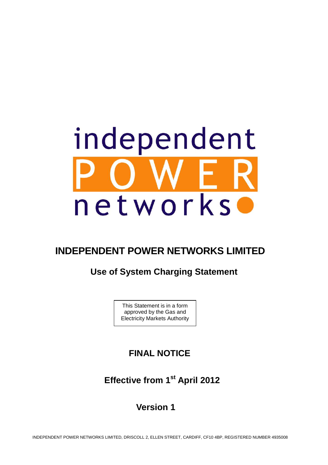

# **INDEPENDENT POWER NETWORKS LIMITED**

# **Use of System Charging Statement**

This Statement is in a form approved by the Gas and Electricity Markets Authority

# **FINAL NOTICE**

 **Effective from 1st April 2012** 

 **Version 1**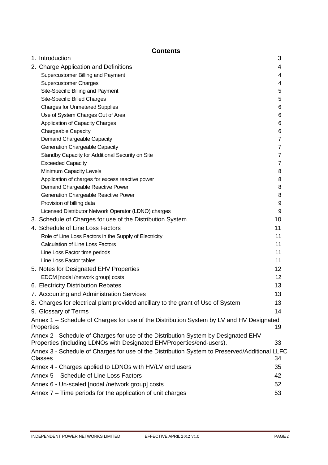# **Contents**

| 1. Introduction                                                                                                                                             | 3              |
|-------------------------------------------------------------------------------------------------------------------------------------------------------------|----------------|
| 2. Charge Application and Definitions                                                                                                                       | 4              |
| Supercustomer Billing and Payment                                                                                                                           | 4              |
| <b>Supercustomer Charges</b>                                                                                                                                | 4              |
| Site-Specific Billing and Payment                                                                                                                           | 5              |
| Site-Specific Billed Charges                                                                                                                                | 5              |
| <b>Charges for Unmetered Supplies</b>                                                                                                                       | 6              |
| Use of System Charges Out of Area                                                                                                                           | 6              |
| Application of Capacity Charges                                                                                                                             | 6              |
| Chargeable Capacity                                                                                                                                         | 6              |
| Demand Chargeable Capacity                                                                                                                                  | $\overline{7}$ |
| <b>Generation Chargeable Capacity</b>                                                                                                                       | $\overline{7}$ |
| Standby Capacity for Additional Security on Site                                                                                                            | $\overline{7}$ |
| <b>Exceeded Capacity</b>                                                                                                                                    | 7              |
| Minimum Capacity Levels                                                                                                                                     | 8              |
| Application of charges for excess reactive power                                                                                                            | 8              |
| Demand Chargeable Reactive Power                                                                                                                            | 8              |
| <b>Generation Chargeable Reactive Power</b>                                                                                                                 | 8              |
| Provision of billing data                                                                                                                                   | 9              |
| Licensed Distributor Network Operator (LDNO) charges                                                                                                        | 9              |
| 3. Schedule of Charges for use of the Distribution System                                                                                                   | 10             |
| 4. Schedule of Line Loss Factors                                                                                                                            | 11             |
| Role of Line Loss Factors in the Supply of Electricity                                                                                                      | 11             |
| <b>Calculation of Line Loss Factors</b>                                                                                                                     | 11             |
| Line Loss Factor time periods                                                                                                                               | 11             |
| Line Loss Factor tables                                                                                                                                     | 11             |
| 5. Notes for Designated EHV Properties                                                                                                                      | 12             |
| EDCM [nodal /network group] costs                                                                                                                           | 12             |
| 6. Electricity Distribution Rebates                                                                                                                         | 13             |
| 7. Accounting and Administration Services                                                                                                                   | 13             |
| 8. Charges for electrical plant provided ancillary to the grant of Use of System                                                                            | 13             |
| 9. Glossary of Terms                                                                                                                                        | 14             |
| Annex 1 – Schedule of Charges for use of the Distribution System by LV and HV Designated                                                                    |                |
| Properties                                                                                                                                                  | 19             |
| Annex 2 - Schedule of Charges for use of the Distribution System by Designated EHV<br>Properties (including LDNOs with Designated EHVProperties/end-users). | 33             |
| Annex 3 - Schedule of Charges for use of the Distribution System to Preserved/Additional LLFC                                                               |                |
| <b>Classes</b>                                                                                                                                              | 34             |
| Annex 4 - Charges applied to LDNOs with HV/LV end users                                                                                                     | 35             |
| Annex 5 - Schedule of Line Loss Factors                                                                                                                     | 42             |
| Annex 6 - Un-scaled [nodal /network group] costs                                                                                                            | 52             |
| Annex 7 – Time periods for the application of unit charges                                                                                                  | 53             |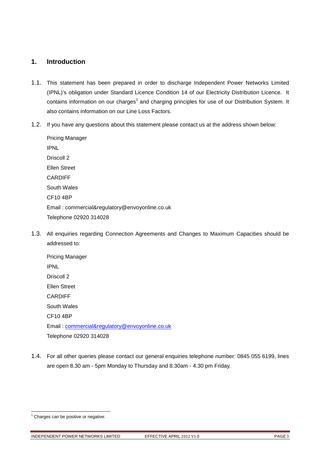# **1. Introduction**

- 1.1. This statement has been prepared in order to discharge Independent Power Networks Limited (IPNL)'s obligation under Standard Licence Condition 14 of our Electricity Distribution Licence. It contains information on our charges<sup>1</sup> and charging principles for use of our Distribution System. It also contains information on our Line Loss Factors.
- 1.2. If you have any questions about this statement please contact us at the address shown below:

Pricing Manager IPNL Driscoll 2 Ellen Street CARDIFF South Wales CF10 4BP Email: commercial&regulatory@envoyonline.co.uk Telephone 02920 314028

1.3. All enquiries regarding Connection Agreements and Changes to Maximum Capacities should be addressed to:

Pricing Manager IPNL Driscoll 2 Ellen Street CARDIFF South Wales CF10 4BP Email: commercial&regulatory@envoyonline.co.uk Telephone 02920 314028

1.4. For all other queries please contact our general enquiries telephone number: 0845 055 6199, lines are open 8.30 am - 5pm Monday to Thursday and 8.30am - 4.30 pm Friday.

l

INDEPENDENT POWER NETWORKS LIMITED EFFECTIVE APRIL 2012 V1.0 PAGE 3

<sup>&</sup>lt;sup>1</sup> Charges can be positive or negative.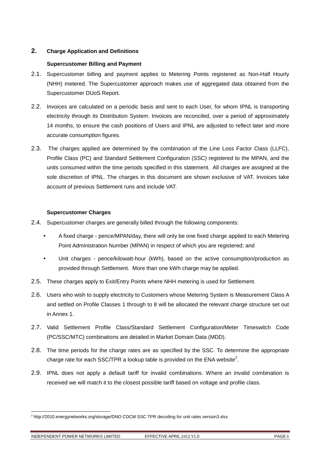# **2. Charge Application and Definitions**

# **Supercustomer Billing and Payment**

- 2.1. Supercustomer billing and payment applies to Metering Points registered as Non-Half Hourly (NHH) metered. The Supercustomer approach makes use of aggregated data obtained from the Supercustomer DUoS Report.
- 2.2. Invoices are calculated on a periodic basis and sent to each User, for whom IPNL is transporting electricity through its Distribution System. Invoices are reconciled, over a period of approximately 14 months, to ensure the cash positions of Users and IPNL are adjusted to reflect later and more accurate consumption figures.
- 2.3. The charges applied are determined by the combination of the Line Loss Factor Class (LLFC), Profile Class (PC) and Standard Settlement Configuration (SSC) registered to the MPAN, and the units consumed within the time periods specified in this statement. All charges are assigned at the sole discretion of IPNL. The charges in this document are shown exclusive of VAT. Invoices take account of previous Settlement runs and include VAT.

# **Supercustomer Charges**

- 2.4. Supercustomer charges are generally billed through the following components:
	- A fixed charge pence/MPAN/day, there will only be one fixed charge applied to each Metering Point Administration Number (MPAN) in respect of which you are registered; and
	- Unit charges pence/kilowatt-hour (kWh), based on the active consumption/production as provided through Settlement. More than one kWh charge may be applied.
- 2.5. These charges apply to Exit/Entry Points where NHH metering is used for Settlement.
- 2.6. Users who wish to supply electricity to Customers whose Metering System is Measurement Class A and settled on Profile Classes 1 through to 8 will be allocated the relevant charge structure set out in Annex 1.
- 2.7. Valid Settlement Profile Class/Standard Settlement Configuration/Meter Timeswitch Code (PC/SSC/MTC) combinations are detailed in Market Domain Data (MDD).
- 2.8. The time periods for the charge rates are as specified by the SSC. To determine the appropriate charge rate for each SSC/TPR a lookup table is provided on the ENA website<sup>2</sup>.
- 2.9. IPNL does not apply a default tariff for invalid combinations. Where an invalid combination is received we will match it to the closest possible tariff based on voltage and profile class.

l

<sup>2</sup> http://2010.energynetworks.org/storage/DNO CDCM SSC TPR decoding for unit rates version3.xlsx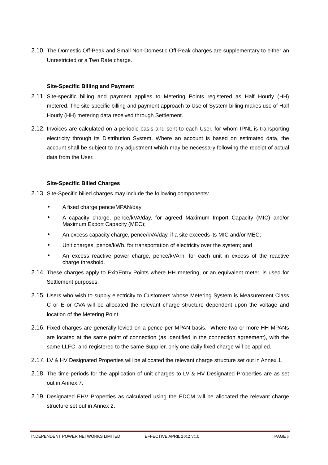2.10. The Domestic Off-Peak and Small Non-Domestic Off-Peak charges are supplementary to either an Unrestricted or a Two Rate charge.

### **Site-Specific Billing and Payment**

- 2.11. Site-specific billing and payment applies to Metering Points registered as Half Hourly (HH) metered. The site-specific billing and payment approach to Use of System billing makes use of Half Hourly (HH) metering data received through Settlement.
- 2.12. Invoices are calculated on a periodic basis and sent to each User, for whom IPNL is transporting electricity through its Distribution System. Where an account is based on estimated data, the account shall be subject to any adjustment which may be necessary following the receipt of actual data from the User.

### **Site-Specific Billed Charges**

- 2.13. Site-Specific billed charges may include the following components:
	- A fixed charge pence/MPAN/day;
	- A capacity charge, pence/kVA/day, for agreed Maximum Import Capacity (MIC) and/or Maximum Export Capacity (MEC);
	- An excess capacity charge, pence/kVA/day, if a site exceeds its MIC and/or MEC;
	- Unit charges, pence/kWh, for transportation of electricity over the system; and
	- An excess reactive power charge, pence/kVArh, for each unit in excess of the reactive charge threshold.
- 2.14. These charges apply to Exit/Entry Points where HH metering, or an equivalent meter, is used for Settlement purposes.
- 2.15. Users who wish to supply electricity to Customers whose Metering System is Measurement Class C or E or CVA will be allocated the relevant charge structure dependent upon the voltage and location of the Metering Point.
- 2.16. Fixed charges are generally levied on a pence per MPAN basis. Where two or more HH MPANs are located at the same point of connection (as identified in the connection agreement), with the same LLFC, and registered to the same Supplier, only one daily fixed charge will be applied.
- 2.17. LV & HV Designated Properties will be allocated the relevant charge structure set out in Annex 1.
- 2.18. The time periods for the application of unit charges to LV & HV Designated Properties are as set out in Annex 7.
- 2.19. Designated EHV Properties as calculated using the EDCM will be allocated the relevant charge structure set out in Annex 2.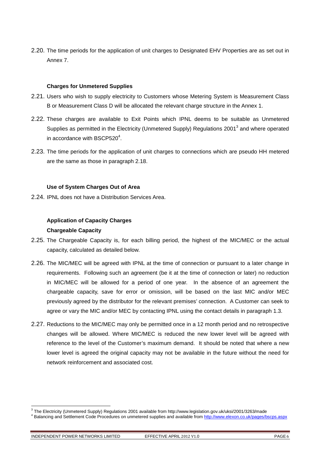2.20. The time periods for the application of unit charges to Designated EHV Properties are as set out in Annex 7.

### **Charges for Unmetered Supplies**

- 2.21. Users who wish to supply electricity to Customers whose Metering System is Measurement Class B or Measurement Class D will be allocated the relevant charge structure in the Annex 1.
- 2.22. These charges are available to Exit Points which IPNL deems to be suitable as Unmetered Supplies as permitted in the Electricity (Unmetered Supply) Regulations 2001<sup>3</sup> and where operated in accordance with BSCP520 $4$ .
- 2.23. The time periods for the application of unit charges to connections which are pseudo HH metered are the same as those in paragraph 2.18.

### **Use of System Charges Out of Area**

2.24. IPNL does not have a Distribution Services Area.

# **Application of Capacity Charges**

### **Chargeable Capacity**

- 2.25. The Chargeable Capacity is, for each billing period, the highest of the MIC/MEC or the actual capacity, calculated as detailed below.
- 2.26. The MIC/MEC will be agreed with IPNL at the time of connection or pursuant to a later change in requirements. Following such an agreement (be it at the time of connection or later) no reduction in MIC/MEC will be allowed for a period of one year. In the absence of an agreement the chargeable capacity, save for error or omission, will be based on the last MIC and/or MEC previously agreed by the distributor for the relevant premises' connection. A Customer can seek to agree or vary the MIC and/or MEC by contacting IPNL using the contact details in paragraph 1.3.
- 2.27. Reductions to the MIC/MEC may only be permitted once in a 12 month period and no retrospective changes will be allowed. Where MIC/MEC is reduced the new lower level will be agreed with reference to the level of the Customer's maximum demand. It should be noted that where a new lower level is agreed the original capacity may not be available in the future without the need for network reinforcement and associated cost.

l

<sup>&</sup>lt;sup>3</sup> The Electricity (Unmetered Supply) Regulations 2001 available from http://www.legislation.gov.uk/uksi/2001/3263/made

<sup>&</sup>lt;sup>4</sup> Balancing and Settlement Code Procedures on unmetered supplies and available from http://www.elexon.co.uk/pages/bscps.aspx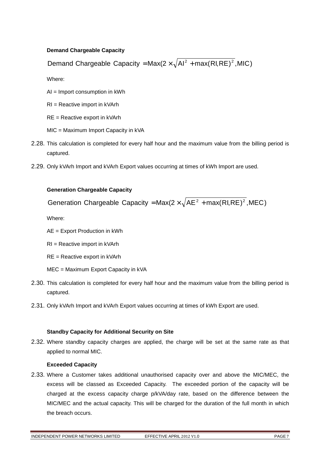# **Demand Chargeable Capacity**

Demand Chargeable Capacity = Max(2  $\times \sqrt{Al^2 + max(RI,RE)^2}$ , MIC)

Where:

AI = Import consumption in kWh

RI = Reactive import in kVArh

RE = Reactive export in kVArh

- MIC = Maximum Import Capacity in kVA
- 2.28. This calculation is completed for every half hour and the maximum value from the billing period is captured.
- 2.29. Only kVArh Import and kVArh Export values occurring at times of kWh Import are used.

# **Generation Chargeable Capacity**

Generation Chargeable Capacity = Max( $2 \times \sqrt{AE^2 + max(RI,RE)^2}$ , MEC)

Where:

AE = Export Production in kWh

RI = Reactive import in kVArh

- RE = Reactive export in kVArh
- MEC = Maximum Export Capacity in kVA
- 2.30. This calculation is completed for every half hour and the maximum value from the billing period is captured.
- 2.31. Only kVArh Import and kVArh Export values occurring at times of kWh Export are used.

# **Standby Capacity for Additional Security on Site**

2.32. Where standby capacity charges are applied, the charge will be set at the same rate as that applied to normal MIC.

# **Exceeded Capacity**

2.33. Where a Customer takes additional unauthorised capacity over and above the MIC/MEC, the excess will be classed as Exceeded Capacity. The exceeded portion of the capacity will be charged at the excess capacity charge p/kVA/day rate, based on the difference between the MIC/MEC and the actual capacity. This will be charged for the duration of the full month in which the breach occurs.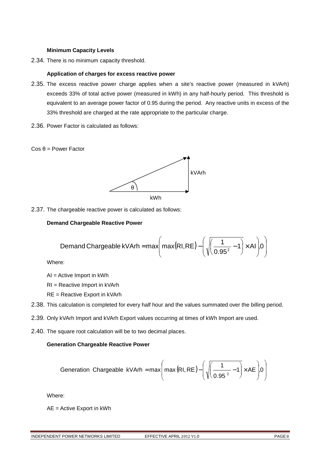### **Minimum Capacity Levels**

2.34. There is no minimum capacity threshold.

### **Application of charges for excess reactive power**

- 2.35. The excess reactive power charge applies when a site's reactive power (measured in kVArh) exceeds 33% of total active power (measured in kWh) in any half-hourly period. This threshold is equivalent to an average power factor of 0.95 during the period. Any reactive units in excess of the 33% threshold are charged at the rate appropriate to the particular charge.
- 2.36. Power Factor is calculated as follows:





2.37. The chargeable reactive power is calculated as follows:

# **Demand Chargeable Reactive Power**

$$
\text{Demand Chargeable kVArh} = \max\left(\max(RI, RE) - \left(\sqrt{\left(\frac{1}{0.95^2} - 1\right)} \times Al\right) 0\right)
$$

Where:

AI = Active Import in kWh

RI = Reactive Import in kVArh

RE = Reactive Export in kVArh

- 2.38. This calculation is completed for every half hour and the values summated over the billing period.
- 2.39. Only kVArh Import and kVArh Export values occurring at times of kWh Import are used.
- 2.40. The square root calculation will be to two decimal places.

# **Generation Chargeable Reactive Power**

$$
\text{Generation Chargeable } \text{kVArh} = \text{max}\Bigg(\text{max}\big(\text{RI}, \text{RE}\big) - \Bigg(\sqrt{\frac{1}{0.95\,^2} - 1}\bigg) \times \text{AE}\Bigg) 0 \Bigg)
$$

Where:

AE = Active Export in kWh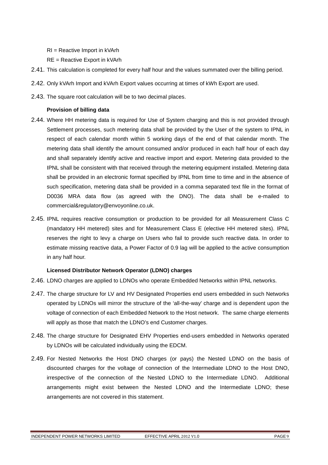RI = Reactive Import in kVArh

RE = Reactive Export in kVArh

- 2.41. This calculation is completed for every half hour and the values summated over the billing period.
- 2.42. Only kVArh Import and kVArh Export values occurring at times of kWh Export are used.
- 2.43. The square root calculation will be to two decimal places.

# **Provision of billing data**

- 2.44. Where HH metering data is required for Use of System charging and this is not provided through Settlement processes, such metering data shall be provided by the User of the system to IPNL in respect of each calendar month within 5 working days of the end of that calendar month. The metering data shall identify the amount consumed and/or produced in each half hour of each day and shall separately identify active and reactive import and export. Metering data provided to the IPNL shall be consistent with that received through the metering equipment installed. Metering data shall be provided in an electronic format specified by IPNL from time to time and in the absence of such specification, metering data shall be provided in a comma separated text file in the format of D0036 MRA data flow (as agreed with the DNO). The data shall be e-mailed to commercial&regulatory@envoyonline.co.uk.
- 2.45. IPNL requires reactive consumption or production to be provided for all Measurement Class C (mandatory HH metered) sites and for Measurement Class E (elective HH metered sites). IPNL reserves the right to levy a charge on Users who fail to provide such reactive data. In order to estimate missing reactive data, a Power Factor of 0.9 lag will be applied to the active consumption in any half hour.

# **Licensed Distributor Network Operator (LDNO) charges**

- 2.46. LDNO charges are applied to LDNOs who operate Embedded Networks within IPNL networks.
- 2.47. The charge structure for LV and HV Designated Properties end users embedded in such Networks operated by LDNOs will mirror the structure of the 'all-the-way' charge and is dependent upon the voltage of connection of each Embedded Network to the Host network. The same charge elements will apply as those that match the LDNO's end Customer charges.
- 2.48. The charge structure for Designated EHV Properties end-users embedded in Networks operated by LDNOs will be calculated individually using the EDCM.
- 2.49. For Nested Networks the Host DNO charges (or pays) the Nested LDNO on the basis of discounted charges for the voltage of connection of the Intermediate LDNO to the Host DNO, irrespective of the connection of the Nested LDNO to the Intermediate LDNO. Additional arrangements might exist between the Nested LDNO and the Intermediate LDNO; these arrangements are not covered in this statement.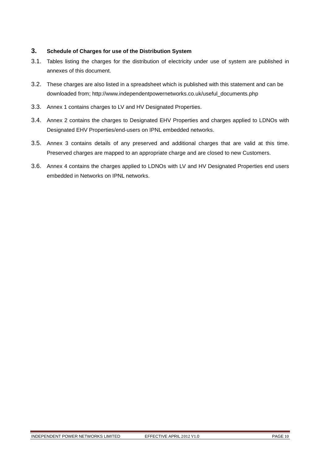# **3. Schedule of Charges for use of the Distribution System**

- 3.1. Tables listing the charges for the distribution of electricity under use of system are published in annexes of this document.
- 3.2. These charges are also listed in a spreadsheet which is published with this statement and can be downloaded from; http://www.independentpowernetworks.co.uk/useful\_documents.php
- 3.3. Annex 1 contains charges to LV and HV Designated Properties.
- 3.4. Annex 2 contains the charges to Designated EHV Properties and charges applied to LDNOs with Designated EHV Properties/end-users on IPNL embedded networks.
- 3.5. Annex 3 contains details of any preserved and additional charges that are valid at this time. Preserved charges are mapped to an appropriate charge and are closed to new Customers.
- 3.6. Annex 4 contains the charges applied to LDNOs with LV and HV Designated Properties end users embedded in Networks on IPNL networks.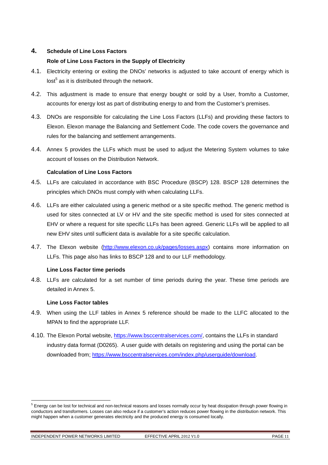# **4. Schedule of Line Loss Factors**

# **Role of Line Loss Factors in the Supply of Electricity**

- 4.1. Electricity entering or exiting the DNOs' networks is adjusted to take account of energy which is lost $^5$  as it is distributed through the network.
- 4.2. This adjustment is made to ensure that energy bought or sold by a User, from/to a Customer, accounts for energy lost as part of distributing energy to and from the Customer's premises.
- 4.3. DNOs are responsible for calculating the Line Loss Factors (LLFs) and providing these factors to Elexon. Elexon manage the Balancing and Settlement Code. The code covers the governance and rules for the balancing and settlement arrangements.
- 4.4. Annex 5 provides the LLFs which must be used to adjust the Metering System volumes to take account of losses on the Distribution Network.

# **Calculation of Line Loss Factors**

- 4.5. LLFs are calculated in accordance with BSC Procedure (BSCP) 128. BSCP 128 determines the principles which DNOs must comply with when calculating LLFs.
- 4.6. LLFs are either calculated using a generic method or a site specific method. The generic method is used for sites connected at LV or HV and the site specific method is used for sites connected at EHV or where a request for site specific LLFs has been agreed. Generic LLFs will be applied to all new EHV sites until sufficient data is available for a site specific calculation.
- 4.7. The Elexon website (http://www.elexon.co.uk/pages/losses.aspx) contains more information on LLFs. This page also has links to BSCP 128 and to our LLF methodology.

# **Line Loss Factor time periods**

4.8. LLFs are calculated for a set number of time periods during the year. These time periods are detailed in Annex 5.

# **Line Loss Factor tables**

- 4.9. When using the LLF tables in Annex 5 reference should be made to the LLFC allocated to the MPAN to find the appropriate LLF.
- 4.10. The Elexon Portal website, https://www.bsccentralservices.com/, contains the LLFs in standard industry data format (D0265). A user guide with details on registering and using the portal can be downloaded from; https://www.bsccentralservices.com/index.php/userguide/download.

INDEPENDENT POWER NETWORKS LIMITED EFFECTIVE APRIL 2012 V1.0 PAGE 11

l

<sup>&</sup>lt;sup>5</sup> Energy can be lost for technical and non-technical reasons and losses normally occur by heat dissipation through power flowing in conductors and transformers. Losses can also reduce if a customer's action reduces power flowing in the distribution network. This might happen when a customer generates electricity and the produced energy is consumed locally.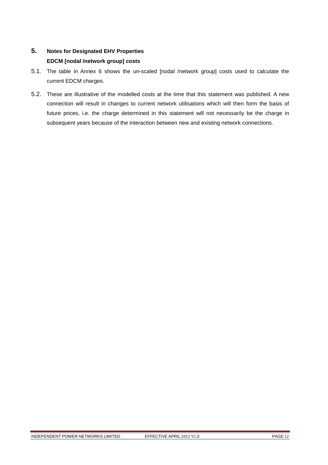# **5. Notes for Designated EHV Properties EDCM [nodal /network group] costs**

- 5.1. The table in Annex 6 shows the un-scaled [nodal /network group] costs used to calculate the current EDCM charges.
- 5.2. These are illustrative of the modelled costs at the time that this statement was published. A new connection will result in changes to current network utilisations which will then form the basis of future prices, i.e. the charge determined in this statement will not necessarily be the charge in subsequent years because of the interaction between new and existing network connections.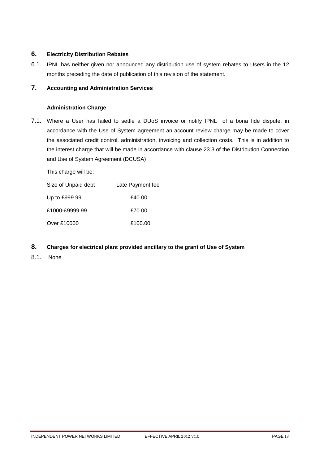# **6. Electricity Distribution Rebates**

6.1. IPNL has neither given nor announced any distribution use of system rebates to Users in the 12 months preceding the date of publication of this revision of the statement.

# **7. Accounting and Administration Services**

# **Administration Charge**

7.1. Where a User has failed to settle a DUoS invoice or notify IPNL of a bona fide dispute, in accordance with the Use of System agreement an account review charge may be made to cover the associated credit control, administration, invoicing and collection costs. This is in addition to the interest charge that will be made in accordance with clause 23.3 of the Distribution Connection and Use of System Agreement (DCUSA)

This charge will be;

| Size of Unpaid debt | Late Payment fee |
|---------------------|------------------|
| Up to £999.99       | £40.00           |
| £1000-£9999.99      | £70.00           |
| Over £10000         | £100.00          |

- **8. Charges for electrical plant provided ancillary to the grant of Use of System**
- 8.1. None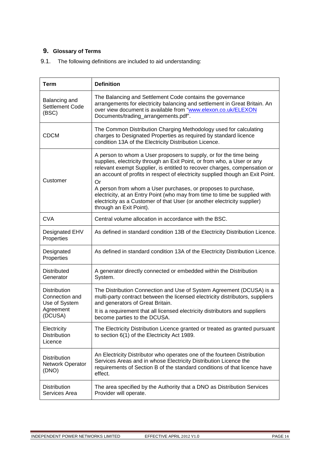# **9. Glossary of Terms**

| 9.1. |  |  |  | The following definitions are included to aid understanding: |
|------|--|--|--|--------------------------------------------------------------|
|------|--|--|--|--------------------------------------------------------------|

| <b>Term</b>                                                                    | <b>Definition</b>                                                                                                                                                                                                                                                                                                                                                                                                                                                                                                                                                        |
|--------------------------------------------------------------------------------|--------------------------------------------------------------------------------------------------------------------------------------------------------------------------------------------------------------------------------------------------------------------------------------------------------------------------------------------------------------------------------------------------------------------------------------------------------------------------------------------------------------------------------------------------------------------------|
| Balancing and<br>Settlement Code<br>(BSC)                                      | The Balancing and Settlement Code contains the governance<br>arrangements for electricity balancing and settlement in Great Britain. An<br>over view document is available from "www.elexon.co.uk/ELEXON<br>Documents/trading_arrangements.pdf".                                                                                                                                                                                                                                                                                                                         |
| <b>CDCM</b>                                                                    | The Common Distribution Charging Methodology used for calculating<br>charges to Designated Properties as required by standard licence<br>condition 13A of the Electricity Distribution Licence.                                                                                                                                                                                                                                                                                                                                                                          |
| Customer                                                                       | A person to whom a User proposers to supply, or for the time being<br>supplies, electricity through an Exit Point, or from who, a User or any<br>relevant exempt Supplier, is entitled to recover charges, compensation or<br>an account of profits in respect of electricity supplied though an Exit Point.<br>Or<br>A person from whom a User purchases, or proposes to purchase,<br>electricity, at an Entry Point (who may from time to time be supplied with<br>electricity as a Customer of that User (or another electricity supplier)<br>through an Exit Point). |
| <b>CVA</b>                                                                     | Central volume allocation in accordance with the BSC.                                                                                                                                                                                                                                                                                                                                                                                                                                                                                                                    |
| <b>Designated EHV</b><br>Properties                                            | As defined in standard condition 13B of the Electricity Distribution Licence.                                                                                                                                                                                                                                                                                                                                                                                                                                                                                            |
| Designated<br>Properties                                                       | As defined in standard condition 13A of the Electricity Distribution Licence.                                                                                                                                                                                                                                                                                                                                                                                                                                                                                            |
| <b>Distributed</b><br>Generator                                                | A generator directly connected or embedded within the Distribution<br>System.                                                                                                                                                                                                                                                                                                                                                                                                                                                                                            |
| <b>Distribution</b><br>Connection and<br>Use of System<br>Agreement<br>(DCUSA) | The Distribution Connection and Use of System Agreement (DCUSA) is a<br>multi-party contract between the licensed electricity distributors, suppliers<br>and generators of Great Britain.<br>It is a requirement that all licensed electricity distributors and suppliers<br>become parties to the DCUSA.                                                                                                                                                                                                                                                                |
| Electricity<br><b>Distribution</b><br>Licence                                  | The Electricity Distribution Licence granted or treated as granted pursuant<br>to section 6(1) of the Electricity Act 1989.                                                                                                                                                                                                                                                                                                                                                                                                                                              |
| <b>Distribution</b><br>Network Operator<br>(DNO)                               | An Electricity Distributor who operates one of the fourteen Distribution<br>Services Areas and in whose Electricity Distribution Licence the<br>requirements of Section B of the standard conditions of that licence have<br>effect.                                                                                                                                                                                                                                                                                                                                     |
| <b>Distribution</b><br>Services Area                                           | The area specified by the Authority that a DNO as Distribution Services<br>Provider will operate.                                                                                                                                                                                                                                                                                                                                                                                                                                                                        |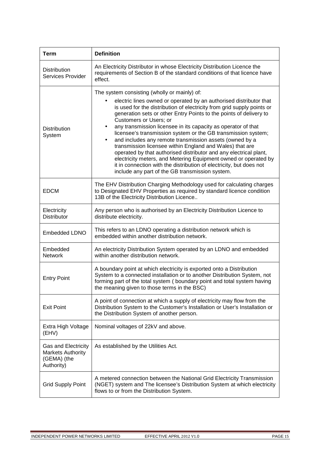| <b>Term</b>                                                                  | <b>Definition</b>                                                                                                                                                                                                                                                                                                                                                                                                                                                                                                                                                                                                                                                                                                                                                                                                                                             |
|------------------------------------------------------------------------------|---------------------------------------------------------------------------------------------------------------------------------------------------------------------------------------------------------------------------------------------------------------------------------------------------------------------------------------------------------------------------------------------------------------------------------------------------------------------------------------------------------------------------------------------------------------------------------------------------------------------------------------------------------------------------------------------------------------------------------------------------------------------------------------------------------------------------------------------------------------|
| <b>Distribution</b><br><b>Services Provider</b>                              | An Electricity Distributor in whose Electricity Distribution Licence the<br>requirements of Section B of the standard conditions of that licence have<br>effect.                                                                                                                                                                                                                                                                                                                                                                                                                                                                                                                                                                                                                                                                                              |
| <b>Distribution</b><br>System                                                | The system consisting (wholly or mainly) of:<br>electric lines owned or operated by an authorised distributor that<br>$\bullet$<br>is used for the distribution of electricity from grid supply points or<br>generation sets or other Entry Points to the points of delivery to<br><b>Customers or Users; or</b><br>any transmission licensee in its capacity as operator of that<br>$\bullet$<br>licensee's transmission system or the GB transmission system;<br>and includes any remote transmission assets (owned by a<br>٠<br>transmission licensee within England and Wales) that are<br>operated by that authorised distributor and any electrical plant,<br>electricity meters, and Metering Equipment owned or operated by<br>it in connection with the distribution of electricity, but does not<br>include any part of the GB transmission system. |
| <b>EDCM</b>                                                                  | The EHV Distribution Charging Methodology used for calculating charges<br>to Designated EHV Properties as required by standard licence condition<br>13B of the Electricity Distribution Licence                                                                                                                                                                                                                                                                                                                                                                                                                                                                                                                                                                                                                                                               |
| Electricity<br><b>Distributor</b>                                            | Any person who is authorised by an Electricity Distribution Licence to<br>distribute electricity.                                                                                                                                                                                                                                                                                                                                                                                                                                                                                                                                                                                                                                                                                                                                                             |
| Embedded LDNO                                                                | This refers to an LDNO operating a distribution network which is<br>embedded within another distribution network.                                                                                                                                                                                                                                                                                                                                                                                                                                                                                                                                                                                                                                                                                                                                             |
| Embedded<br><b>Network</b>                                                   | An electricity Distribution System operated by an LDNO and embedded<br>within another distribution network.                                                                                                                                                                                                                                                                                                                                                                                                                                                                                                                                                                                                                                                                                                                                                   |
| <b>Entry Point</b>                                                           | A boundary point at which electricity is exported onto a Distribution<br>System to a connected installation or to another Distribution System, not<br>forming part of the total system (boundary point and total system having<br>the meaning given to those terms in the BSC)                                                                                                                                                                                                                                                                                                                                                                                                                                                                                                                                                                                |
| <b>Exit Point</b>                                                            | A point of connection at which a supply of electricity may flow from the<br>Distribution System to the Customer's Installation or User's Installation or<br>the Distribution System of another person.                                                                                                                                                                                                                                                                                                                                                                                                                                                                                                                                                                                                                                                        |
| Extra High Voltage<br>(EHV)                                                  | Nominal voltages of 22kV and above.                                                                                                                                                                                                                                                                                                                                                                                                                                                                                                                                                                                                                                                                                                                                                                                                                           |
| Gas and Electricity<br><b>Markets Authority</b><br>(GEMA) (the<br>Authority) | As established by the Utilities Act.                                                                                                                                                                                                                                                                                                                                                                                                                                                                                                                                                                                                                                                                                                                                                                                                                          |
| <b>Grid Supply Point</b>                                                     | A metered connection between the National Grid Electricity Transmission<br>(NGET) system and The licensee's Distribution System at which electricity<br>flows to or from the Distribution System.                                                                                                                                                                                                                                                                                                                                                                                                                                                                                                                                                                                                                                                             |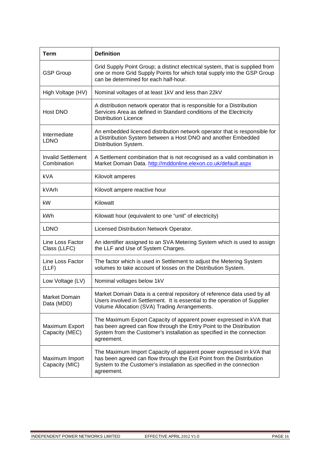| <b>Term</b>                              | <b>Definition</b>                                                                                                                                                                                                                   |
|------------------------------------------|-------------------------------------------------------------------------------------------------------------------------------------------------------------------------------------------------------------------------------------|
| <b>GSP Group</b>                         | Grid Supply Point Group; a distinct electrical system, that is supplied from<br>one or more Grid Supply Points for which total supply into the GSP Group<br>can be determined for each half-hour.                                   |
| High Voltage (HV)                        | Nominal voltages of at least 1kV and less than 22kV                                                                                                                                                                                 |
| Host DNO                                 | A distribution network operator that is responsible for a Distribution<br>Services Area as defined in Standard conditions of the Electricity<br><b>Distribution Licence</b>                                                         |
| Intermediate<br><b>LDNO</b>              | An embedded licenced distribution network operator that is responsible for<br>a Distribution System between a Host DNO and another Embedded<br>Distribution System.                                                                 |
| <b>Invalid Settlement</b><br>Combination | A Settlement combination that is not recognised as a valid combination in<br>Market Domain Data. http://mddonline.elexon.co.uk/default.aspx                                                                                         |
| <b>kVA</b>                               | Kilovolt amperes                                                                                                                                                                                                                    |
| kVArh                                    | Kilovolt ampere reactive hour                                                                                                                                                                                                       |
| kW                                       | Kilowatt                                                                                                                                                                                                                            |
| kWh                                      | Kilowatt hour (equivalent to one "unit" of electricity)                                                                                                                                                                             |
| <b>LDNO</b>                              | Licensed Distribution Network Operator.                                                                                                                                                                                             |
| Line Loss Factor<br>Class (LLFC)         | An identifier assigned to an SVA Metering System which is used to assign<br>the LLF and Use of System Charges.                                                                                                                      |
| Line Loss Factor<br>(LLF)                | The factor which is used in Settlement to adjust the Metering System<br>volumes to take account of losses on the Distribution System.                                                                                               |
| Low Voltage (LV)                         | Nominal voltages below 1kV                                                                                                                                                                                                          |
| Market Domain<br>Data (MDD)              | Market Domain Data is a central repository of reference data used by all<br>Users involved in Settlement. It is essential to the operation of Supplier<br>Volume Allocation (SVA) Trading Arrangements.                             |
| Maximum Export<br>Capacity (MEC)         | The Maximum Export Capacity of apparent power expressed in kVA that<br>has been agreed can flow through the Entry Point to the Distribution<br>System from the Customer's installation as specified in the connection<br>agreement. |
| Maximum Import<br>Capacity (MIC)         | The Maximum Import Capacity of apparent power expressed in kVA that<br>has been agreed can flow through the Exit Point from the Distribution<br>System to the Customer's installation as specified in the connection<br>agreement.  |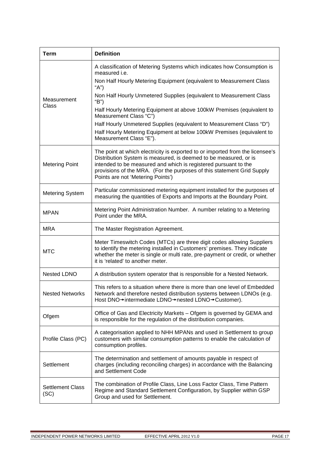| <b>Term</b>                     | <b>Definition</b>                                                                                                                                                                                                                                                                                                                   |
|---------------------------------|-------------------------------------------------------------------------------------------------------------------------------------------------------------------------------------------------------------------------------------------------------------------------------------------------------------------------------------|
|                                 | A classification of Metering Systems which indicates how Consumption is<br>measured <i>i.e.</i>                                                                                                                                                                                                                                     |
|                                 | Non Half Hourly Metering Equipment (equivalent to Measurement Class<br>"A")                                                                                                                                                                                                                                                         |
| Measurement                     | Non Half Hourly Unmetered Supplies (equivalent to Measurement Class<br>"B")                                                                                                                                                                                                                                                         |
| Class                           | Half Hourly Metering Equipment at above 100kW Premises (equivalent to<br>Measurement Class "C")                                                                                                                                                                                                                                     |
|                                 | Half Hourly Unmetered Supplies (equivalent to Measurement Class "D")                                                                                                                                                                                                                                                                |
|                                 | Half Hourly Metering Equipment at below 100kW Premises (equivalent to<br>Measurement Class "E").                                                                                                                                                                                                                                    |
| <b>Metering Point</b>           | The point at which electricity is exported to or imported from the licensee's<br>Distribution System is measured, is deemed to be measured, or is<br>intended to be measured and which is registered pursuant to the<br>provisions of the MRA. (For the purposes of this statement Grid Supply<br>Points are not 'Metering Points') |
| <b>Metering System</b>          | Particular commissioned metering equipment installed for the purposes of<br>measuring the quantities of Exports and Imports at the Boundary Point.                                                                                                                                                                                  |
| <b>MPAN</b>                     | Metering Point Administration Number. A number relating to a Metering<br>Point under the MRA.                                                                                                                                                                                                                                       |
| <b>MRA</b>                      | The Master Registration Agreement.                                                                                                                                                                                                                                                                                                  |
| <b>MTC</b>                      | Meter Timeswitch Codes (MTCs) are three digit codes allowing Suppliers<br>to identify the metering installed in Customers' premises. They indicate<br>whether the meter is single or multi rate, pre-payment or credit, or whether<br>it is 'related' to another meter.                                                             |
| <b>Nested LDNO</b>              | A distribution system operator that is responsible for a Nested Network.                                                                                                                                                                                                                                                            |
| <b>Nested Networks</b>          | This refers to a situation where there is more than one level of Embedded<br>Network and therefore nested distribution systems between LDNOs (e.g.<br>Host DNO→intermediate LDNO→nested LDNO→Customer).                                                                                                                             |
| Ofgem                           | Office of Gas and Electricity Markets - Ofgem is governed by GEMA and<br>is responsible for the regulation of the distribution companies.                                                                                                                                                                                           |
| Profile Class (PC)              | A categorisation applied to NHH MPANs and used in Settlement to group<br>customers with similar consumption patterns to enable the calculation of<br>consumption profiles.                                                                                                                                                          |
| Settlement                      | The determination and settlement of amounts payable in respect of<br>charges (including reconciling charges) in accordance with the Balancing<br>and Settlement Code                                                                                                                                                                |
| <b>Settlement Class</b><br>(SC) | The combination of Profile Class, Line Loss Factor Class, Time Pattern<br>Regime and Standard Settlement Configuration, by Supplier within GSP<br>Group and used for Settlement.                                                                                                                                                    |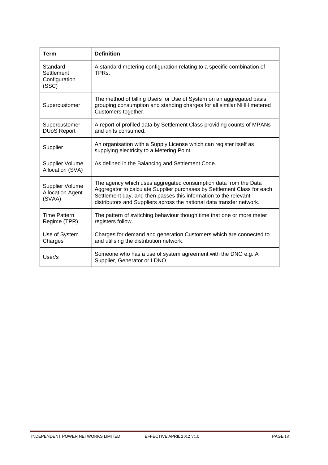| <b>Term</b>                                          | <b>Definition</b>                                                                                                                                                                                                                                                                       |
|------------------------------------------------------|-----------------------------------------------------------------------------------------------------------------------------------------------------------------------------------------------------------------------------------------------------------------------------------------|
| Standard<br>Settlement<br>Configuration<br>(SSC)     | A standard metering configuration relating to a specific combination of<br>TPR <sub>S</sub>                                                                                                                                                                                             |
| Supercustomer                                        | The method of billing Users for Use of System on an aggregated basis,<br>grouping consumption and standing charges for all similar NHH metered<br>Customers together.                                                                                                                   |
| Supercustomer<br><b>DUoS Report</b>                  | A report of profiled data by Settlement Class providing counts of MPANs<br>and units consumed.                                                                                                                                                                                          |
| Supplier                                             | An organisation with a Supply License which can register itself as<br>supplying electricity to a Metering Point.                                                                                                                                                                        |
| Supplier Volume<br>Allocation (SVA)                  | As defined in the Balancing and Settlement Code.                                                                                                                                                                                                                                        |
| Supplier Volume<br><b>Allocation Agent</b><br>(SVAA) | The agency which uses aggregated consumption data from the Data<br>Aggregator to calculate Supplier purchases by Settlement Class for each<br>Settlement day, and then passes this information to the relevant<br>distributors and Suppliers across the national data transfer network. |
| Time Pattern<br>Regime (TPR)                         | The pattern of switching behaviour though time that one or more meter<br>registers follow.                                                                                                                                                                                              |
| Use of System<br>Charges                             | Charges for demand and generation Customers which are connected to<br>and utilising the distribution network.                                                                                                                                                                           |
| User/s                                               | Someone who has a use of system agreement with the DNO e.g. A<br>Supplier, Generator or LDNO.                                                                                                                                                                                           |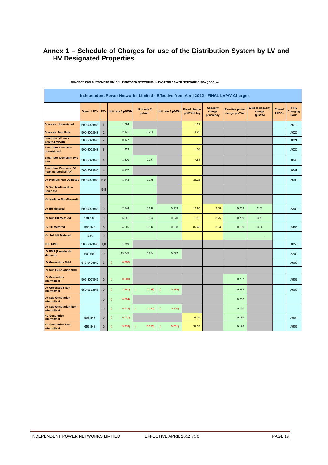# **Annex 1 – Schedule of Charges for use of the Distribution System by LV and HV Designated Properties**

|                                                             | Independent Power Networks Limited - Effective from April 2012 - FINAL LV/HV Charges |                |                   |                      |                   |                                   |                                        |                                         |                                             |                               |                                        |  |  |  |
|-------------------------------------------------------------|--------------------------------------------------------------------------------------|----------------|-------------------|----------------------|-------------------|-----------------------------------|----------------------------------------|-----------------------------------------|---------------------------------------------|-------------------------------|----------------------------------------|--|--|--|
|                                                             | <b>Open LLFCs</b>                                                                    | PCs            | Unit rate 1 p/kWh | Unit rate 2<br>p/kWh | Unit rate 3 p/kWh | <b>Fixed charge</b><br>p/MPAN/day | <b>Capacity</b><br>charge<br>p/kVA/day | <b>Reactive power</b><br>charge p/kVArh | <b>Excess Capacity</b><br>charge<br>(p/kVA) | <b>Closed</b><br><b>LLFCs</b> | <b>IPNL</b><br><b>Charging</b><br>Code |  |  |  |
| Domestic Unrestricted                                       | 500,502,843                                                                          | $\mathbf{1}$   | 1.684             |                      |                   | 4.29                              |                                        |                                         |                                             |                               | A010                                   |  |  |  |
| <b>Domestic Two Rate</b>                                    | 500,502,843                                                                          | $\overline{2}$ | 2.141             | 0.200                |                   | 4.29                              |                                        |                                         |                                             |                               | A020                                   |  |  |  |
| <b>Domestic Off Peak</b><br>(related MPAN)                  | 500,502,843                                                                          | $\overline{2}$ | 0.147             |                      |                   |                                   |                                        |                                         |                                             |                               | A021                                   |  |  |  |
| <b>Small Non Domestic</b><br><b>Unrestricted</b>            | 500,502,843                                                                          | 3              | 1.453             |                      |                   | 4.58                              |                                        |                                         |                                             |                               | A030                                   |  |  |  |
| <b>Small Non Domestic Two</b><br>Rate                       | 500,502,843                                                                          | $\overline{4}$ | 1.630             | 0.177                |                   | 4.58                              |                                        |                                         |                                             |                               | A040                                   |  |  |  |
| <b>Small Non Domestic Off</b><br><b>Peak (related MPAN)</b> | 500,502,843                                                                          | $\overline{4}$ | 0.177             |                      |                   |                                   |                                        |                                         |                                             |                               | A041                                   |  |  |  |
| <b>LV Medium Non-Domestic</b>                               | 500,502,843                                                                          | $5 - 8$        | 1.443             | 0.175                |                   | 35.23                             |                                        |                                         |                                             |                               | A090                                   |  |  |  |
| LV Sub Medium Non-<br><b>Domestic</b>                       |                                                                                      | $5 - 8$        |                   |                      |                   |                                   |                                        |                                         |                                             |                               |                                        |  |  |  |
| <b>HV Medium Non-Domestic</b>                               |                                                                                      |                |                   |                      |                   |                                   |                                        |                                         |                                             |                               |                                        |  |  |  |
| LV HH Metered                                               | 500,502,843                                                                          | $\mathbf 0$    | 7.744             | 0.216                | 0.109             | 11.95                             | 2.58                                   | 0.259                                   | 2.58                                        |                               | A300                                   |  |  |  |
| <b>LV Sub HH Metered</b>                                    | 501,503                                                                              | $\pmb{0}$      | 6.881             | 0.172                | 0.070             | 8.19                              | 3.75                                   | 0.209                                   | 3.75                                        |                               |                                        |  |  |  |
| <b>HV HH Metered</b>                                        | 504,844                                                                              | $\mathbf 0$    | 4.665             | 0.112                | 0.038             | 82.40                             | 3.54                                   | 0.139                                   | 3.54                                        |                               | A400                                   |  |  |  |
| <b>HV Sub HH Metered</b>                                    | 505                                                                                  | $\mathbf 0$    |                   |                      |                   |                                   |                                        |                                         |                                             |                               |                                        |  |  |  |
| <b>NHH UMS</b>                                              | 500,502,843                                                                          | 1,8            | 1.759             |                      |                   |                                   |                                        |                                         |                                             |                               | A050                                   |  |  |  |
| LV UMS (Pseudo HH<br>Metered)                               | 500,502                                                                              | $\mathbf{0}$   | 15.545            | 0.884                | 0.692             |                                   |                                        |                                         |                                             |                               | A200                                   |  |  |  |
| <b>LV Generation NHH</b>                                    | 648,649,842                                                                          | 8              | 0.800             |                      |                   |                                   |                                        |                                         |                                             |                               | A900                                   |  |  |  |
| <b>LV Sub Generation NHH</b>                                |                                                                                      |                |                   |                      |                   |                                   |                                        |                                         |                                             |                               |                                        |  |  |  |
| <b>LV Generation</b><br>Intermittent                        | 506,507,845                                                                          | $\mathbf 0$    | 0.800)<br>-0      |                      |                   |                                   |                                        | 0.257                                   |                                             |                               | A902                                   |  |  |  |
| <b>LV Generation Non-</b><br>Intermittent                   | 650,651,846                                                                          | $\mathbf 0$    | 7.361)            | 0.215)               | 0.118             |                                   |                                        | 0.257                                   |                                             |                               | A903                                   |  |  |  |
| <b>LV Sub Generation</b><br>Intermittent                    |                                                                                      | $\bf 0$        | 0.734)            |                      |                   |                                   |                                        | 0.236                                   |                                             |                               |                                        |  |  |  |
| <b>LV Sub Generation Non-</b><br>Intermittent               |                                                                                      | $\mathbf 0$    | 6.813)            | 0.193)               | 0.100)<br>(       |                                   |                                        | 0.236                                   |                                             |                               |                                        |  |  |  |
| <b>HV</b> Generation<br>Intermittent                        | 508,847                                                                              | $\bf 0$        | 0.551)            |                      |                   | 39.34                             |                                        | 0.198                                   |                                             |                               | A904                                   |  |  |  |
| <b>HV Generation Non-</b><br>Intermittent                   | 652,848                                                                              | $\overline{0}$ | 5.318             | 0.132)               | 0.051)            | 39.34                             |                                        | 0.198                                   |                                             |                               | A905                                   |  |  |  |

**CHARGES FOR CUSTOMERS ON IPNL EMBEDDED NETWORKS IN EASTERN POWER NETWORK'S DSA ( GSP\_A)**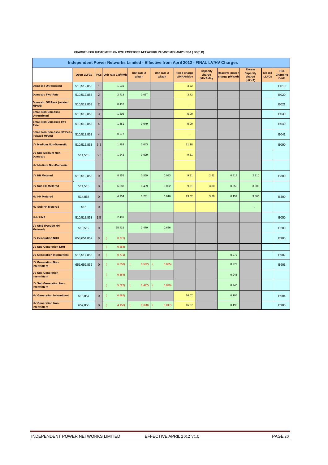| Independent Power Networks Limited - Effective from April 2012 - FINAL LV/HV Charges |                   |                |                   |                      |                      |                                   |                                        |                                         |                                                       |                        |                                        |  |
|--------------------------------------------------------------------------------------|-------------------|----------------|-------------------|----------------------|----------------------|-----------------------------------|----------------------------------------|-----------------------------------------|-------------------------------------------------------|------------------------|----------------------------------------|--|
|                                                                                      | <b>Open LLFCs</b> | <b>PCs</b>     | Unit rate 1 p/kWh | Unit rate 2<br>p/kWh | Unit rate 3<br>p/kWh | <b>Fixed charge</b><br>p/MPAN/day | <b>Capacity</b><br>charge<br>p/kVA/day | <b>Reactive power</b><br>charge p/kVArh | <b>Excess</b><br><b>Capacity</b><br>charge<br>(p/kVA) | Closed<br><b>LLFCs</b> | <b>IPNL</b><br><b>Charging</b><br>Code |  |
| <b>Domestic Unrestricted</b>                                                         | 510,512,853       | $\overline{1}$ | 1.931             |                      |                      | 3.72                              |                                        |                                         |                                                       |                        | <b>B010</b>                            |  |
| <b>Domestic Two Rate</b>                                                             | 510,512,853       | $\overline{2}$ | 2.413             | 0.057                |                      | 3.72                              |                                        |                                         |                                                       |                        | <b>B020</b>                            |  |
| <b>Domestic Off Peak (related</b><br><b>MPAN)</b>                                    | 510,512,853       | $\overline{2}$ | 0.418             |                      |                      |                                   |                                        |                                         |                                                       |                        | B021                                   |  |
| <b>Small Non Domestic</b><br><b>Unrestricted</b>                                     | 510,512,853       | $\sqrt{3}$     | 1.695             |                      |                      | 5.00                              |                                        |                                         |                                                       |                        | <b>B030</b>                            |  |
| <b>Small Non Domestic Two</b><br>Rate                                                | 510,512,853       | $\sqrt{4}$     | 1.861             | 0.049                |                      | 5.00                              |                                        |                                         |                                                       |                        | <b>B040</b>                            |  |
| <b>Small Non Domestic Off Peak</b><br>(related MPAN)                                 | 510,512,853       | $\overline{4}$ | 0.277             |                      |                      | ×                                 |                                        |                                         |                                                       |                        | B041                                   |  |
| <b>LV Medium Non-Domestic</b>                                                        | 510,512,853       | $5 - 8$        | 1.763             | 0.043                |                      | 31.18                             |                                        |                                         |                                                       |                        | <b>B090</b>                            |  |
| LV Sub Medium Non-<br><b>Domestic</b>                                                | 511,513           | $5 - 8$        | 1.242             | 0.029                |                      | 9.31                              |                                        |                                         |                                                       |                        |                                        |  |
| <b>HV Medium Non-Domestic</b>                                                        |                   |                |                   |                      |                      |                                   |                                        |                                         |                                                       |                        |                                        |  |
| <b>LV HH Metered</b>                                                                 | 510,512,853       | $\pmb{0}$      | 8.255             | 0.569                | 0.033                | 9.31                              | 2.21                                   | 0.314                                   | 2.210                                                 |                        | <b>B300</b>                            |  |
| <b>LV Sub HH Metered</b>                                                             | 511,513           | $\mathbf 0$    | 6.683             | 0.409                | 0.022                | 9.31                              | 3.00                                   | 0.256                                   | 3.000                                                 |                        |                                        |  |
| <b>HV HH Metered</b>                                                                 | 514,854           | $\pmb{0}$      | 4.934             | 0.231                | 0.010                | 93.62                             | 3.86                                   | 0.159                                   | 3.860                                                 |                        | <b>B400</b>                            |  |
| <b>HV Sub HH Metered</b>                                                             | 515               | $\mathbf 0$    |                   |                      |                      |                                   |                                        |                                         | ÷,                                                    |                        |                                        |  |
| <b>NHH UMS</b>                                                                       | 510,512,853       | 1,8            | 2.481             |                      |                      |                                   |                                        |                                         |                                                       |                        | <b>B050</b>                            |  |
| LV UMS (Pseudo HH<br>Metered)                                                        | 510,512           | $\mathbf 0$    | 25.432            | 2.479                | 0.686                |                                   |                                        |                                         |                                                       |                        | <b>B200</b>                            |  |
| <b>LV Generation NHH</b>                                                             | 653,654,852       | $\bf 8$        | 0.771)            |                      |                      |                                   |                                        |                                         |                                                       |                        | <b>B900</b>                            |  |
| <b>LV Sub Generation NHH</b>                                                         |                   |                | 0.664)            |                      |                      |                                   |                                        |                                         |                                                       |                        |                                        |  |
| <b>LV Generation Intermittent</b>                                                    | 516,517,855       | $\mathbf 0$    | 0.771)            |                      |                      |                                   |                                        | 0.272                                   |                                                       |                        | B902                                   |  |
| <b>LV Generation Non-</b><br><b>Intermittent</b>                                     | 655,656,856       | $\mathbf 0$    | 6.353)            | 0.592)               | 0.035)               |                                   |                                        | 0.272                                   |                                                       |                        | <b>B903</b>                            |  |
| <b>LV Sub Generation</b><br>Intermittent                                             |                   |                | 0.664)            |                      |                      |                                   |                                        | 0.246                                   |                                                       |                        |                                        |  |
| <b>LV Sub Generation Non-</b><br><b>Intermittent</b>                                 |                   |                | 5.522             | 0.497)               | 0.029)               |                                   |                                        | 0.246                                   |                                                       |                        |                                        |  |
| <b>HV Generation Intermittent</b>                                                    | 518,857           | $\pmb{0}$      | 0.482)            |                      |                      | 16.07                             |                                        | 0.195                                   |                                                       |                        | <b>B904</b>                            |  |
| <b>HV Generation Non-</b><br>Intermittent                                            | 657,858           | $\pmb{0}$      | 4.153)            | 0.328                | 0.017)               | 16.07                             |                                        | 0.195                                   |                                                       |                        | <b>B905</b>                            |  |

#### **CHARGES FOR CUSTOMERS ON IPNL EMBEDDED NETWORKS IN EAST MIDLAND'S DSA ( GSP\_B)**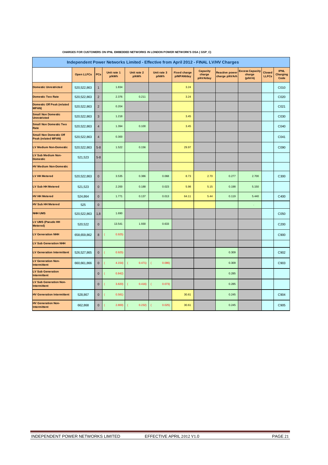| Independent Power Networks Limited - Effective from April 2012 - FINAL LV/HV Charges |                   |                |                      |                      |                      |                                   |                                        |                                         |                                             |                               |                                        |  |
|--------------------------------------------------------------------------------------|-------------------|----------------|----------------------|----------------------|----------------------|-----------------------------------|----------------------------------------|-----------------------------------------|---------------------------------------------|-------------------------------|----------------------------------------|--|
|                                                                                      | <b>Open LLFCs</b> | PCs            | Unit rate 1<br>p/kWh | Unit rate 2<br>p/kWh | Unit rate 3<br>p/kWh | <b>Fixed charge</b><br>p/MPAN/day | <b>Capacity</b><br>charge<br>p/kVA/day | <b>Reactive power</b><br>charge p/kVArh | <b>Excess Capacity</b><br>charge<br>(p/kVA) | <b>Closed</b><br><b>LLFCs</b> | <b>IPNL</b><br><b>Charging</b><br>Code |  |
| <b>Domestic Unrestricted</b>                                                         | 520,522,863       | $\mathbf{1}$   | 1.834                |                      |                      | 3.24                              |                                        |                                         |                                             |                               | C010                                   |  |
| <b>Domestic Two Rate</b>                                                             | 520,522,863       | $\sqrt{2}$     | 2.376                | 0.211                |                      | 3.24                              |                                        |                                         |                                             |                               | C020                                   |  |
| <b>Domestic Off Peak (related</b><br><b>MPAN)</b>                                    | 520,522,863       | $\overline{2}$ | 0.204                |                      |                      |                                   |                                        |                                         |                                             |                               | C021                                   |  |
| <b>Small Non Domestic</b><br><b>Unrestricted</b>                                     | 520, 522, 863     | 3              | 1.218                |                      |                      | 3.45                              |                                        |                                         |                                             |                               | C030                                   |  |
| <b>Small Non Domestic Two</b><br>Rate                                                | 520, 522, 863     | $\overline{4}$ | 1.394                | 0.100                |                      | 3.45                              |                                        |                                         |                                             |                               | C040                                   |  |
| <b>Small Non Domestic Off</b><br><b>Peak (related MPAN)</b>                          | 520, 522, 863     | $\overline{4}$ | 0.300                |                      |                      |                                   |                                        |                                         |                                             |                               | C041                                   |  |
| <b>LV Medium Non-Domestic</b>                                                        | 520, 522, 863     | $5 - 8$        | 1.522                | 0.156                |                      | 29.97                             |                                        |                                         |                                             |                               | C090                                   |  |
| LV Sub Medium Non-<br><b>Domestic</b>                                                | 521,523           | $5 - 8$        |                      |                      |                      |                                   |                                        |                                         |                                             |                               |                                        |  |
| <b>HV Medium Non-Domestic</b>                                                        |                   |                |                      |                      |                      |                                   |                                        |                                         |                                             |                               |                                        |  |
| <b>LV HH Metered</b>                                                                 | 520,522,863       | $\mathbf 0$    | 3.535                | 0.386                | 0.068                | 8.73                              | 2.70                                   | 0.277                                   | 2.700                                       |                               | C300                                   |  |
| <b>LV Sub HH Metered</b>                                                             | 521,523           | $\mathbf 0$    | 2.200                | 0.188                | 0.023                | 5.98                              | 5.15                                   | 0.198                                   | 5.150                                       |                               |                                        |  |
| <b>HV HH Metered</b>                                                                 | 524,864           | $\pmb{0}$      | 1.771                | 0.137                | 0.013                | 64.11                             | 5.44                                   | 0.119                                   | 5.440                                       |                               | C400                                   |  |
| <b>HV Sub HH Metered</b>                                                             | 525               | $\mathbf 0$    |                      |                      |                      |                                   |                                        |                                         |                                             |                               |                                        |  |
| <b>NHH UMS</b>                                                                       | 520, 522, 863     | 1,8            | 1.690                |                      |                      |                                   |                                        |                                         |                                             |                               | C <sub>050</sub>                       |  |
| LV UMS (Pseudo HH<br><b>Metered</b> )                                                | 520,522           | $\mathbf 0$    | 13.541               | 1.930                | 0.633                |                                   |                                        |                                         |                                             |                               | C <sub>200</sub>                       |  |
| <b>LV Generation NHH</b>                                                             | 658,659,862       | 8              | 0.925                |                      |                      |                                   |                                        |                                         |                                             |                               | C900                                   |  |
| <b>LV Sub Generation NHH</b>                                                         |                   |                |                      |                      |                      |                                   |                                        |                                         |                                             |                               |                                        |  |
| <b>LV Generation Intermittent</b>                                                    | 526,527,865       | $\mathbf{0}$   | 0.925)               |                      |                      |                                   |                                        | 0.309                                   |                                             |                               | C902                                   |  |
| <b>LV Generation Non-</b><br>Intermittent                                            | 660,661,866       | $\mathbf{0}$   | 4.154                | 0.471)               | 0.086                |                                   |                                        | 0.309                                   |                                             |                               | C903                                   |  |
| <b>LV Sub Generation</b><br>Intermittent                                             |                   | $\pmb{0}$      | 0.842                |                      |                      |                                   |                                        | 0.285                                   |                                             |                               |                                        |  |
| <b>LV Sub Generation Non-</b><br>Intermittent                                        |                   | $\mathbf{0}$   | 3.820                | 0.416)               | 0.073)               |                                   |                                        | 0.285                                   |                                             |                               |                                        |  |
| <b>HV Generation Intermittent</b>                                                    | 528,867           | $\mathbf{0}$   | 0.581)               |                      |                      | 30.61                             |                                        | 0.245                                   |                                             |                               | C904                                   |  |
| <b>HV Generation Non-</b><br>Intermittent                                            | 662.868           | $\mathbf{0}$   | 2.800                | 0.232)               | 0.025                | 30.61                             |                                        | 0.245                                   |                                             |                               | C905                                   |  |

#### **CHARGES FOR CUSTOMERS ON IPNL EMBEDDED NETWORKS IN LONDON POWER NETWORK'S DSA ( GSP\_C)**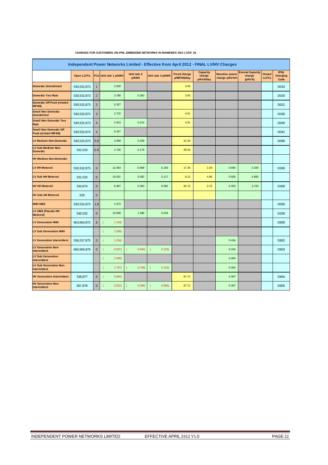| Independent Power Networks Limited - Effective from April 2012 - FINAL LV/HV Charges |                   |                |                       |                      |                   |                                   |                                        |                                         |                                             |                               |                                        |  |
|--------------------------------------------------------------------------------------|-------------------|----------------|-----------------------|----------------------|-------------------|-----------------------------------|----------------------------------------|-----------------------------------------|---------------------------------------------|-------------------------------|----------------------------------------|--|
|                                                                                      | <b>Open LLFCs</b> |                | PCs Unit rate 1 p/kWh | Unit rate 2<br>p/kWh | Unit rate 3 p/kWh | <b>Fixed charge</b><br>p/MPAN/day | <b>Capacity</b><br>charge<br>p/kVA/day | <b>Reactive power</b><br>charge p/kVArh | <b>Excess Capacity</b><br>charge<br>(p/kVA) | <b>Closed</b><br><b>LLFCs</b> | <b>IPNL</b><br><b>Charging</b><br>Code |  |
| <b>Domestic Unrestricted</b>                                                         | 530, 532, 873     | $\mathbf{1}$   | 3.030                 |                      |                   | 3.55                              |                                        |                                         |                                             |                               | D010                                   |  |
| <b>Domestic Two Rate</b>                                                             | 530, 532, 873     | $\overline{2}$ | 3.786                 | 0.363                |                   | 3.55                              |                                        |                                         |                                             |                               | D020                                   |  |
| <b>Domestic Off Peak (related</b><br><b>MPAN)</b>                                    | 530, 532, 873     | $\overline{c}$ | 0.327                 |                      |                   |                                   |                                        |                                         |                                             |                               | D <sub>021</sub>                       |  |
| <b>Small Non Domestic</b><br><b>Unrestricted</b>                                     | 530, 532, 873     | $\overline{3}$ | 2.722                 |                      |                   | 4.51                              |                                        |                                         |                                             |                               | D030                                   |  |
| <b>Small Non Domestic Two</b><br>Rate                                                | 530, 532, 873     | $\overline{4}$ | 2.923                 | 0.214                |                   | 4.51                              |                                        |                                         |                                             |                               | D040                                   |  |
| <b>Small Non Domestic Off</b><br><b>Peak (related MPAN)</b>                          | 530, 532, 873     | $\overline{4}$ | 0.247                 |                      |                   |                                   |                                        |                                         |                                             |                               | D041                                   |  |
| <b>LV Medium Non-Domestic</b>                                                        | 530, 532, 873     | $5 - 8$        | 3.099                 | 0.206                |                   | 22.20                             |                                        |                                         |                                             |                               | D090                                   |  |
| <b>LV Sub Medium Non-</b><br><b>Domestic</b>                                         | 531,533           | $5 - 8$        | 2.736                 | 0.179                |                   | 28.53                             |                                        |                                         |                                             |                               |                                        |  |
| <b>HV Medium Non-Domestic</b>                                                        |                   |                |                       |                      |                   |                                   |                                        |                                         |                                             |                               |                                        |  |
| <b>LV HH Metered</b>                                                                 | 530, 532, 873     | $\bf 0$        | 12.403                | 0.908                | 0.155             | 17.35                             | 2.34                                   | 0.666                                   | 2.340                                       |                               | D300                                   |  |
| LV Sub HH Metered                                                                    | 531,533           | $\bf 0$        | 10.531                | 0.592                | 0.117             | 6.12                              | 4.86                                   | 0.505                                   | 4.860                                       |                               |                                        |  |
| <b>HV HH Metered</b>                                                                 | 534,874           | $\mathbf{0}$   | 8.097                 | 0.363                | 0.082             | 92.72                             | 3.72                                   | 0.353                                   | 3.720                                       |                               | D400                                   |  |
| <b>HV Sub HH Metered</b>                                                             | 535               | $\pmb{0}$      |                       |                      |                   |                                   |                                        |                                         |                                             |                               |                                        |  |
| <b>NHH UMS</b>                                                                       | 530, 532, 873     | 1,8            | 2.373                 |                      |                   |                                   |                                        |                                         |                                             |                               | D <sub>050</sub>                       |  |
| LV UMS (Pseudo HH<br>Metered)                                                        | 530,532           | $\mathbf 0$    | 15.658                | 1.588                | 0.524             |                                   |                                        |                                         |                                             |                               | D <sub>200</sub>                       |  |
| <b>LV Generation NHH</b>                                                             | 663,664,872       | $\bf 8$        | 1.154)                |                      |                   |                                   |                                        |                                         |                                             |                               | D900                                   |  |
| <b>LV Sub Generation NHH</b>                                                         |                   |                | 1.030)                |                      |                   |                                   |                                        |                                         |                                             |                               |                                        |  |
| <b>LV Generation Intermittent</b>                                                    | 536, 537, 875     | $\bf 0$        | 1.154)                |                      |                   |                                   |                                        | 0.434                                   |                                             |                               | D902                                   |  |
| <b>LV Generation Non-</b><br><b>Intermittent</b>                                     | 665,666,876       | $\pmb{0}$      | 8.537)                | 0.844)               | 0.125<br>C        |                                   |                                        | 0.434                                   |                                             |                               | D903                                   |  |
| <b>LV Sub Generation</b><br>Intermittent                                             |                   |                | 1.030)                |                      |                   |                                   |                                        | 0.404                                   |                                             |                               |                                        |  |
| <b>LV Sub Generation Non-</b><br>Intermittent                                        |                   |                | 7.737)                | 0.729)               | 0.110             |                                   |                                        | 0.404                                   |                                             |                               |                                        |  |
| <b>HV Generation Intermittent</b>                                                    | 538,877           | $\pmb{0}$      | 0.664)                |                      |                   | 67.71                             |                                        | 0.307                                   |                                             |                               | D904                                   |  |
| <b>HV Generation Non-</b><br>Intermittent                                            | 667,878           | 0              | 5.522                 | 0.356)               | 0.065)            | 67.71                             |                                        | 0.307                                   |                                             |                               | D905                                   |  |

#### **CHARGES FOR CUSTOMERS ON IPNL EMBEDDED NETWORKS IN MANWEB'S DSA ( GSP\_D)**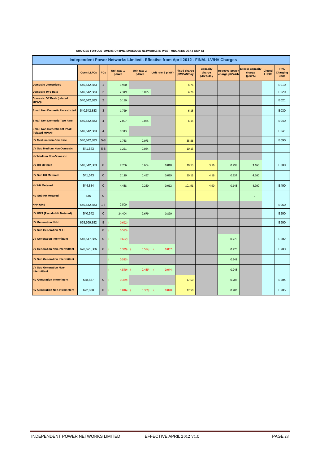| Independent Power Networks Limited - Effective from April 2012 - FINAL LV/HV Charges |                   |                |                      |                      |                   |                                   |                                        |                                         |                                             |                               |                                        |  |
|--------------------------------------------------------------------------------------|-------------------|----------------|----------------------|----------------------|-------------------|-----------------------------------|----------------------------------------|-----------------------------------------|---------------------------------------------|-------------------------------|----------------------------------------|--|
|                                                                                      | <b>Open LLFCs</b> | PCs            | Unit rate 1<br>p/kWh | Unit rate 2<br>p/kWh | Unit rate 3 p/kWh | <b>Fixed charge</b><br>p/MPAN/day | <b>Capacity</b><br>charge<br>p/kVA/day | <b>Reactive power</b><br>charge p/kVArh | <b>Excess Capacity</b><br>charge<br>(p/kVA) | <b>Closed</b><br><b>LLFCs</b> | <b>IPNL</b><br><b>Charging</b><br>Code |  |
| <b>Domestic Unrestricted</b>                                                         | 540,542,883       | $\mathbf{1}$   | 1.920                |                      |                   | 4.76                              |                                        |                                         |                                             |                               | E010                                   |  |
| <b>Domestic Two Rate</b>                                                             | 540,542,883       | $\overline{2}$ | 2.349                | 0.095                |                   | 4.76                              |                                        |                                         |                                             |                               | E020                                   |  |
| <b>Domestic Off Peak (related</b><br><b>MPAN)</b>                                    | 540, 542, 883     | $\overline{2}$ | 0.190                |                      |                   | ×                                 |                                        |                                         |                                             |                               | E021                                   |  |
| <b>Small Non Domestic Unrestricted</b>                                               | 540,542,883       | 3              | 1.729                |                      |                   | 6.15                              |                                        |                                         |                                             |                               | E030                                   |  |
| <b>Small Non Domestic Two Rate</b>                                                   | 540, 542, 883     | $\overline{4}$ | 2.007                | 0.084                |                   | 6.15                              |                                        |                                         |                                             |                               | E040                                   |  |
| <b>Small Non Domestic Off Peak</b><br>(related MPAN)                                 | 540, 542, 883     | $\overline{4}$ | 0.313                |                      |                   |                                   |                                        |                                         |                                             |                               | E041                                   |  |
| <b>LV Medium Non-Domestic</b>                                                        | 540,542,883       | $5 - 8$        | 1.783                | 0.073                |                   | 35.86                             |                                        |                                         |                                             |                               | E090                                   |  |
| LV Sub Medium Non-Domestic                                                           | 541,543           | $5 - 8$        | 1.221                | 0.044                |                   | 10.13                             |                                        |                                         |                                             |                               |                                        |  |
| <b>HV Medium Non-Domestic</b>                                                        |                   |                |                      |                      |                   |                                   |                                        |                                         |                                             |                               |                                        |  |
| <b>LV HH Metered</b>                                                                 | 540,542,883       | $\mathbf 0$    | 7.706                | 0.604                | 0.048             | 10.13                             | 3.16                                   | 0.298                                   | 3.160                                       |                               | E300                                   |  |
| <b>LV Sub HH Metered</b>                                                             | 541,543           | $\mathbf 0$    | 7.110                | 0.497                | 0.029             | 10.13                             | 4.16                                   | 0.234                                   | 4.160                                       |                               |                                        |  |
| <b>HV HH Metered</b>                                                                 | 544,884           | $\pmb{0}$      | 4.438                | 0.260                | 0.012             | 101.91                            | 4.90                                   | 0.143                                   | 4.900                                       |                               | E400                                   |  |
| <b>HV Sub HH Metered</b>                                                             | 545               | $\pmb{0}$      |                      |                      |                   |                                   |                                        |                                         | ٠                                           |                               |                                        |  |
| <b>NHH UMS</b>                                                                       | 540,542,883       | 1,8            | 2.500                |                      |                   |                                   |                                        |                                         |                                             |                               | E050                                   |  |
| LV UMS (Pseudo HH Metered)                                                           | 540,542           | $\pmb{0}$      | 24.404               | 2.679                | 0.820             |                                   |                                        |                                         |                                             |                               | E200                                   |  |
| <b>LV Generation NHH</b>                                                             | 668,669,882       | $\bf 8$        | 0.692)               |                      |                   |                                   |                                        |                                         |                                             |                               | E900                                   |  |
| <b>LV Sub Generation NHH</b>                                                         |                   | 8              | 0.583)               |                      |                   |                                   |                                        |                                         |                                             |                               |                                        |  |
| <b>LV Generation Intermittent</b>                                                    | 546,547,885       | $\mathbf 0$    | 0.692)               |                      |                   |                                   |                                        | 0.275                                   |                                             |                               | E902                                   |  |
| <b>LV Generation Non-Intermittent</b>                                                | 670,671,886       | $\mathbf 0$    | 5.339)               | 0.584)               | 0.057)            |                                   |                                        | 0.275                                   |                                             |                               | E903                                   |  |
| <b>LV Sub Generation Intermittent</b>                                                |                   |                | 0.583)               |                      |                   |                                   |                                        | 0.248                                   |                                             |                               |                                        |  |
| <b>LV Sub Generation Non-</b><br>Intermittent                                        |                   |                | 4.540)               | 0.489                | 0.044             |                                   |                                        | 0.248                                   |                                             |                               |                                        |  |
| <b>HV Generation Intermittent</b>                                                    | 548,887           | $\pmb{0}$      | 0.379)               |                      |                   | 17.50                             |                                        | 0.203                                   |                                             |                               | E904                                   |  |
| <b>HV Generation Non-Intermittent</b>                                                | 672,888           | $\mathbf 0$    | 3.046                | 0.309)               | 0.020             | 17.50                             |                                        | 0.203                                   |                                             |                               | E905                                   |  |

#### **CHARGES FOR CUSTOMERS ON IPNL EMBEDDED NETWORKS IN WEST MIDLANDS DSA ( GSP\_E)**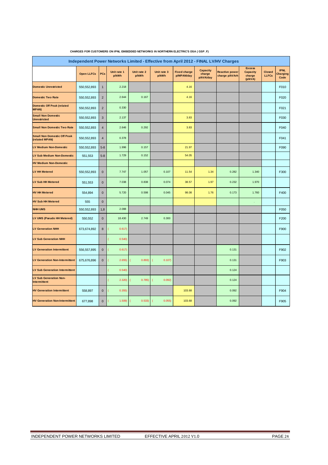| Independent Power Networks Limited - Effective from April 2012 - FINAL LV/HV Charges |                   |                |                      |                      |                      |                                   |                                        |                                         |                                                       |                               |                                        |  |
|--------------------------------------------------------------------------------------|-------------------|----------------|----------------------|----------------------|----------------------|-----------------------------------|----------------------------------------|-----------------------------------------|-------------------------------------------------------|-------------------------------|----------------------------------------|--|
|                                                                                      | <b>Open LLFCs</b> | PCs            | Unit rate 1<br>p/kWh | Unit rate 2<br>p/kWh | Unit rate 3<br>p/kWh | <b>Fixed charge</b><br>p/MPAN/day | <b>Capacity</b><br>charge<br>p/kVA/day | <b>Reactive power</b><br>charge p/kVArh | <b>Excess</b><br><b>Capacity</b><br>charge<br>(p/kVA) | <b>Closed</b><br><b>LLFCs</b> | <b>IPNL</b><br><b>Charging</b><br>Code |  |
| <b>Domestic Unrestricted</b>                                                         | 550, 552, 893     | $\mathbf{1}$   | 2.218                |                      |                      | 4.16                              |                                        |                                         |                                                       |                               | F010                                   |  |
| <b>Domestic Two Rate</b>                                                             | 550, 552, 893     | $\overline{2}$ | 2.644                | 0.167                |                      | 4.16                              |                                        |                                         |                                                       |                               | F020                                   |  |
| <b>Domestic Off Peak (related</b><br><b>MPAN)</b>                                    | 550, 552, 893     | $\overline{2}$ | 0.330                |                      |                      |                                   |                                        |                                         |                                                       |                               | F021                                   |  |
| <b>Small Non Domestic</b><br><b>Unrestricted</b>                                     | 550, 552, 893     | $\sqrt{3}$     | 2.137                |                      |                      | 3.83                              |                                        |                                         |                                                       |                               | F030                                   |  |
| <b>Small Non Domestic Two Rate</b>                                                   | 550, 552, 893     | $\overline{4}$ | 2.646                | 0.292                |                      | 3.83                              |                                        |                                         |                                                       |                               | F040                                   |  |
| <b>Small Non Domestic Off Peak</b><br>(related MPAN)                                 | 550, 552, 893     | $\overline{4}$ | 0.378                |                      |                      |                                   |                                        |                                         |                                                       |                               | F041                                   |  |
| <b>LV Medium Non-Domestic</b>                                                        | 550, 552, 893     | $5 - 8$        | 1.996                | 0.157                |                      | 21.97                             |                                        |                                         |                                                       |                               | F090                                   |  |
| <b>LV Sub Medium Non-Domestic</b>                                                    | 551,553           | $5 - 8$        | 1.729                | 0.152                |                      | 54.05                             |                                        |                                         |                                                       |                               |                                        |  |
| <b>HV Medium Non-Domestic</b>                                                        |                   |                |                      |                      |                      |                                   |                                        |                                         |                                                       |                               |                                        |  |
| <b>LV HH Metered</b>                                                                 | 550, 552, 893     | $\mathbf 0$    | 7.747                | 1.057                | 0.107                | 11.54                             | 1.34                                   | 0.282                                   | 1.340                                                 |                               | F300                                   |  |
| LV Sub HH Metered                                                                    | 551,553           | $\mathbf{0}$   | 7.038                | 0.838                | 0.074                | 38.57                             | 1.97                                   | 0.232                                   | 1.970                                                 |                               |                                        |  |
| <b>HV HH Metered</b>                                                                 | 554,894           | $\pmb{0}$      | 5.720                | 0.598                | 0.045                | 98.08                             | 1.76                                   | 0.173                                   | 1.760                                                 |                               | F400                                   |  |
| <b>HV Sub HH Metered</b>                                                             | 555               | $\mathbf 0$    |                      |                      |                      |                                   |                                        |                                         | ٠                                                     |                               |                                        |  |
| <b>NHH UMS</b>                                                                       | 550, 552, 893     | 1,8            | 2.088                |                      |                      |                                   |                                        |                                         |                                                       |                               | F050                                   |  |
| LV UMS (Pseudo HH Metered)                                                           | 550,552           | $\mathbf 0$    | 18.430               | 2.749                | 0.300                |                                   |                                        |                                         |                                                       |                               | F200                                   |  |
| <b>LV Generation NHH</b>                                                             | 673,674,892       | 8              | 0.617)               |                      |                      |                                   |                                        |                                         |                                                       |                               | F900                                   |  |
| <b>LV Sub Generation NHH</b>                                                         |                   |                | 0.540)               |                      |                      |                                   |                                        |                                         |                                                       |                               |                                        |  |
| <b>LV Generation Intermittent</b>                                                    | 556,557,895       | $\pmb{0}$      | 0.617)               |                      |                      |                                   |                                        | 0.131                                   |                                                       |                               | F902                                   |  |
| <b>LV Generation Non-Intermittent</b>                                                | 675,676,896       | $\mathbf 0$    | 2.655)               | 0.893)               | 0.107<br>(           |                                   |                                        | 0.131                                   |                                                       |                               | F903                                   |  |
| <b>LV Sub Generation Intermittent</b>                                                |                   |                | 0.540                |                      |                      |                                   |                                        | 0.124                                   |                                                       |                               |                                        |  |
| <b>LV Sub Generation Non-</b><br>Intermittent                                        |                   |                | 2.320                | 0.785                | 0.092)               |                                   |                                        | 0.124                                   |                                                       |                               |                                        |  |
| <b>HV Generation Intermittent</b>                                                    | 558,897           | $\pmb{0}$      | 0.355)               |                      |                      | 103.68                            |                                        | 0.092                                   |                                                       |                               | F904                                   |  |
| <b>HV Generation Non-Intermittent</b>                                                | 677,898           | $\mathbf 0$    | 1.509                | 0.533)               | 0.055)               | 103.68                            |                                        | 0.092                                   |                                                       |                               | F905                                   |  |

#### **CHARGES FOR CUSTOMERS ON IPNL EMBEDDED NETWORKS IN NORTHERN ELECTRIC'S DSA ( GSP\_F)**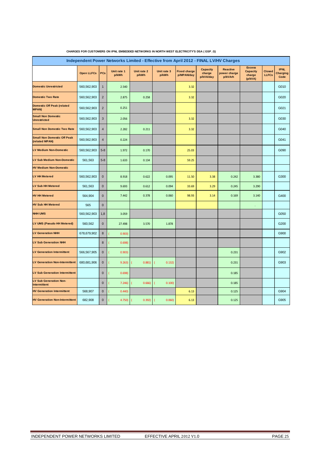| Independent Power Networks Limited - Effective from April 2012 - FINAL LV/HV Charges |                   |                |                      |                      |                      |                                   |                                        |                                            |                                                       |                               |                                        |  |  |
|--------------------------------------------------------------------------------------|-------------------|----------------|----------------------|----------------------|----------------------|-----------------------------------|----------------------------------------|--------------------------------------------|-------------------------------------------------------|-------------------------------|----------------------------------------|--|--|
|                                                                                      | <b>Open LLFCs</b> | PCs            | Unit rate 1<br>p/kWh | Unit rate 2<br>p/kWh | Unit rate 3<br>p/kWh | <b>Fixed charge</b><br>p/MPAN/day | <b>Capacity</b><br>charge<br>p/kVA/day | <b>Reactive</b><br>power charge<br>p/kVArh | <b>Excess</b><br><b>Capacity</b><br>charge<br>(p/kVA) | <b>Closed</b><br><b>LLFCs</b> | <b>IPNL</b><br><b>Charging</b><br>Code |  |  |
| <b>Domestic Unrestricted</b>                                                         | 560,562,903       | $\mathbf{1}$   | 2.540                |                      |                      | 3.32                              |                                        |                                            |                                                       |                               | G010                                   |  |  |
| <b>Domestic Two Rate</b>                                                             | 560,562,903       | $\sqrt{2}$     | 2.875                | 0.258                |                      | 3.32                              |                                        |                                            |                                                       |                               | G020                                   |  |  |
| <b>Domestic Off Peak (related</b><br><b>MPAN)</b>                                    | 560,562,903       | $\overline{2}$ | 0.251                |                      |                      |                                   |                                        |                                            |                                                       |                               | G021                                   |  |  |
| <b>Small Non Domestic</b><br><b>Unrestricted</b>                                     | 560,562,903       | 3              | 2.056                |                      |                      | 3.32                              |                                        |                                            |                                                       |                               | G030                                   |  |  |
| <b>Small Non Domestic Two Rate</b>                                                   | 560,562,903       | $\overline{4}$ | 2.282                | 0.211                |                      | 3.32                              |                                        |                                            |                                                       |                               | G040                                   |  |  |
| <b>Small Non Domestic Off Peak</b><br>(related MPAN)                                 | 560,562,903       | $\sqrt{4}$     | 0.224                |                      |                      |                                   |                                        |                                            |                                                       |                               | G041                                   |  |  |
| <b>LV Medium Non-Domestic</b>                                                        | 560,562,903       | $5 - 8$        | 1.972                | 0.170                |                      | 25.03                             |                                        |                                            |                                                       |                               | G090                                   |  |  |
| <b>LV Sub Medium Non-Domestic</b>                                                    | 561,563           | $5 - 8$        | 1.633                | 0.134                |                      | 59.25                             |                                        |                                            |                                                       |                               |                                        |  |  |
| <b>HV Medium Non-Domestic</b>                                                        |                   |                |                      |                      |                      |                                   |                                        |                                            |                                                       |                               |                                        |  |  |
| <b>LV HH Metered</b>                                                                 | 560,562,903       | $\mathbf 0$    | 8.918                | 0.622                | 0.095                | 11.50                             | 3.38                                   | 0.242                                      | 3.380                                                 |                               | G300                                   |  |  |
| <b>LV Sub HH Metered</b>                                                             | 561,563           | $\mathbf{0}$   | 9.693                | 0.612                | 0.094                | 33.69                             | 3.29                                   | 0.245                                      | 3.290                                                 |                               |                                        |  |  |
| <b>HV HH Metered</b>                                                                 | 564,904           | $\mathbf 0$    | 7.442                | 0.378                | 0.060                | 98.93                             | 3.14                                   | 0.169                                      | 3.140                                                 |                               | G400                                   |  |  |
| <b>HV Sub HH Metered</b>                                                             | 565               | $\pmb{0}$      |                      |                      |                      |                                   |                                        |                                            |                                                       |                               |                                        |  |  |
| <b>NHH UMS</b>                                                                       | 560,562,903       | 1,8            | 3.059                |                      |                      |                                   |                                        |                                            |                                                       |                               | G050                                   |  |  |
| LV UMS (Pseudo HH Metered)                                                           | 560,562           | $\mathbf 0$    | 27.498               | 3.570                | 1.878                |                                   |                                        |                                            |                                                       |                               | G200                                   |  |  |
| <b>LV Generation NHH</b>                                                             | 678,679,902       | 8              | 0.903)               |                      |                      |                                   |                                        |                                            |                                                       |                               | G900                                   |  |  |
| <b>LV Sub Generation NHH</b>                                                         |                   | 8              | 0.698                |                      |                      |                                   |                                        |                                            |                                                       |                               |                                        |  |  |
| <b>LV Generation Intermittent</b>                                                    | 566,567,905       | $\mathbf 0$    | 0.903)               |                      |                      |                                   |                                        | 0.231                                      |                                                       |                               | G902                                   |  |  |
| <b>LV Generation Non-Intermittent</b>                                                | 680,681,906       | $\mathbf 0$    | 9.263)               | 0.881)               | 0.132)               |                                   |                                        | 0.231                                      |                                                       |                               | G903                                   |  |  |
| <b>LV Sub Generation Intermittent</b>                                                |                   | $\mathbf{0}$   | 0.698                |                      |                      |                                   |                                        | 0.185                                      |                                                       |                               |                                        |  |  |
| <b>LV Sub Generation Non-</b><br><b>Intermittent</b>                                 |                   | $\mathbf 0$    | 7.246                | 0.666                | 0.100                |                                   |                                        | 0.185                                      |                                                       |                               |                                        |  |  |
| <b>HV Generation Intermittent</b>                                                    | 568,907           | $\mathbf 0$    | 0.440                |                      |                      | 6.13                              |                                        | 0.125                                      |                                                       |                               | G904                                   |  |  |
| <b>HV Generation Non-Intermittent</b>                                                | 682,908           | $\pmb{0}$      | 4.750)               | 0.392)               | 0.060)               | 6.13                              |                                        | 0.125                                      |                                                       |                               | G905                                   |  |  |

#### **CHARGES FOR CUSTOMERS ON IPNL EMBEDDED NETWORKS IN NORTH WEST ELECTRICITY'S DSA ( GSP\_G)**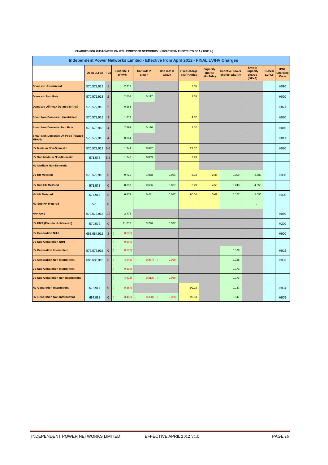| Independent Power Networks Limited - Effective from April 2012 - FINAL LV/HV Charges<br><b>Excess</b> |                   |                |                      |                      |                      |                                   |                                        |                                         |                                      |                               |                                        |  |  |
|-------------------------------------------------------------------------------------------------------|-------------------|----------------|----------------------|----------------------|----------------------|-----------------------------------|----------------------------------------|-----------------------------------------|--------------------------------------|-------------------------------|----------------------------------------|--|--|
|                                                                                                       | <b>Open LLFCs</b> | PCs            | Unit rate 1<br>p/kWh | Unit rate 2<br>p/kWh | Unit rate 3<br>p/kWh | <b>Fixed charge</b><br>p/MPAN/day | <b>Capacity</b><br>charge<br>p/kVA/day | <b>Reactive power</b><br>charge p/kVArh | <b>Capacity</b><br>charge<br>(p/kVA) | <b>Closed</b><br><b>LLFCs</b> | <b>IPNL</b><br><b>Charging</b><br>Code |  |  |
| <b>Domestic Unrestricted</b>                                                                          | 570,572,913       | $\mathbf{1}$   | 2.319                |                      |                      | 2.55                              |                                        |                                         |                                      |                               | H010                                   |  |  |
| <b>Domestic Two Rate</b>                                                                              | 570,572,913       | $\overline{2}$ | 2.503                | 0.117                |                      | 2.55                              |                                        |                                         |                                      |                               | H020                                   |  |  |
| <b>Domestic Off Peak (related MPAN)</b>                                                               | 570,572,913       | $\overline{2}$ | 0.265                |                      |                      |                                   |                                        |                                         |                                      |                               | H021                                   |  |  |
| <b>Small Non Domestic Unrestricted</b>                                                                | 570,572,913       | $\mathbf{3}$   | 1.817                |                      |                      | 4.02                              |                                        |                                         |                                      |                               | H030                                   |  |  |
| <b>Small Non Domestic Two Rate</b>                                                                    | 570,572,913       | $\overline{4}$ | 2.491                | 0.120                |                      | 4.02                              |                                        |                                         |                                      |                               | H040                                   |  |  |
| <b>Small Non Domestic Off Peak (related</b><br><b>MPAN)</b>                                           | 570,572,913       | $\overline{4}$ | 0.261                |                      |                      |                                   |                                        |                                         |                                      |                               | H041                                   |  |  |
| <b>LV Medium Non-Domestic</b>                                                                         | 570,572,913       | $5 - 8$        | 1.744                | 0.092                |                      | 21.57                             |                                        |                                         |                                      |                               | H090                                   |  |  |
| LV Sub Medium Non-Domestic                                                                            | 571,573           | $5 - 8$        | 1.245                | 0.059                |                      | 3.29                              |                                        |                                         |                                      |                               |                                        |  |  |
| <b>HV Medium Non-Domestic</b>                                                                         |                   |                |                      |                      |                      |                                   |                                        |                                         |                                      |                               |                                        |  |  |
| <b>LV HH Metered</b>                                                                                  | 570,572,913       | $\mathbf{0}$   | 9.729                | 1.078                | 0.061                | 8.34                              | 2.38                                   | 0.309                                   | 2.380                                |                               | H300                                   |  |  |
| <b>LV Sub HH Metered</b>                                                                              | 571,573           | $\mathbf 0$    | 8.357                | 0.606                | 0.027                | 3.29                              | 4.55                                   | 0.243                                   | 4.550                                |                               |                                        |  |  |
| <b>HV HH Metered</b>                                                                                  | 574,914           | $\mathbf 0$    | 6.871                | 0.431                | 0.017                | 80.04                             | 5.09                                   | 0.177                                   | 5.090                                |                               | H400                                   |  |  |
| <b>HV Sub HH Metered</b>                                                                              | 575               | $\mathbf 0$    |                      |                      |                      |                                   |                                        |                                         |                                      |                               |                                        |  |  |
| <b>NHH UMS</b>                                                                                        | 570,572,913       | 1,8            | 2.478                |                      |                      |                                   |                                        |                                         |                                      |                               | H050                                   |  |  |
| LV UMS (Pseudo HH Metered)                                                                            | 570,572           | $\mathbf{0}$   | 21.613               | 3.296                | 0.527                |                                   |                                        |                                         |                                      |                               | H <sub>200</sub>                       |  |  |
| <b>LV Generation NHH</b>                                                                              | 683,684,912       | 8              | 0.676)               |                      |                      |                                   |                                        |                                         |                                      |                               | H900                                   |  |  |
| <b>LV Sub Generation NHH</b>                                                                          |                   |                | 0.590                |                      |                      |                                   |                                        |                                         |                                      |                               |                                        |  |  |
| <b>LV Generation Intermittent</b>                                                                     | 576,577,915       | $\pmb{0}$      | 0.676                |                      |                      |                                   |                                        | 0.186                                   |                                      |                               | H902                                   |  |  |
| <b>LV Generation Non-Intermittent</b>                                                                 | 685,686,916       | $\mathbf 0$    | 4.946)               | 0.987)               | 0.068                |                                   |                                        | 0.186                                   |                                      |                               | H903                                   |  |  |
| <b>LV Sub Generation Intermittent</b>                                                                 |                   |                | 0.590)               |                      |                      |                                   |                                        | 0.173                                   |                                      |                               |                                        |  |  |
| <b>LV Sub Generation Non-Intermittent</b>                                                             |                   |                | 4.526                | 0.813)               | 0.056                |                                   |                                        | 0.173                                   |                                      |                               |                                        |  |  |
| <b>HV Generation Intermittent</b>                                                                     | 578,917           | $\mathbf 0$    | 0.354)               |                      |                      | 99.13                             |                                        | 0.147                                   |                                      |                               | H904                                   |  |  |
| <b>HV Generation Non-Intermittent</b>                                                                 | 687,918           | $\mathbf{0}$   | 3.408                | 0.330)               | 0.020                | 99.13                             |                                        | 0.147                                   |                                      |                               | H905                                   |  |  |

#### **CHARGES FOR CUSTOMERS ON IPNL EMBEDDED NETWORKS IN SOUTHERN ELECTRIC'S DSA ( GSP\_H)**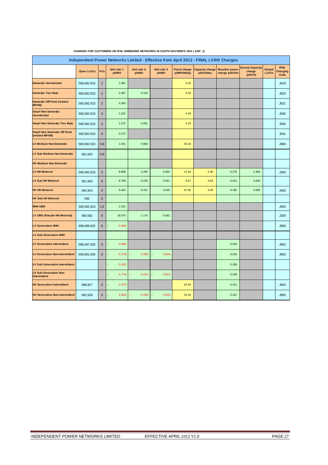| Independent Power Networks Limited - Effective from April 2012 - FINAL LV/HV Charges |                   |                         |                          |                      |                      |                                   |                                     |                                         |                                             |                               |                                        |  |
|--------------------------------------------------------------------------------------|-------------------|-------------------------|--------------------------|----------------------|----------------------|-----------------------------------|-------------------------------------|-----------------------------------------|---------------------------------------------|-------------------------------|----------------------------------------|--|
|                                                                                      | <b>Open LLFCs</b> | PCs                     | Unit rate 1<br>p/kWh     | Unit rate 2<br>p/kWh | Unit rate 3<br>p/kWh | <b>Fixed charge</b><br>p/MPAN/day | <b>Capacity charge</b><br>p/kVA/day | <b>Reactive power</b><br>charge p/kVArh | <b>Excess Capacity</b><br>charge<br>(p/kVA) | <b>Closed</b><br><b>LLFCs</b> | <b>IPNL</b><br><b>Charging</b><br>Code |  |
| <b>Domestic Unrestricted</b>                                                         | 580,582,923       | $\mathbf{1}$            | 1.962                    |                      |                      | 4.03                              |                                     |                                         |                                             |                               | J <sub>010</sub>                       |  |
| <b>Domestic Two Rate</b>                                                             | 580,582,923       | $\overline{2}$          | 2.487                    | 0.129                |                      | 4.03                              |                                     |                                         |                                             |                               | J <sub>020</sub>                       |  |
| <b>Domestic Off Peak (related</b><br><b>MPAN)</b>                                    | 580,582,923       | $\mathbf 2$             | 0.360                    |                      |                      |                                   |                                     |                                         |                                             |                               | J <sub>021</sub>                       |  |
| <b>Small Non Domestic</b><br><b>Unrestricted</b>                                     | 580,582,923       | $\sqrt{3}$              | 1.510                    |                      |                      | 4.33                              |                                     |                                         |                                             |                               | J030                                   |  |
| <b>Small Non Domestic Two Rate</b>                                                   | 580,582,923       | $\sqrt{4}$              | 1.572                    | 0.091                |                      | 4.33                              |                                     |                                         |                                             |                               | J040                                   |  |
| <b>Small Non Domestic Off Peak</b><br>(related MPAN)                                 | 580,582,923       | $\overline{\mathbf{4}}$ | 0.275                    |                      |                      |                                   |                                     |                                         |                                             |                               | J <sub>041</sub>                       |  |
| <b>LV Medium Non-Domestic</b>                                                        | 580,582,923       | $5 - 8$                 | 1.501                    | 0.080                |                      | 30.43                             |                                     |                                         |                                             |                               | J090                                   |  |
| <b>LV Sub Medium Non-Domestic</b>                                                    | 581,583           | $5 - 8$                 |                          |                      |                      |                                   |                                     |                                         |                                             |                               |                                        |  |
| <b>HV Medium Non-Domestic</b>                                                        |                   |                         |                          |                      |                      |                                   |                                     |                                         |                                             |                               |                                        |  |
| <b>LV HH Metered</b>                                                                 | 580,582,923       | $\mathbf 0$             | 8.858                    | 0.295                | 0.055                | 12.64                             | 2.38                                | 0.276                                   | 2.380                                       |                               | J300                                   |  |
| <b>LV Sub HH Metered</b>                                                             | 581,583           | $\bf 0$                 | 8.798                    | 0.235                | 0.041                | 8.67                              | 3.64                                | 0.241                                   | 3.640                                       |                               |                                        |  |
| <b>HV HH Metered</b>                                                                 | 584,924           | $\pmb{0}$               | 6.442                    | 0.151                | 0.025                | 67.95                             | 3.09                                | 0.185                                   | 3.090                                       |                               | J400                                   |  |
| <b>HV Sub HH Metered</b>                                                             | 585               | $\mathbf 0$             |                          |                      |                      |                                   |                                     |                                         |                                             |                               |                                        |  |
| <b>NHH UMS</b>                                                                       | 580,582,923       | 1,8                     | 2.032                    |                      |                      |                                   |                                     |                                         |                                             |                               | J050                                   |  |
| LV UMS (Pseudo HH Metered)                                                           | 580,582           | $\mathbf 0$             | 18.576                   | 1.174                | 0.592                |                                   |                                     |                                         |                                             |                               | J200                                   |  |
| <b>LV Generation NHH</b>                                                             | 688,689,922       | $\bf 8$                 | 0.696                    |                      |                      |                                   |                                     |                                         |                                             |                               | J900                                   |  |
| <b>LV Sub Generation NHH</b>                                                         |                   |                         |                          |                      |                      |                                   |                                     |                                         |                                             |                               |                                        |  |
| <b>LV Generation Intermittent</b>                                                    | 586,587,925       | $\mathbf 0$             | 0.696                    |                      |                      |                                   |                                     | 0.204                                   |                                             |                               | J902                                   |  |
| <b>LV Generation Non-Intermittent</b>                                                | 690,691,926       | $\mathbf 0$             | 6.270<br>-               | 0.282)               | 0.056                |                                   |                                     | 0.204                                   |                                             |                               | <b>J903</b>                            |  |
| <b>LV Sub Generation Intermittent</b>                                                |                   |                         | 0.632)                   |                      |                      |                                   |                                     | 0.189                                   |                                             |                               |                                        |  |
| <b>LV Sub Generation Non-</b><br>Intermittent                                        |                   |                         | 5.774)                   | 0.241)               | 0.047                |                                   |                                     | 0.189                                   |                                             |                               |                                        |  |
| <b>HV Generation Intermittent</b>                                                    | 588,927           | $\mathbf 0$             | 0.473)<br>$\overline{ }$ |                      |                      | 32.44                             |                                     | 0.161                                   |                                             |                               | J904                                   |  |
| <b>HV Generation Non-Intermittent</b>                                                | 692,928           | $\mathbf{0}$            | 4.560<br>7               | 0.139                | 0.025                | 32.44                             |                                     | 0.161                                   |                                             |                               | J905                                   |  |

#### **CHARGES FOR CUSTOMERS ON IPNL EMBEDDED NETWORKS IN SOUTH EASTERN'S DSA ( GSP\_J)**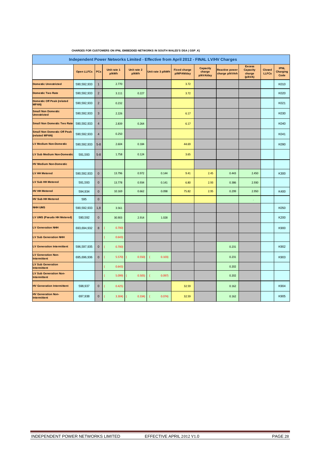| Independent Power Networks Limited - Effective from April 2012 - FINAL LV/HV Charges<br><b>Excess</b> |                   |                |                      |                      |                   |                                   |                                 |                                         |                                      |                               |                                        |  |
|-------------------------------------------------------------------------------------------------------|-------------------|----------------|----------------------|----------------------|-------------------|-----------------------------------|---------------------------------|-----------------------------------------|--------------------------------------|-------------------------------|----------------------------------------|--|
|                                                                                                       | <b>Open LLFCs</b> | PCs            | Unit rate 1<br>p/kWh | Unit rate 2<br>p/kWh | Unit rate 3 p/kWh | <b>Fixed charge</b><br>p/MPAN/day | Capacity<br>charge<br>p/kVA/day | <b>Reactive power</b><br>charge p/kVArh | <b>Capacity</b><br>charge<br>(p/kVA) | <b>Closed</b><br><b>LLFCs</b> | <b>IPNL</b><br><b>Charging</b><br>Code |  |
| <b>Domestic Unrestricted</b>                                                                          | 590,592,933       | $\mathbf{1}$   | 2.770                |                      |                   | 3.72                              |                                 |                                         |                                      |                               | K010                                   |  |
| <b>Domestic Two Rate</b>                                                                              | 590,592,933       | $\overline{2}$ | 3.111                | 0.227                |                   | 3.72                              |                                 |                                         |                                      |                               | K020                                   |  |
| <b>Domestic Off Peak (related</b><br><b>MPAN)</b>                                                     | 590,592,933       | $\overline{2}$ | 0.232                |                      |                   |                                   |                                 |                                         |                                      |                               | K021                                   |  |
| <b>Small Non Domestic</b><br><b>Unrestricted</b>                                                      | 590,592,933       | $\sqrt{3}$     | 2.226                |                      |                   | 6.17                              |                                 |                                         |                                      |                               | K030                                   |  |
| <b>Small Non Domestic Two Rate</b>                                                                    | 590,592,933       | $\overline{4}$ | 2.839                | 0.264                |                   | 6.17                              |                                 |                                         |                                      |                               | K040                                   |  |
| <b>Small Non Domestic Off Peak</b><br>(related MPAN)                                                  | 590,592,933       | $\overline{4}$ | 0.250                |                      |                   |                                   |                                 |                                         |                                      |                               | K041                                   |  |
| <b>LV Medium Non-Domestic</b>                                                                         | 590,592,933       | $5 - 8$        | 2.604                | 0.184                |                   | 44.69                             |                                 |                                         |                                      |                               | K090                                   |  |
| LV Sub Medium Non-Domestic                                                                            | 591,593           | $5 - 8$        | 1.758                | 0.124                |                   | 3.65                              |                                 |                                         |                                      |                               |                                        |  |
| <b>HV Medium Non-Domestic</b>                                                                         |                   |                |                      |                      |                   |                                   |                                 |                                         |                                      |                               |                                        |  |
| <b>LV HH Metered</b>                                                                                  | 590,592,933       | $\pmb{0}$      | 13.796               | 0.972                | 0.144             | 9.41                              | 2.45                            | 0.443                                   | 2.450                                |                               | K300                                   |  |
| <b>LV Sub HH Metered</b>                                                                              | 591,593           | $\mathbf 0$    | 13.778               | 0.934                | 0.141             | 6.80                              | 2.93                            | 0.386                                   | 2.930                                |                               |                                        |  |
| <b>HV HH Metered</b>                                                                                  | 594,934           | $\mathbf{0}$   | 10.169               | 0.662                | 0.098             | 75.82                             | 2.95                            | 0.299                                   | 2.950                                |                               | K400                                   |  |
| <b>HV Sub HH Metered</b>                                                                              | 595               | $\mathbf 0$    |                      |                      |                   |                                   |                                 |                                         |                                      |                               |                                        |  |
| <b>NHH UMS</b>                                                                                        | 590,592,933       | 1,8            | 3.561                |                      |                   |                                   |                                 |                                         |                                      |                               | K050                                   |  |
| LV UMS (Pseudo HH Metered)                                                                            | 590,592           | $\mathbf 0$    | 30.903               | 2.914                | 1.028             |                                   |                                 |                                         |                                      |                               | K200                                   |  |
| <b>LV Generation NHH</b>                                                                              | 693,694,932       | $\bf 8$        | 0.700)               |                      |                   |                                   |                                 |                                         |                                      |                               | K900                                   |  |
| <b>LV Sub Generation NHH</b>                                                                          |                   |                | 0.643)               |                      |                   |                                   |                                 |                                         |                                      |                               |                                        |  |
| <b>LV Generation Intermittent</b>                                                                     | 596,597,935       | $\mathbf 0$    | 0.700                |                      |                   |                                   |                                 | 0.231                                   |                                      |                               | K902                                   |  |
| <b>LV Generation Non-</b><br>Intermittent                                                             | 695,696,936       | $\pmb{0}$      | 5.570)               | 0.550)               | 0.103)<br>t       |                                   |                                 | 0.231                                   |                                      |                               | K903                                   |  |
| <b>LV Sub Generation</b><br><b>Intermittent</b>                                                       |                   |                | 0.643                |                      |                   |                                   |                                 | 0.202                                   |                                      |                               |                                        |  |
| <b>LV Sub Generation Non-</b><br><b>Intermittent</b>                                                  |                   |                | 5.099                | 0.505)               | 0.097)<br>1       |                                   |                                 | 0.202                                   |                                      |                               |                                        |  |
| <b>HV Generation Intermittent</b>                                                                     | 598,937           | $\pmb{0}$      | 0.425                |                      |                   | 32.59                             |                                 | 0.162                                   |                                      |                               | K904                                   |  |
| <b>HV Generation Non-</b><br>Intermittent                                                             | 697,938           | $\mathbf{0}$   | 3.304                | 0.334)               | 0.074)            | 32.59                             |                                 | 0.162                                   |                                      |                               | K905                                   |  |

#### **CHARGES FOR CUSTOMERS ON IPNL EMBEDDED NETWORKS IN SOUTH WALES'S DSA ( GSP\_K)**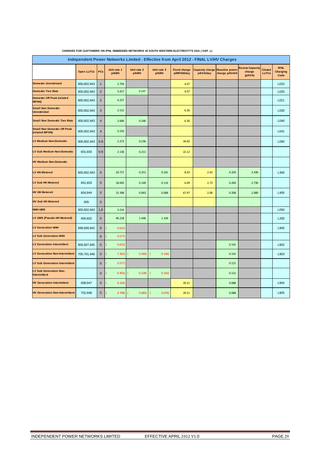| Independent Power Networks Limited - Effective from April 2012 - FINAL LV/HV Charges |                   |                |                      |                      |                                    |                                   |                                     |                                         |                                             |                               |                                        |  |
|--------------------------------------------------------------------------------------|-------------------|----------------|----------------------|----------------------|------------------------------------|-----------------------------------|-------------------------------------|-----------------------------------------|---------------------------------------------|-------------------------------|----------------------------------------|--|
|                                                                                      | <b>Open LLFCs</b> | PCs            | Unit rate 1<br>p/kWh | Unit rate 2<br>p/kWh | Unit rate 3<br>p/kWh               | <b>Fixed charge</b><br>p/MPAN/day | <b>Capacity charge</b><br>p/kVA/day | <b>Reactive power</b><br>charge p/kVArh | <b>Excess Capacity</b><br>charge<br>(p/kVA) | <b>Closed</b><br><b>LLFCs</b> | <b>IPNL</b><br><b>Charging</b><br>Code |  |
| <b>Domestic Unrestricted</b>                                                         | 600,602,943       | $\mathbf{1}$   | 2.754                |                      |                                    | 4.07                              |                                     |                                         |                                             |                               | L010                                   |  |
| <b>Domestic Two Rate</b>                                                             | 600,602,943       | $\overline{2}$ | 3.417                | 0.247                |                                    | 4.07                              |                                     |                                         |                                             |                               | L020                                   |  |
| <b>Domestic Off Peak (related</b><br><b>MPAN)</b>                                    | 600,602,943       | $\sqrt{2}$     | 0.227                |                      |                                    |                                   |                                     |                                         |                                             |                               | L021                                   |  |
| <b>Small Non Domestic</b><br><b>Unrestricted</b>                                     | 600,602,943       | 3              | 2.512                |                      |                                    | 6.26                              |                                     |                                         |                                             |                               | L030                                   |  |
| <b>Small Non Domestic Two Rate</b>                                                   | 600,602,943       | $\overline{4}$ | 2.606                | 0.246                |                                    | 6.26                              |                                     |                                         |                                             |                               | L040                                   |  |
| <b>Small Non Domestic Off Peak</b><br>(related MPAN)                                 | 600,602,943       | $\overline{4}$ | 0.233                |                      |                                    |                                   |                                     |                                         |                                             |                               | L041                                   |  |
| <b>LV Medium Non-Domestic</b>                                                        | 600,602,943       | $5 - 8$        | 2.273                | 0.236                |                                    | 34.02                             |                                     |                                         |                                             |                               | L090                                   |  |
| LV Sub Medium Non-Domestic                                                           | 601,603           | $5 - 8$        | 2.136                | 0.211                |                                    | 22.12                             |                                     |                                         |                                             |                               |                                        |  |
| <b>HV Medium Non-Domestic</b>                                                        |                   |                |                      |                      |                                    |                                   |                                     |                                         |                                             |                               |                                        |  |
| LV HH Metered                                                                        | 600,602,943       | $\mathbf 0$    | 20.727               | 0.251                | 0.161                              | 8.43                              | 2.43                                | 0.329                                   | 2.430                                       |                               | L300                                   |  |
| <b>LV Sub HH Metered</b>                                                             | 601,603           | $\mathbf 0$    | 18.692               | 0.149                | 0.114                              | 6.09                              | 2.73                                | 0.269                                   | 2.730                                       |                               |                                        |  |
| <b>HV HH Metered</b>                                                                 | 604,944           | $\mathbf 0$    | 15.398               | 0.063                | 0.068                              | 67.97                             | 2.08                                | 0.208                                   | 2.080                                       |                               | L400                                   |  |
| <b>HV Sub HH Metered</b>                                                             | 605               | $\mathbf 0$    |                      |                      |                                    |                                   |                                     |                                         | ä,                                          |                               |                                        |  |
| <b>NHH UMS</b>                                                                       | 600,602,943       | 1,8            | 3.214                |                      |                                    |                                   |                                     |                                         |                                             |                               | L050                                   |  |
| LV UMS (Pseudo HH Metered)                                                           | 600,602           | $\mathbf 0$    | 46.218               | 1.446                | 1.104                              |                                   |                                     |                                         |                                             |                               | L200                                   |  |
| <b>LV Generation NHH</b>                                                             | 698,699,942       | 8              | 0.625                |                      |                                    |                                   |                                     |                                         |                                             |                               | L900                                   |  |
| <b>LV Sub Generation NHH</b>                                                         |                   | 8              | 0.577                |                      |                                    |                                   |                                     |                                         |                                             |                               |                                        |  |
| <b>LV Generation Intermittent</b>                                                    | 606,607,945       | $\mathbf 0$    | 0.625                |                      |                                    |                                   |                                     | 0.141                                   |                                             |                               | L902                                   |  |
| <b>LV Generation Non-Intermittent</b>                                                | 700,701,946       | $\mathbf 0$    | 7.363)               | 0.260                | 0.156)<br>$\overline{\mathcal{L}}$ |                                   |                                     | 0.141                                   |                                             |                               | L903                                   |  |
| <b>LV Sub Generation Intermittent</b>                                                |                   | $\mathbf 0$    | 0.577                |                      |                                    |                                   |                                     | 0.121                                   |                                             |                               |                                        |  |
| <b>LV Sub Generation Non-</b><br>Intermittent                                        |                   | $\mathbf 0$    | 6.902)               | 0.228                | 0.142)                             |                                   |                                     | 0.121                                   |                                             |                               |                                        |  |
| <b>HV Generation Intermittent</b>                                                    | 608,947           | $\mathbf 0$    | 0.354                |                      |                                    | 29.21                             |                                     | 0.088                                   |                                             |                               | L904                                   |  |
| <b>HV Generation Non-Intermittent</b>                                                | 702,948           | $\mathbf 0$    | 4.708)               | 0.083)               | 0.076)                             | 29.21                             |                                     | 0.088                                   |                                             |                               | L905                                   |  |

#### **CHARGES FOR CUSTOMERS ON IPNL EMBEDDED NETWORKS IN SOUTH WESTERN ELECTRICITY'S DSA ( GSP\_L)**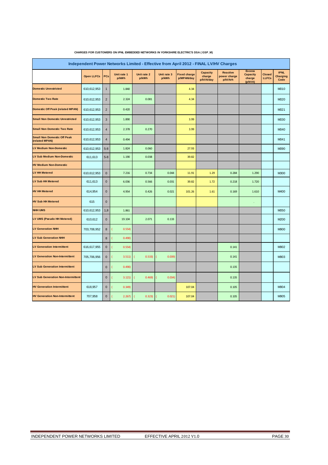|                                                      | Independent Power Networks Limited - Effective from April 2012 - FINAL LV/HV Charges                                                                                                                                                                |                |        |        |                          |            |           |         |                   |              |      |  |  |  |
|------------------------------------------------------|-----------------------------------------------------------------------------------------------------------------------------------------------------------------------------------------------------------------------------------------------------|----------------|--------|--------|--------------------------|------------|-----------|---------|-------------------|--------------|------|--|--|--|
|                                                      | <b>Excess</b><br><b>Capacity</b><br><b>IPNL</b><br><b>Reactive</b><br>Unit rate 1<br>Unit rate 2<br>Unit rate 3<br><b>Fixed charge</b><br><b>Capacity</b><br><b>Closed</b><br><b>Open LLFCs</b><br>PCs<br>charge<br>power charge<br><b>Charging</b> |                |        |        |                          |            |           |         |                   |              |      |  |  |  |
|                                                      |                                                                                                                                                                                                                                                     |                | p/kWh  | p/kWh  | p/kWh                    | p/MPAN/day | p/kVA/day | p/kVArh | charge<br>(p/kVA) | <b>LLFCs</b> | Code |  |  |  |
| <b>Domestic Unrestricted</b>                         | 610,612,953                                                                                                                                                                                                                                         | $\mathbf{1}$   | 1.840  |        |                          | 4.34       |           |         |                   |              | M010 |  |  |  |
| <b>Domestic Two Rate</b>                             | 610,612,953                                                                                                                                                                                                                                         | $\overline{2}$ | 2.324  | 0.081  |                          | 4.34       |           |         |                   |              | M020 |  |  |  |
| <b>Domestic Off Peak (related MPAN)</b>              | 610,612,953                                                                                                                                                                                                                                         | $\overline{2}$ | 0.420  |        |                          |            |           |         |                   |              | M021 |  |  |  |
| <b>Small Non Domestic Unrestricted</b>               | 610,612,953                                                                                                                                                                                                                                         | $\mathbf{3}$   | 1.890  |        |                          | 3.99       |           |         |                   |              | M030 |  |  |  |
| <b>Small Non Domestic Two Rate</b>                   | 610,612,953                                                                                                                                                                                                                                         | $\overline{4}$ | 2.378  | 0.270  |                          | 3.99       |           |         |                   |              | M040 |  |  |  |
| <b>Small Non Domestic Off Peak</b><br>(related MPAN) | 610,612,953                                                                                                                                                                                                                                         | $\overline{4}$ | 0.494  |        |                          |            |           |         |                   |              | M041 |  |  |  |
| <b>LV Medium Non-Domestic</b>                        | 610,612,953                                                                                                                                                                                                                                         | $5-8$          | 1.824  | 0.060  |                          | 27.93      |           |         |                   |              | M090 |  |  |  |
| <b>LV Sub Medium Non-Domestic</b>                    | 611,613                                                                                                                                                                                                                                             | $5 - 8$        | 1.190  | 0.038  |                          | 39.82      |           |         |                   |              |      |  |  |  |
| <b>HV Medium Non-Domestic</b>                        |                                                                                                                                                                                                                                                     |                |        |        |                          |            |           |         |                   |              |      |  |  |  |
| <b>LV HH Metered</b>                                 | 610,612,953                                                                                                                                                                                                                                         | $\mathbf 0$    | 7.216  | 0.734  | 0.044                    | 11.91      | 1.29      | 0.284   | 1.290             |              | M300 |  |  |  |
| <b>LV Sub HH Metered</b>                             | 611,613                                                                                                                                                                                                                                             | $\mathbf 0$    | 6.036  | 0.566  | 0.031                    | 39.82      | 1.72      | 0.218   | 1.720             |              |      |  |  |  |
| <b>HV HH Metered</b>                                 | 614,954                                                                                                                                                                                                                                             | $\mathbf 0$    | 4.954  | 0.426  | 0.021                    | 101.26     | 1.61      | 0.169   | 1.610             |              | M400 |  |  |  |
| <b>HV Sub HH Metered</b>                             | 615                                                                                                                                                                                                                                                 | $\mathbf{0}$   |        |        |                          |            |           |         | ä,                |              |      |  |  |  |
| <b>NHH UMS</b>                                       | 610,612,953                                                                                                                                                                                                                                         | 1,8            | 1.861  |        |                          |            |           |         |                   |              | M050 |  |  |  |
| LV UMS (Pseudo HH Metered)                           | 610,612                                                                                                                                                                                                                                             | $\mathbf 0$    | 19.104 | 2.071  | 0.133                    |            |           |         |                   |              | M200 |  |  |  |
| <b>LV Generation NHH</b>                             | 703,708,952                                                                                                                                                                                                                                         | 8              | 0.554  |        |                          |            |           |         |                   |              | M900 |  |  |  |
| <b>LV Sub Generation NHH</b>                         |                                                                                                                                                                                                                                                     | $\bf8$         | 0.490  |        |                          |            |           |         |                   |              |      |  |  |  |
| <b>LV Generation Intermittent</b>                    | 616,617,955                                                                                                                                                                                                                                         | $\mathbf 0$    | 0.554) |        |                          |            |           | 0.141   |                   |              | M902 |  |  |  |
| <b>LV Generation Non-Intermittent</b>                | 705,706,956                                                                                                                                                                                                                                         | $\pmb{0}$      | 3.511  | 0.533) | $\overline{1}$<br>0.039) |            |           | 0.141   |                   |              | M903 |  |  |  |
| <b>LV Sub Generation Intermittent</b>                |                                                                                                                                                                                                                                                     | $\mathbf 0$    | 0.490  |        |                          |            |           | 0.135   |                   |              |      |  |  |  |
| <b>LV Sub Generation Non-Intermittent</b>            |                                                                                                                                                                                                                                                     | $\mathbf 0$    | 3.121) | 0.469) | 0.034)                   |            |           | 0.135   |                   |              |      |  |  |  |
| <b>HV Generation Intermittent</b>                    | 618,957                                                                                                                                                                                                                                             | $\pmb{0}$      | 0.349  |        |                          | 107.04     |           | 0.105   |                   |              | M904 |  |  |  |
| <b>HV Generation Non-Intermittent</b>                | 707,958                                                                                                                                                                                                                                             | $\mathbf 0$    | 2.267  | 0.323) | 0.021)                   | 107.04     |           | 0.105   |                   |              | M905 |  |  |  |

#### **CHARGES FOR CUSTOMERS ON IPNL EMBEDDED NETWORKS IN YORKSHIRE ELECTRIC'S DSA ( GSP\_M)**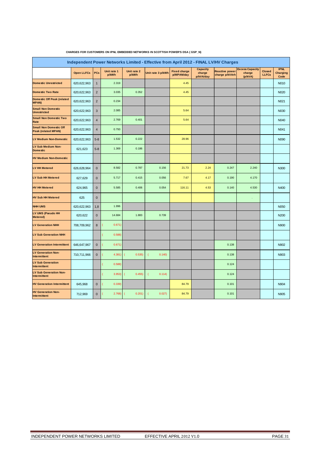|                                                             | Independent Power Networks Limited - Effective from April 2012 - FINAL LV/HV Charges<br><b>IPNL</b><br><b>Capacity</b><br><b>Excess Capacity</b><br>Unit rate 1<br>Unit rate 2<br><b>Fixed charge</b><br><b>Reactive power</b><br><b>Closed</b> |                |                            |        |                                   |            |                     |                |                   |              |                         |  |
|-------------------------------------------------------------|-------------------------------------------------------------------------------------------------------------------------------------------------------------------------------------------------------------------------------------------------|----------------|----------------------------|--------|-----------------------------------|------------|---------------------|----------------|-------------------|--------------|-------------------------|--|
|                                                             | <b>Open LLFCs</b>                                                                                                                                                                                                                               | PCs            | p/kWh                      | p/kWh  | Unit rate 3 p/kWh                 | p/MPAN/day | charge<br>p/kVA/day | charge p/kVArh | charge<br>(p/kVA) | <b>LLFCs</b> | <b>Charging</b><br>Code |  |
| <b>Domestic Unrestricted</b>                                | 620,622,963                                                                                                                                                                                                                                     | $\mathbf{1}$   | 2.319                      |        |                                   | 4.45       |                     |                |                   |              | N010                    |  |
| <b>Domestic Two Rate</b>                                    | 620,622,963                                                                                                                                                                                                                                     | $\overline{2}$ | 3.035                      | 0.352  |                                   | 4.45       |                     |                |                   |              | N020                    |  |
| <b>Domestic Off Peak (related</b><br><b>MPAN)</b>           | 620,622,963                                                                                                                                                                                                                                     | $\overline{2}$ | 0.234                      |        |                                   |            |                     |                |                   |              | N021                    |  |
| <b>Small Non Domestic</b><br><b>Unrestricted</b>            | 620,622,963                                                                                                                                                                                                                                     | 3              | 2.085                      |        |                                   | 5.64       |                     |                |                   |              | N030                    |  |
| <b>Small Non Domestic Two</b><br>Rate                       | 620,622,963                                                                                                                                                                                                                                     | $\overline{4}$ | 2.769                      | 0.401  |                                   | 5.64       |                     |                |                   |              | N040                    |  |
| <b>Small Non Domestic Off</b><br><b>Peak (related MPAN)</b> | 620,622,963                                                                                                                                                                                                                                     | $\overline{4}$ | 0.793                      |        |                                   |            |                     |                |                   |              | N041                    |  |
| <b>LV Medium Non-Domestic</b>                               | 620,622,963                                                                                                                                                                                                                                     | $5 - 8$        | 1.532                      | 0.222  |                                   | 28.96      |                     |                |                   |              | N090                    |  |
| <b>LV Sub Medium Non-</b><br><b>Domestic</b>                | 621,623                                                                                                                                                                                                                                         | $5 - 8$        | 1.369                      | 0.186  |                                   |            |                     |                |                   |              |                         |  |
| <b>HV Medium Non-Domestic</b>                               |                                                                                                                                                                                                                                                 |                |                            |        |                                   |            |                     |                |                   |              |                         |  |
| <b>LV HH Metered</b>                                        | 626,628,964                                                                                                                                                                                                                                     | $\mathbf 0$    | 8.582                      | 0.787  | 0.156                             | 21.73      | 2.24                | 0.247          | 2.240             |              | N300                    |  |
| <b>LV Sub HH Metered</b>                                    | 627,629                                                                                                                                                                                                                                         | $\mathbf{0}$   | 5.717                      | 0.415  | 0.056                             | 7.67       | 4.17                | 0.190          | 4.170             |              |                         |  |
| <b>HV HH Metered</b>                                        | 624,965                                                                                                                                                                                                                                         | $\mathbf 0$    | 5.585                      | 0.406  | 0.054                             | 116.11     | 4.53                | 0.140          | 4.530             |              | N400                    |  |
| <b>HV Sub HH Metered</b>                                    | 625                                                                                                                                                                                                                                             | $\mathbf 0$    |                            |        |                                   |            |                     |                |                   |              |                         |  |
| <b>NHH UMS</b>                                              | 620,622,963                                                                                                                                                                                                                                     | 1,8            | 1.996                      |        |                                   |            |                     |                |                   |              | N050                    |  |
| LV UMS (Pseudo HH<br>Metered)                               | 620,622                                                                                                                                                                                                                                         | $\mathbf 0$    | 14.684                     | 1.883  | 0.739                             |            |                     |                |                   |              | N200                    |  |
| <b>LV Generation NHH</b>                                    | 708,709,962                                                                                                                                                                                                                                     | 8              | 0.671)<br>(                |        |                                   |            |                     |                |                   |              | N900                    |  |
| <b>LV Sub Generation NHH</b>                                |                                                                                                                                                                                                                                                 |                | 0.588                      |        |                                   |            |                     |                |                   |              |                         |  |
| <b>LV Generation Intermittent</b>                           | 646,647,967                                                                                                                                                                                                                                     | $\mathbf{0}$   | 0.671)<br>l                |        |                                   |            |                     | 0.138          |                   |              | N902                    |  |
| <b>LV Generation Non-</b><br>Intermittent                   | 710,711,966                                                                                                                                                                                                                                     | $\mathbf 0$    | 4.381)<br>$\overline{(\ }$ | 0.535) | 0.140<br>$\overline{\mathcal{L}}$ |            |                     | 0.138          |                   |              | N903                    |  |
| <b>LV Sub Generation</b><br>Intermittent                    |                                                                                                                                                                                                                                                 |                | 0.588                      |        |                                   |            |                     | 0.124          |                   |              |                         |  |
| <b>LV Sub Generation Non-</b><br>Intermittent               |                                                                                                                                                                                                                                                 |                | 3.953<br>l                 | 0.455) | 0.114)<br>1                       |            |                     | 0.124          |                   |              |                         |  |
| <b>HV Generation Intermittent</b>                           | 645,968                                                                                                                                                                                                                                         | $\mathbf 0$    | 0.339)                     |        |                                   | 84.79      |                     | 0.101          |                   |              | N904                    |  |
| <b>HV Generation Non-</b><br>Intermittent                   | 712,969                                                                                                                                                                                                                                         | $\mathbf 0$    | 2.768                      | 0.201) | 0.027)                            | 84.79      |                     | 0.101          |                   |              | N905                    |  |

#### **CHARGES FOR CUSTOMERS ON IPNL EMBEDDED NETWORKS IN SCOTTISH POWER'S DSA ( GSP\_N)**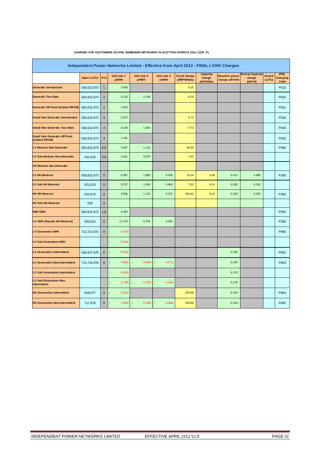|                                                      | Independent Power Networks Limited - Effective from April 2012 - FINAL LV/HV Charges<br><b>IPNL</b><br><b>Excess Capacity</b><br><b>Capacity</b> |                |                      |                      |                      |                                   |                     |                                         |                   |                               |                  |  |
|------------------------------------------------------|--------------------------------------------------------------------------------------------------------------------------------------------------|----------------|----------------------|----------------------|----------------------|-----------------------------------|---------------------|-----------------------------------------|-------------------|-------------------------------|------------------|--|
|                                                      | <b>Open LLFCs</b>                                                                                                                                | PCs            | Unit rate 1<br>p/kWh | Unit rate 2<br>p/kWh | Unit rate 3<br>p/kWh | <b>Fixed charge</b><br>p/MPAN/day | charge<br>p/kVA/day | <b>Reactive power</b><br>charge p/kVArh | charge<br>(p/kVA) | <b>Closed</b><br><b>LLFCs</b> | Charging<br>Code |  |
| <b>Domestic Unrestricted</b>                         | 630,632,973                                                                                                                                      | $\mathbf{1}$   | 3.560                |                      |                      | 6.25                              |                     |                                         |                   |                               | P010             |  |
| <b>Domestic Two Rate</b>                             | 630,632,973                                                                                                                                      | $\overline{2}$ | 4.120                | 2.139                |                      | 6.25                              |                     |                                         |                   |                               | P020             |  |
| <b>Domestic Off Peak (related MPAN)</b>              | 630,632,973                                                                                                                                      | $\overline{2}$ | 1.593                |                      |                      |                                   |                     |                                         |                   |                               | P021             |  |
| <b>Small Non Domestic Unrestricted</b>               | 630,632,973                                                                                                                                      | $\sqrt{3}$     | 2.972                |                      |                      | 9.72                              |                     |                                         |                   |                               | P030             |  |
| <b>Small Non Domestic Two Rate</b>                   | 630,632,973                                                                                                                                      | $\overline{4}$ | 4.150                | 1.034                |                      | 9.72                              |                     |                                         |                   |                               | P040             |  |
| <b>Small Non Domestic Off Peak</b><br>(related MPAN) | 630,632,973                                                                                                                                      | $\sqrt{4}$     | 1.431                |                      |                      |                                   |                     |                                         |                   |                               | P041             |  |
| <b>LV Medium Non-Domestic</b>                        | 630,632,973                                                                                                                                      | $5 - 8$        | 3.407                | 1.118                |                      | 60.60                             |                     |                                         |                   |                               | P090             |  |
| <b>LV Sub Medium Non-Domestic</b>                    | 631,633                                                                                                                                          | $5 - 8$        | 2.041                | 0.675                |                      | 7.62                              |                     |                                         |                   |                               |                  |  |
| <b>HV Medium Non-Domestic</b>                        |                                                                                                                                                  |                |                      |                      |                      |                                   |                     |                                         |                   |                               |                  |  |
| <b>LV HH Metered</b>                                 | 630,632,973                                                                                                                                      | $\mathbf 0$    | 6.387                | 1.865                | 0.535                | 19.34                             | 3.48                | 0.412                                   | 3.480             |                               | P300             |  |
| <b>LV Sub HH Metered</b>                             | 631,633                                                                                                                                          | $\mathbf 0$    | 5.237                | 1.554                | 0.483                | 7.62                              | 6.31                | 0.326                                   | 6.310             |                               |                  |  |
| <b>HV HH Metered</b>                                 | 634,974                                                                                                                                          | $\mathbf 0$    | 3.695                | 1.115                | 0.372                | 185.62                            | 9.22                | 0.233                                   | 9.220             |                               | P400             |  |
| <b>HV Sub HH Metered</b>                             | 635                                                                                                                                              | $\mathbf 0$    |                      |                      |                      |                                   |                     |                                         |                   |                               |                  |  |
| <b>NHH UMS</b>                                       | 630,632,973                                                                                                                                      | 1,8            | 4.335                |                      |                      |                                   |                     |                                         |                   |                               | P050             |  |
| LV UMS (Pseudo HH Metered)                           | 630,632                                                                                                                                          | $\mathbf 0$    | 17.176               | 5.478                | 2.020                |                                   |                     |                                         |                   |                               | P200             |  |
| <b>LV Generation NHH</b>                             | 713,714,972                                                                                                                                      | 8              | 0.916)               |                      |                      |                                   |                     |                                         |                   |                               | P900             |  |
| <b>LV Sub Generation NHH</b>                         |                                                                                                                                                  |                | 0.816)               |                      |                      |                                   |                     |                                         |                   |                               |                  |  |
| <b>LV Generation Intermittent</b>                    | 636,637,975                                                                                                                                      | $\mathbf 0$    | 0.916                |                      |                      |                                   |                     | 0.195                                   |                   |                               | P902             |  |
| <b>LV Generation Non-Intermittent</b>                | 715,716,976                                                                                                                                      | $\mathbf 0$    | 3.065                | 0.845)<br>$\epsilon$ | 0.171)               |                                   |                     | 0.195                                   |                   |                               | P903             |  |
| <b>LV Sub Generation Intermittent</b>                |                                                                                                                                                  |                | 0.816                |                      |                      |                                   |                     | 0.170                                   |                   |                               |                  |  |
| <b>LV Sub Generation Non-</b><br>Intermittent        |                                                                                                                                                  |                | 2.728)               | 0.753)               | 0.154)               |                                   |                     | 0.170                                   |                   |                               |                  |  |
| <b>HV Generation Intermittent</b>                    | 638,977                                                                                                                                          | $\mathbf 0$    | 0.422)               |                      |                      | 229.88                            |                     | 0.154                                   |                   |                               | P904             |  |
| <b>HV Generation Non-Intermittent</b>                | 717,978                                                                                                                                          | $\mathbf 0$    | 1.393)               | 0.389                | 0.086                | 229.88                            |                     | 0.154                                   |                   |                               | P905             |  |

#### **CHARGES FOR CUSTOMERS ON IPNL EMBEDDED NETWORKS IN SCOTTISH HYDRO'S DSA ( GSP\_P)**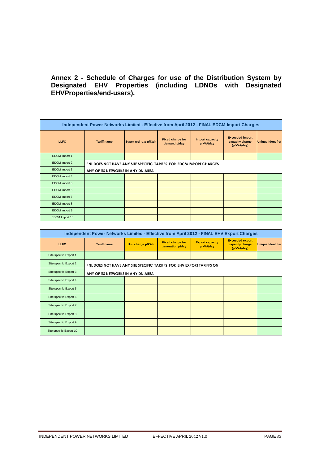# **Annex 2 - Schedule of Charges for use of the Distribution System by Designated EHV Properties (including LDNOs with Designated EHVProperties/end-users).**

|                      | Independent Power Networks Limited - Effective from April 2012 - FINAL EDCM Import Charges |                      |                                         |                                     |                                                          |                          |  |  |  |  |  |  |
|----------------------|--------------------------------------------------------------------------------------------|----------------------|-----------------------------------------|-------------------------------------|----------------------------------------------------------|--------------------------|--|--|--|--|--|--|
| <b>LLFC</b>          | <b>Tariff name</b>                                                                         | Super red rate p/kWh | <b>Fixed charge for</b><br>demand p/day | <b>Import capacity</b><br>p/kVA/day | <b>Exceeded import</b><br>capacity charge<br>(p/kVA/day) | <b>Unique Identifier</b> |  |  |  |  |  |  |
| EDCM Import 1        |                                                                                            |                      |                                         |                                     |                                                          |                          |  |  |  |  |  |  |
| EDCM Import 2        | IPNL DOES NOT HAVE ANY SITE SPECIFIC TARIFFS FOR EDCM IMPORT CHARGES                       |                      |                                         |                                     |                                                          |                          |  |  |  |  |  |  |
| EDCM Import 3        | ANY OF ITS NETWORKS IN ANY DN AREA                                                         |                      |                                         |                                     |                                                          |                          |  |  |  |  |  |  |
| <b>EDCM</b> Import 4 |                                                                                            |                      |                                         |                                     |                                                          |                          |  |  |  |  |  |  |
| EDCM Import 5        |                                                                                            |                      |                                         |                                     |                                                          |                          |  |  |  |  |  |  |
| EDCM Import 6        |                                                                                            |                      |                                         |                                     |                                                          |                          |  |  |  |  |  |  |
| <b>EDCM</b> Import 7 |                                                                                            |                      |                                         |                                     |                                                          |                          |  |  |  |  |  |  |
| EDCM Import 8        |                                                                                            |                      |                                         |                                     |                                                          |                          |  |  |  |  |  |  |
| EDCM Import 9        |                                                                                            |                      |                                         |                                     |                                                          |                          |  |  |  |  |  |  |
| EDCM Import 10       |                                                                                            |                      |                                         |                                     |                                                          |                          |  |  |  |  |  |  |

| Independent Power Networks Limited - Effective from April 2012 - FINAL EHV Export Charges |                                                                        |                   |                                             |                                     |                                                          |                          |  |  |  |  |  |
|-------------------------------------------------------------------------------------------|------------------------------------------------------------------------|-------------------|---------------------------------------------|-------------------------------------|----------------------------------------------------------|--------------------------|--|--|--|--|--|
| <b>LLFC</b>                                                                               | <b>Tariff name</b>                                                     | Unit charge p/kWh | <b>Fixed charge for</b><br>generation p/day | <b>Export capacity</b><br>p/kVA/day | <b>Exceeded export</b><br>capacity charge<br>(p/kVA/day) | <b>Unique Identifier</b> |  |  |  |  |  |
| Site specific Export 1                                                                    |                                                                        |                   |                                             |                                     |                                                          |                          |  |  |  |  |  |
| Site specific Export 2                                                                    | IPNL DOES NOT HAVE ANY SITE SPECIFIC TARIFFS FOR EHV EXPORT TARIFFS ON |                   |                                             |                                     |                                                          |                          |  |  |  |  |  |
| Site specific Export 3                                                                    | ANY OF ITS NETWORKS IN ANY DN AREA                                     |                   |                                             |                                     |                                                          |                          |  |  |  |  |  |
| Site specific Export 4                                                                    |                                                                        |                   |                                             |                                     |                                                          |                          |  |  |  |  |  |
| Site specific Export 5                                                                    |                                                                        |                   |                                             |                                     |                                                          |                          |  |  |  |  |  |
| Site specific Export 6                                                                    |                                                                        |                   |                                             |                                     |                                                          |                          |  |  |  |  |  |
| Site specific Export 7                                                                    |                                                                        |                   |                                             |                                     |                                                          |                          |  |  |  |  |  |
| Site specific Export 8                                                                    |                                                                        |                   |                                             |                                     |                                                          |                          |  |  |  |  |  |
| Site specific Export 9                                                                    |                                                                        |                   |                                             |                                     |                                                          |                          |  |  |  |  |  |
| Site specific Export 10                                                                   |                                                                        |                   |                                             |                                     |                                                          |                          |  |  |  |  |  |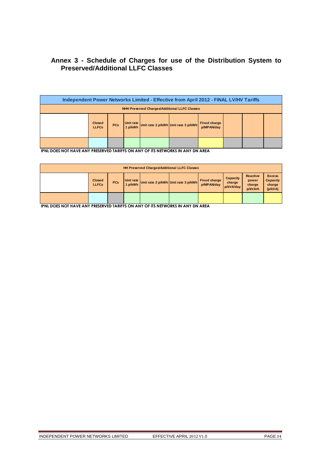# **Annex 3 - Schedule of Charges for use of the Distribution System to Preserved/Additional LLFC Classes**

| Independent Power Networks Limited - Effective from April 2012 - FINAL LV/HV Tariffs |                                                                                                                                                 |  |  |  |  |  |  |  |  |  |  |  |
|--------------------------------------------------------------------------------------|-------------------------------------------------------------------------------------------------------------------------------------------------|--|--|--|--|--|--|--|--|--|--|--|
| <b>NHH Preserved Charges/Additional LLFC Classes</b>                                 |                                                                                                                                                 |  |  |  |  |  |  |  |  |  |  |  |
|                                                                                      | Unit rate<br><b>Fixed charge</b><br><b>Closed</b><br>Unit rate 2 p/kWh Unit rate 3 p/kWh<br><b>PCs</b><br>1 p/kWh<br>p/MPAN/day<br><b>LLFCs</b> |  |  |  |  |  |  |  |  |  |  |  |
|                                                                                      |                                                                                                                                                 |  |  |  |  |  |  |  |  |  |  |  |

**IPNL DOES NOT HAVE ANY PRESERVED TARIFFS ON ANY OF ITS NETWORKS IN ANY DN AREA**

| <b>HH Preserved Charges/Additional LLFC Classes</b> |                               |            |                         |  |                                     |                                   |                                        |                                               |                                                       |  |  |
|-----------------------------------------------------|-------------------------------|------------|-------------------------|--|-------------------------------------|-----------------------------------|----------------------------------------|-----------------------------------------------|-------------------------------------------------------|--|--|
|                                                     | <b>Closed</b><br><b>LLFCs</b> | <b>PCs</b> | Unit rate I.<br>1 p/kWh |  | Unit rate 2 p/kWh Unit rate 3 p/kWh | <b>Fixed charge</b><br>p/MPAN/day | <b>Capacity</b><br>charge<br>p/kVA/day | <b>Reactive</b><br>power<br>charge<br>p/kVArh | <b>Excess</b><br><b>Capacity</b><br>charge<br>(p/kVA) |  |  |
|                                                     |                               |            |                         |  |                                     |                                   |                                        |                                               |                                                       |  |  |

**IPNL DOES NOT HAVE ANY PRESERVED TARIFFS ON ANY OF ITS NETWORKS IN ANY DN AREA**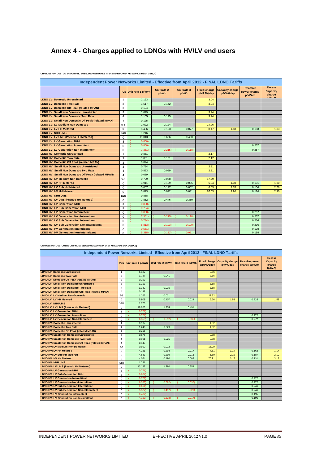# **Annex 4 - Charges applied to LDNOs with HV/LV end users**

| Independent Power Networks Limited - Effective from April 2012 - FINAL LDNO Tariffs |                |                       |                      |                      |                                   |                                     |                                            |                                            |  |  |  |  |
|-------------------------------------------------------------------------------------|----------------|-----------------------|----------------------|----------------------|-----------------------------------|-------------------------------------|--------------------------------------------|--------------------------------------------|--|--|--|--|
|                                                                                     |                | PCs Unit rate 1 p/kWh | Unit rate 2<br>p/kWh | Unit rate 3<br>p/kWh | <b>Fixed charge</b><br>p/MPAN/day | <b>Capacity charge</b><br>p/kVA/day | <b>Reactive</b><br>power charge<br>p/kVArh | <b>Excess</b><br><b>Capacity</b><br>charge |  |  |  |  |
| <b>LDNO LV: Domestic Unrestricted</b>                                               | $\overline{1}$ | 1.193                 |                      |                      | 3.04                              |                                     |                                            |                                            |  |  |  |  |
| <b>LDNO LV: Domestic Two Rate</b>                                                   | $\overline{2}$ | 1.517                 | 0.142                |                      | 3.04                              |                                     |                                            |                                            |  |  |  |  |
| <b>LDNO LV: Domestic Off Peak (related MPAN)</b>                                    | $\overline{2}$ | 0.104                 |                      |                      |                                   |                                     |                                            |                                            |  |  |  |  |
| <b>LDNO LV: Small Non Domestic Unrestricted</b>                                     | 3              | 1.029                 |                      |                      | 3.24                              |                                     |                                            |                                            |  |  |  |  |
| <b>LDNO LV: Small Non Domestic Two Rate</b>                                         | $\overline{4}$ | 1.155                 | 0.125                |                      | 3.24                              |                                     |                                            |                                            |  |  |  |  |
| LDNO LV: Small Non Domestic Off Peak (related MPAN)                                 | $\overline{a}$ | 0.125                 |                      |                      |                                   |                                     |                                            |                                            |  |  |  |  |
| <b>LDNO LV: LV Medium Non-Domestic</b>                                              | $5-8$          | 1.022                 | 0.124                |                      | 24.96                             |                                     |                                            |                                            |  |  |  |  |
| <b>LDNO LV: LV HH Metered</b>                                                       | $\Omega$       | 5.486                 | 0.153                | 0.077                | 8.47                              | 1.83                                | 0.183                                      | 1.83                                       |  |  |  |  |
| <b>LDNO LV: NHH UMS</b>                                                             | 1&8            | 1.246                 |                      |                      |                                   |                                     |                                            |                                            |  |  |  |  |
| LDNO LV: LV UMS (Pseudo HH Metered)                                                 | $\Omega$       | 11.013                | 0.626                | 0.490                |                                   |                                     |                                            |                                            |  |  |  |  |
| <b>LDNO LV: LV Generation NHH</b>                                                   | 8              | 0.800                 |                      |                      |                                   |                                     |                                            |                                            |  |  |  |  |
| <b>LDNO LV: LV Generation Intermittent</b>                                          | $\mathbf 0$    | 0.800                 |                      |                      |                                   |                                     | 0.257                                      |                                            |  |  |  |  |
| <b>LDNO LV: LV Generation Non-Intermittent</b>                                      | $\mathbf 0$    | 7.361)                | 0.215                | 0.118                |                                   |                                     | 0.257                                      |                                            |  |  |  |  |
| <b>LDNO HV: Domestic Unrestricted</b>                                               | $\mathbf{1}$   | 0.851                 |                      |                      | 2.17                              |                                     |                                            |                                            |  |  |  |  |
| <b>LDNO HV: Domestic Two Rate</b>                                                   | $\overline{2}$ | 1.081                 | 0.101                |                      | 2.17                              |                                     |                                            |                                            |  |  |  |  |
| <b>LDNO HV: Domestic Off Peak (related MPAN)</b>                                    | $\overline{2}$ | 0.074                 |                      |                      |                                   |                                     |                                            |                                            |  |  |  |  |
| <b>LDNO HV: Small Non Domestic Unrestricted</b>                                     | $\overline{3}$ | 0.734                 |                      |                      | 2.31                              |                                     |                                            |                                            |  |  |  |  |
| <b>LDNO HV: Small Non Domestic Two Rate</b>                                         | $\overline{a}$ | 0.823                 | 0.089                |                      | 2.31                              |                                     |                                            |                                            |  |  |  |  |
| LDNO HV: Small Non Domestic Off Peak (related MPAN)                                 | $\overline{4}$ | 0.089                 |                      |                      |                                   |                                     |                                            |                                            |  |  |  |  |
| <b>LDNO HV: LV Medium Non-Domestic</b>                                              | $5 - 8$        | 0.729                 | 0.088                |                      | 17.79                             |                                     |                                            |                                            |  |  |  |  |
| <b>LDNO HV: LV HH Metered</b>                                                       | $\Omega$       | 3.911                 | 0.109                | 0.055                | 6.04                              | 1.30                                | 0.131                                      | 1.30                                       |  |  |  |  |
| LDNO HV: LV Sub HH Metered                                                          | $\mathbf 0$    | 5.067                 | 0.127                | 0.052                | 6.03                              | 2.76                                | 0.154                                      | 2.76                                       |  |  |  |  |
| <b>LDNO HV: HV HH Metered</b>                                                       | $\Omega$       | 3.823                 | 0.092                | 0.031                | 67.53                             | 2.90                                | 0.114                                      | 2.90                                       |  |  |  |  |
| <b>LDNO HV: NHH UMS</b>                                                             | 1&8            | 0.888                 |                      |                      |                                   |                                     |                                            |                                            |  |  |  |  |
| LDNO HV: LV UMS (Pseudo HH Metered)                                                 | $\mathbf 0$    | 7.852                 | 0.446                | 0.350                |                                   |                                     |                                            |                                            |  |  |  |  |
| <b>LDNO HV: LV Generation NHH</b>                                                   | 8              | 0.800)                |                      |                      |                                   |                                     |                                            |                                            |  |  |  |  |
| <b>LDNO HV: LV Sub Generation NHH</b>                                               | 8              | 0.734)                |                      |                      |                                   |                                     |                                            |                                            |  |  |  |  |
| <b>LDNO HV: LV Generation Intermittent</b>                                          | $\mathbf 0$    | 0.800)                |                      |                      |                                   |                                     | 0.257                                      |                                            |  |  |  |  |
| <b>LDNO HV: LV Generation Non-Intermittent</b>                                      | $\Omega$       | 7.361                 | 0.215                | 0.118                |                                   |                                     | 0.257                                      |                                            |  |  |  |  |
| <b>LDNO HV: LV Sub Generation Intermittent</b>                                      | $\Omega$       | 0.734)                |                      |                      |                                   |                                     | 0.236                                      |                                            |  |  |  |  |
| <b>LDNO HV: LV Sub Generation Non-Intermittent</b>                                  | $\mathbf 0$    | 6.813                 | 0.193                | 0.100                |                                   |                                     | 0.236                                      |                                            |  |  |  |  |
| <b>LDNO HV: HV Generation Intermittent</b>                                          | $\Omega$       | 0.551                 |                      |                      |                                   |                                     | 0.198                                      |                                            |  |  |  |  |
| <b>LDNO HV: HV Generation Non-Intermittent</b>                                      | $\Omega$       | 5.318                 | 0.132                | 0.051                |                                   |                                     | 0.198                                      |                                            |  |  |  |  |

**CHARGES FOR CUSTOMERS ON IPNL EMBEDDED NETWORKS IN EASTERN POWER NETWORK'S DSA ( GSP\_A)**

**CHARGES FOR CUSTOMERS ON IPNL EMBEDDED NETWORKS IN EAST MIDLAND'S DSA ( GSP\_B)**

| Independent Power Networks Limited - Effective from April 2012 - FINAL LDNO Tariffs |                         |                   |                   |                   |                                   |                                     |                                         |                                                       |  |  |  |  |
|-------------------------------------------------------------------------------------|-------------------------|-------------------|-------------------|-------------------|-----------------------------------|-------------------------------------|-----------------------------------------|-------------------------------------------------------|--|--|--|--|
|                                                                                     | <b>PCs</b>              | Unit rate 1 p/kWh | Unit rate 2 p/kWh | Unit rate 3 p/kWh | <b>Fixed charge</b><br>p/MPAN/day | <b>Capacity charge</b><br>p/kVA/day | <b>Reactive power</b><br>charge p/kVArh | <b>Excess</b><br><b>Capacity</b><br>charge<br>(p/kVA) |  |  |  |  |
| <b>LDNO LV: Domestic Unrestricted</b>                                               | $\mathbf{1}$            | 1.382             |                   |                   | 2.66                              |                                     |                                         |                                                       |  |  |  |  |
| <b>LDNO LV: Domestic Two Rate</b>                                                   | $\overline{2}$          | 1.727             | 0.041             |                   | 2.66                              |                                     |                                         |                                                       |  |  |  |  |
| <b>LDNO LV: Domestic Off Peak (related MPAN)</b>                                    | $\overline{2}$          | 0.299             |                   |                   |                                   |                                     |                                         |                                                       |  |  |  |  |
| <b>LDNO LV: Small Non Domestic Unrestricted</b>                                     | 3                       | 1.213             |                   |                   | 3.58                              |                                     |                                         |                                                       |  |  |  |  |
| <b>LDNO LV: Small Non Domestic Two Rate</b>                                         | $\overline{4}$          | 1.332             | 0.035             |                   | 3.58                              |                                     |                                         |                                                       |  |  |  |  |
| LDNO LV: Small Non Domestic Off Peak (related MPAN)                                 | $\overline{4}$          | 0.198             |                   |                   |                                   |                                     |                                         |                                                       |  |  |  |  |
| <b>LDNO LV: LV Medium Non-Domestic</b>                                              | $5-8$                   | 1.262             | 0.031             |                   | 22.32                             |                                     |                                         |                                                       |  |  |  |  |
| <b>LDNO LV: LV HH Metered</b>                                                       | $\mathbf 0$             | 5.909             | 0.407             | 0.024             | 6.66                              | 1.58                                | 0.225                                   | 1.58                                                  |  |  |  |  |
| <b>LDNO LV: NHH UMS</b>                                                             | 1&8                     | 1.776             |                   |                   |                                   |                                     |                                         |                                                       |  |  |  |  |
| LDNO LV: LV UMS (Pseudo HH Metered)                                                 | $\mathbf 0$             | 18.203            | 1.774             | 0.491             |                                   |                                     |                                         |                                                       |  |  |  |  |
| <b>LDNO LV: LV Generation NHH</b>                                                   | 8                       | 0.771             |                   |                   |                                   |                                     |                                         |                                                       |  |  |  |  |
| <b>LDNO LV: LV Generation Intermittent</b>                                          | $\mathbf 0$             | 0.771             |                   |                   |                                   |                                     | 0.272                                   |                                                       |  |  |  |  |
| <b>LDNO LV: LV Generation Non-Intermittent</b>                                      | $\mathbf 0$             | 6,353             | 0.592             | 0.035             |                                   |                                     | 0.272                                   |                                                       |  |  |  |  |
| <b>LDNO HV: Domestic Unrestricted</b>                                               | 1                       | 0.997             |                   |                   | 1.92                              |                                     |                                         |                                                       |  |  |  |  |
| <b>LDNO HV: Domestic Two Rate</b>                                                   | $\overline{2}$          | 1.246             | 0.029             |                   | 1.92                              |                                     |                                         |                                                       |  |  |  |  |
| <b>LDNO HV: Domestic Off Peak (related MPAN)</b>                                    | $\overline{2}$          | 0.216             |                   |                   |                                   |                                     |                                         |                                                       |  |  |  |  |
| <b>LDNO HV: Small Non Domestic Unrestricted</b>                                     | $\overline{\mathbf{3}}$ | 0.875             |                   |                   | 2.58                              |                                     |                                         |                                                       |  |  |  |  |
| <b>LDNO HV: Small Non Domestic Two Rate</b>                                         | 4                       | 0.961             | 0.025             |                   | 2.58                              |                                     |                                         |                                                       |  |  |  |  |
| LDNO HV: Small Non Domestic Off Peak (related MPAN)                                 | 4                       | 0.143             |                   |                   |                                   |                                     |                                         |                                                       |  |  |  |  |
| <b>LDNO HV: LV Medium Non-Domestic</b>                                              | $5 - 8$                 | 0.910             | 0.022             |                   | 16.09                             |                                     |                                         |                                                       |  |  |  |  |
| <b>LDNO HV: LV HH Metered</b>                                                       | $\Omega$                | 4.261             | 0.294             | 0.017             | 4.81                              | 1.14                                | 0.162                                   | 1.14                                                  |  |  |  |  |
| <b>LDNO HV: LV Sub HH Metered</b>                                                   | $\mathbf 0$             | 4.883             | 0.299             | 0.016             | 6.80                              | 2.19                                | 0.187                                   | 2.19                                                  |  |  |  |  |
| <b>LDNO HV: HV HH Metered</b>                                                       | $\mathbf 0$             | 4.054             | 0.190             | 0.008             | 76.91                             | 3.17                                | 0.131                                   | 3.17                                                  |  |  |  |  |
| <b>LDNO HV: NHH UMS</b>                                                             | 1&8                     | 1.281             |                   |                   |                                   |                                     |                                         |                                                       |  |  |  |  |
| LDNO HV: LV UMS (Pseudo HH Metered)                                                 | $\mathbf 0$             | 13.127            | 1.280             | 0.354             |                                   |                                     |                                         |                                                       |  |  |  |  |
| <b>LDNO HV: LV Generation NHH</b>                                                   | 8                       | 0.771             |                   |                   |                                   |                                     |                                         |                                                       |  |  |  |  |
| <b>LDNO HV: LV Sub Generation NHH</b>                                               | 8                       | 0.664             |                   |                   |                                   |                                     |                                         |                                                       |  |  |  |  |
| <b>LDNO HV: LV Generation Intermittent</b>                                          | $\mathbf 0$             | 0.771             |                   |                   |                                   |                                     | 0.272                                   |                                                       |  |  |  |  |
| <b>LDNO HV: LV Generation Non-Intermittent</b>                                      | $\mathbf 0$             | 6,353             | 0.592             | 0.035             |                                   |                                     | 0.272                                   |                                                       |  |  |  |  |
| <b>LDNO HV: LV Sub Generation Intermittent</b>                                      | $\mathbf 0$             | 0.664             |                   |                   |                                   |                                     | 0.246                                   |                                                       |  |  |  |  |
| <b>LDNO HV: LV Sub Generation Non-Intermittent</b>                                  | $\mathbf 0$             | 5.522             | 0.497             | 0.029             |                                   |                                     | 0.246                                   |                                                       |  |  |  |  |
| <b>LDNO HV: HV Generation Intermittent</b>                                          | $\Omega$                | 0.482             |                   |                   |                                   |                                     | 0.195                                   |                                                       |  |  |  |  |
| <b>LDNO HV: HV Generation Non-Intermittent</b>                                      | $\Omega$                | 4.153             | 0.3281            | 0.017             |                                   |                                     | 0.195                                   |                                                       |  |  |  |  |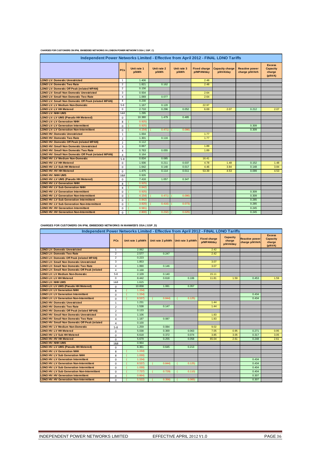| CHARGES FOR CUSTOMERS ON IPNL EMBEDDED NETWORKS IN LONDON POWER NETWORK'S DSA ( GSP_C) |
|----------------------------------------------------------------------------------------|
|----------------------------------------------------------------------------------------|

| Independent Power Networks Limited - Effective from April 2012 - FINAL LDNO Tariffs |                |                      |                      |                      |                                   |                                     |                                         |                                                       |  |  |  |  |
|-------------------------------------------------------------------------------------|----------------|----------------------|----------------------|----------------------|-----------------------------------|-------------------------------------|-----------------------------------------|-------------------------------------------------------|--|--|--|--|
|                                                                                     | <b>PCs</b>     | Unit rate 1<br>p/kWh | Unit rate 2<br>p/kWh | Unit rate 3<br>p/kWh | <b>Fixed charge</b><br>p/MPAN/day | <b>Capacity charge</b><br>p/kVA/day | <b>Reactive power</b><br>charge p/kVArh | <b>Excess</b><br><b>Capacity</b><br>charge<br>(p/kVA) |  |  |  |  |
| <b>LDNO LV: Domestic Unrestricted</b>                                               | $\mathbf{1}$   | 1.406                |                      |                      | 2.48                              |                                     |                                         |                                                       |  |  |  |  |
| <b>LDNO LV: Domestic Two Rate</b>                                                   | 2              | 1.821                | 0.162                |                      | 2.48                              |                                     |                                         |                                                       |  |  |  |  |
| <b>LDNO LV: Domestic Off Peak (related MPAN)</b>                                    | $\overline{2}$ | 0.156                |                      |                      |                                   |                                     |                                         |                                                       |  |  |  |  |
| <b>LDNO LV: Small Non Domestic Unrestricted</b>                                     | 3              | 0.934                |                      |                      | 2.64                              |                                     |                                         |                                                       |  |  |  |  |
| <b>LDNO LV: Small Non Domestic Two Rate</b>                                         | $\overline{4}$ | 1.069                | 0.077                |                      | 2.64                              |                                     |                                         |                                                       |  |  |  |  |
| LDNO LV: Small Non Domestic Off Peak (related MPAN)                                 | $\overline{4}$ | 0.230                |                      |                      |                                   |                                     |                                         |                                                       |  |  |  |  |
| <b>LDNO LV: LV Medium Non-Domestic</b>                                              | $5 - 8$        | 1.167                | 0.120                |                      | 22.97                             |                                     |                                         |                                                       |  |  |  |  |
| <b>LDNO LV: LV HH Metered</b>                                                       | $\mathbf 0$    | 2.710                | 0.296                | 0.052                | 6.69                              | 2.07                                | 0.212                                   | 2.07                                                  |  |  |  |  |
| <b>LDNO LV: NHH UMS</b>                                                             | 1&8            | 1.295                |                      |                      |                                   |                                     |                                         |                                                       |  |  |  |  |
| LDNO LV: LV UMS (Pseudo HH Metered)                                                 | $\mathbf 0$    | 10.380               | 1.479                | 0.485                |                                   |                                     |                                         |                                                       |  |  |  |  |
| <b>LDNO LV: LV Generation NHH</b>                                                   | 8              | 0.925                |                      |                      |                                   |                                     |                                         |                                                       |  |  |  |  |
| <b>LDNO LV: LV Generation Intermittent</b>                                          | $\mathbf 0$    | 0.925                |                      |                      |                                   |                                     | 0.309                                   |                                                       |  |  |  |  |
| <b>LDNO LV: LV Generation Non-Intermittent</b>                                      | $\Omega$       | 4.154                | 0.471                | 0.086                |                                   |                                     | 0.309                                   |                                                       |  |  |  |  |
| <b>LDNO HV: Domestic Unrestricted</b>                                               | $\mathbf{1}$   | 1.004                |                      |                      | 1.77                              |                                     |                                         |                                                       |  |  |  |  |
| <b>LDNO HV: Domestic Two Rate</b>                                                   | $\overline{2}$ | 1.301                | 0.116                |                      | 1.77                              |                                     |                                         |                                                       |  |  |  |  |
| <b>LDNO HV: Domestic Off Peak (related MPAN)</b>                                    | $\overline{2}$ | 0.112                |                      |                      |                                   |                                     |                                         |                                                       |  |  |  |  |
| <b>LDNO HV: Small Non Domestic Unrestricted</b>                                     | 3              | 0.667                |                      |                      | 1.89                              |                                     |                                         |                                                       |  |  |  |  |
| <b>LDNO HV: Small Non Domestic Two Rate</b>                                         | $\overline{a}$ | 0.763                | 0.055                |                      | 1.89                              |                                     |                                         |                                                       |  |  |  |  |
| <b>LDNO HV: Small Non Domestic Off Peak (related MPAN)</b>                          | $\overline{a}$ | 0.164                |                      |                      |                                   |                                     |                                         |                                                       |  |  |  |  |
| <b>LDNO HV: LV Medium Non-Domestic</b>                                              | $5 - 8$        | 0.834                | 0.085                |                      | 16.41                             |                                     |                                         |                                                       |  |  |  |  |
| <b>LDNO HV: LV HH Metered</b>                                                       | $\Omega$       | 1.936                | 0.211                | 0.037                | 4.78                              | 1.48                                | 0.152                                   | 1.48                                                  |  |  |  |  |
| LDNO HV: LV Sub HH Metered                                                          | $\Omega$       | 1.642                | 0.140                | 0.017                | 4.46                              | 3.84                                | 0.148                                   | 3.84                                                  |  |  |  |  |
| <b>LDNO HV: HV HH Metered</b>                                                       | $\Omega$       | 1.475                | 0.114                | 0.011                | 53.39                             | 4.53                                | 0.099                                   | 4.53                                                  |  |  |  |  |
| LDNO HV: NHH UMS                                                                    | 1&8            | 0.926                |                      |                      |                                   |                                     |                                         |                                                       |  |  |  |  |
| LDNO HV: LV UMS (Pseudo HH Metered)                                                 | $\mathbf 0$    | 7.416                | 1.057                | 0.347                |                                   |                                     |                                         |                                                       |  |  |  |  |
| <b>LDNO HV: LV Generation NHH</b>                                                   | 8              | 0.925                |                      |                      |                                   |                                     |                                         |                                                       |  |  |  |  |
| <b>LDNO HV: LV Sub Generation NHH</b>                                               | 8              | 0.842                |                      |                      |                                   |                                     |                                         |                                                       |  |  |  |  |
| <b>LDNO HV: LV Generation Intermittent</b>                                          | $\mathbf 0$    | 0.925                |                      |                      |                                   |                                     | 0.309                                   |                                                       |  |  |  |  |
| <b>LDNO HV: LV Generation Non-Intermittent</b>                                      | $\Omega$       | 4.154                | 0.471                | 0.086                |                                   |                                     | 0.309                                   |                                                       |  |  |  |  |
| <b>LDNO HV: LV Sub Generation Intermittent</b>                                      | $\Omega$       | 0.842                |                      |                      |                                   |                                     | 0.285                                   |                                                       |  |  |  |  |
| <b>LDNO HV: LV Sub Generation Non-Intermittent</b>                                  | $\Omega$       | 3.820                | 0.416                | 0.073                |                                   |                                     | 0.285                                   |                                                       |  |  |  |  |
| <b>LDNO HV: HV Generation Intermittent</b>                                          | $\Omega$       | 0.581                |                      |                      |                                   |                                     | 0.245                                   |                                                       |  |  |  |  |
| <b>LDNO HV: HV Generation Non-Intermittent</b>                                      | $\Omega$       | 2,800                | 0.232                | 0.025                |                                   |                                     | 0.245                                   |                                                       |  |  |  |  |

**CHARGES FOR CUSTOMERS ON IPNL EMBEDDED NETWORKS IN MANWEB'S DSA ( GSP\_D)**

| Independent Power Networks Limited - Effective from April 2012 - FINAL LDNO Tariffs |                |                   |                                     |        |                                   |                                        |                                         |                                                       |  |  |  |
|-------------------------------------------------------------------------------------|----------------|-------------------|-------------------------------------|--------|-----------------------------------|----------------------------------------|-----------------------------------------|-------------------------------------------------------|--|--|--|
|                                                                                     | <b>PCs</b>     | Unit rate 1 p/kWh | Unit rate 2 p/kWh Unit rate 3 p/kWh |        | <b>Fixed charge</b><br>p/MPAN/day | <b>Capacity</b><br>charge<br>p/kVA/day | <b>Reactive power</b><br>charge p/kVArh | <b>Excess</b><br><b>Capacity</b><br>charge<br>(p/kVA) |  |  |  |
| <b>LDNO LV: Domestic Unrestricted</b>                                               | 1              | 2.062             |                                     |        | 2.42                              |                                        |                                         |                                                       |  |  |  |
| <b>LDNO LV: Domestic Two Rate</b>                                                   | $\overline{2}$ | 2.577             | 0.247                               |        | 2.42                              |                                        |                                         |                                                       |  |  |  |
| <b>LDNO LV: Domestic Off Peak (related MPAN)</b>                                    | $\overline{2}$ | 0.223             |                                     |        |                                   |                                        |                                         |                                                       |  |  |  |
| <b>LDNO LV: Small Non Domestic Unrestricted</b>                                     | 3              | 1.853             |                                     |        | 3.07                              |                                        |                                         |                                                       |  |  |  |
| <b>LDNO LV: Small Non Domestic Two Rate</b>                                         | $\overline{4}$ | 1.990             | 0.146                               |        | 3.07                              |                                        |                                         |                                                       |  |  |  |
| <b>LDNO LV: Small Non Domestic Off Peak (related</b>                                | $\overline{4}$ | 0.168             |                                     |        |                                   |                                        |                                         |                                                       |  |  |  |
| <b>LDNO LV: LV Medium Non-Domestic</b>                                              | $5 - 8$        | 2.109             | 0.140                               |        | 15.11                             |                                        |                                         |                                                       |  |  |  |
| <b>LDNO LV: LV HH Metered</b>                                                       | 0              | 8.442             | 0.618                               | 0.106  | 11.81                             | 1.59                                   | 0.453                                   | 1.59                                                  |  |  |  |
| <b>LDNO LV: NHH UMS</b>                                                             | 1&8            | 1.615             |                                     |        |                                   |                                        |                                         |                                                       |  |  |  |
| LDNO LV: LV UMS (Pseudo HH Metered)                                                 | $\Omega$       | 10.658            | 1.081                               | 0.357  |                                   |                                        |                                         |                                                       |  |  |  |
| <b>LDNO LV: LV Generation NHH</b>                                                   | 8              | 1.154             |                                     |        |                                   |                                        |                                         |                                                       |  |  |  |
| <b>LDNO LV: LV Generation Intermittent</b>                                          | $\Omega$       | 1.154             |                                     |        |                                   |                                        | 0.434                                   |                                                       |  |  |  |
| <b>LDNO LV: LV Generation Non-Intermittent</b>                                      | $\mathbf 0$    | 8.537             | 0.844                               | 0.125  |                                   |                                        | 0.434                                   |                                                       |  |  |  |
| <b>LDNO HV: Domestic Unrestricted</b>                                               | $\mathbf{1}$   | 1.231             |                                     |        | 1.44                              |                                        |                                         |                                                       |  |  |  |
| <b>LDNO HV: Domestic Two Rate</b>                                                   | $\overline{2}$ | 1.538             | 0.147                               |        | 1.44                              |                                        |                                         |                                                       |  |  |  |
| <b>LDNO HV: Domestic Off Peak (related MPAN)</b>                                    | $\overline{2}$ | 0.133             |                                     |        |                                   |                                        |                                         |                                                       |  |  |  |
| <b>LDNO HV: Small Non Domestic Unrestricted</b>                                     | 3              | 1.106             |                                     |        | 1.83                              |                                        |                                         |                                                       |  |  |  |
| <b>LDNO HV: Small Non Domestic Two Rate</b>                                         | $\overline{4}$ | 1.187             | 0.087                               |        | 1.83                              |                                        |                                         |                                                       |  |  |  |
| <b>LDNO HV: Small Non Domestic Off Peak (related</b>                                | 4              | 0.100             |                                     |        |                                   |                                        |                                         |                                                       |  |  |  |
| <b>LDNO HV: LV Medium Non-Domestic</b>                                              | $5 - 8$        | 1.259             | 0.084                               |        | 9.02                              |                                        |                                         |                                                       |  |  |  |
| <b>LDNO HV: LV HH Metered</b>                                                       | $\mathbf 0$    | 5.038             | 0.369                               | 0.063  | 7.05                              | 0.95                                   | 0.271                                   | 0.95                                                  |  |  |  |
| <b>LDNO HV: LV Sub HH Metered</b>                                                   | $\mathbf 0$    | 6.618             | 0.372                               | 0.074  | 3.85                              | 3.05                                   | 0.317                                   | 3.05                                                  |  |  |  |
| <b>LDNO HV: HV HH Metered</b>                                                       | $\mathbf 0$    | 5.679             | 0.255                               | 0.058  | 65.04                             | 2.61                                   | 0.248                                   | 2.61                                                  |  |  |  |
| <b>LDNO HV: NHH UMS</b>                                                             | 1&8            | 0.964             |                                     |        |                                   |                                        |                                         |                                                       |  |  |  |
| LDNO HV: LV UMS (Pseudo HH Metered)                                                 | $\mathbf 0$    | 6.361             | 0.645                               | 0.213  |                                   |                                        |                                         |                                                       |  |  |  |
| <b>LDNO HV: LV Generation NHH</b>                                                   | 8              | 1.154             |                                     |        |                                   |                                        |                                         |                                                       |  |  |  |
| <b>LDNO HV: LV Sub Generation NHH</b>                                               | 8              | 1.030             |                                     |        |                                   |                                        |                                         |                                                       |  |  |  |
| <b>LDNO HV: LV Generation Intermittent</b>                                          | $\Omega$       | 1.154)            |                                     |        |                                   |                                        | 0.434                                   |                                                       |  |  |  |
| <b>LDNO HV: LV Generation Non-Intermittent</b>                                      | $\mathbf 0$    | 8.537)            | 0.844                               | 0.125  |                                   |                                        | 0.434                                   |                                                       |  |  |  |
| <b>LDNO HV: LV Sub Generation Intermittent</b>                                      | $\mathbf 0$    | 1.030             |                                     |        |                                   |                                        | 0.404                                   |                                                       |  |  |  |
| <b>LDNO HV: LV Sub Generation Non-Intermittent</b>                                  | $\mathbf 0$    | 7.737             | 0.729                               | 0.110  |                                   |                                        | 0.404                                   |                                                       |  |  |  |
| <b>LDNO HV: HV Generation Intermittent</b>                                          | $\mathbf 0$    | 0.664             |                                     |        |                                   |                                        | 0.307                                   |                                                       |  |  |  |
| <b>LDNO HV: HV Generation Non-Intermittent</b>                                      | $\Omega$       | 5.522             | 0.356                               | 0.065) |                                   |                                        | 0.307                                   |                                                       |  |  |  |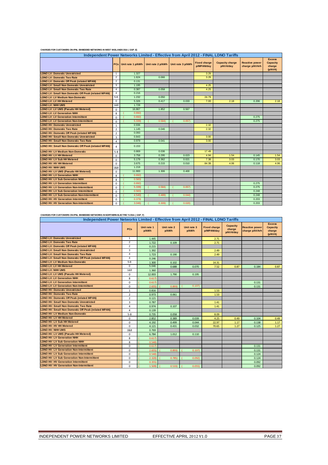| Independent Power Networks Limited - Effective from April 2012 - FINAL LDNO Tariffs |                |                       |                   |                   |                                   |                                     |                                         |                                                       |  |  |  |
|-------------------------------------------------------------------------------------|----------------|-----------------------|-------------------|-------------------|-----------------------------------|-------------------------------------|-----------------------------------------|-------------------------------------------------------|--|--|--|
|                                                                                     |                | PCs Unit rate 1 p/kWh | Unit rate 2 p/kWh | Unit rate 3 p/kWh | <b>Fixed charge</b><br>p/MPAN/day | <b>Capacity charge</b><br>p/kVA/day | <b>Reactive power</b><br>charge p/kVArh | <b>Excess</b><br><b>Capacity</b><br>charge<br>(p/kVA) |  |  |  |
| <b>LDNO LV: Domestic Unrestricted</b>                                               | $\mathbf{1}$   | 1.327                 |                   |                   | 3.29                              |                                     |                                         |                                                       |  |  |  |
| <b>LDNO LV: Domestic Two Rate</b>                                                   | $\overline{2}$ | 1.624                 | 0.066             |                   | 3.29                              |                                     |                                         |                                                       |  |  |  |
| <b>LDNO LV: Domestic Off Peak (related MPAN)</b>                                    | $\overline{2}$ | 0.131                 |                   |                   |                                   |                                     |                                         |                                                       |  |  |  |
| <b>LDNO LV: Small Non Domestic Unrestricted</b>                                     | 3              | 1.195                 |                   |                   | 4.25                              |                                     |                                         |                                                       |  |  |  |
| <b>LDNO LV: Small Non Domestic Two Rate</b>                                         | $\overline{4}$ | 0.387                 | 0.058             |                   | 4.25                              |                                     |                                         |                                                       |  |  |  |
| LDNO LV: Small Non Domestic Off Peak (related MPAN)                                 | $\overline{4}$ | 0.216                 |                   |                   |                                   |                                     |                                         |                                                       |  |  |  |
| <b>LDNO LV: LV Medium Non-Domestic</b>                                              | $5-8$          | 1.232                 | 0.050             |                   | 24.79                             |                                     |                                         |                                                       |  |  |  |
| <b>LDNO LV: LV HH Metered</b>                                                       | $\mathbf 0$    | 5.326                 | 0.417             | 0.033             | 7.00                              | 2.18                                | 0.206                                   | 2.18                                                  |  |  |  |
| <b>LDNO LV: NHH UMS</b>                                                             | 1&8            | 1.728                 |                   |                   |                                   |                                     |                                         |                                                       |  |  |  |
| LDNO LV: LV UMS (Pseudo HH Metered)                                                 | $\Omega$       | 16.867                | 1.852             | 0.567             |                                   |                                     |                                         |                                                       |  |  |  |
| <b>LDNO LV: LV Generation NHH</b>                                                   | 8              | 0.692                 |                   |                   |                                   |                                     |                                         |                                                       |  |  |  |
| <b>LDNO LV: LV Generation Intermittent</b>                                          | $\Omega$       | 0.692                 |                   |                   |                                   |                                     | 0.275                                   |                                                       |  |  |  |
| <b>LDNO LV: LV Generation Non-Intermittent</b>                                      | $\Omega$       | 5.339)                | 0.584             | 0.057             |                                   |                                     | 0.275                                   |                                                       |  |  |  |
| <b>LDNO HV: Domestic Unrestricted</b>                                               | 1              | 0.936                 |                   |                   | 2.32                              |                                     |                                         |                                                       |  |  |  |
| <b>LDNO HV: Domestic Two Rate</b>                                                   | $\overline{2}$ | 1.145                 | 0.046             |                   | 2.32                              |                                     |                                         |                                                       |  |  |  |
| <b>LDNO HV: Domestic Off Peak (related MPAN)</b>                                    | $\overline{2}$ | 0.093                 |                   |                   |                                   |                                     |                                         |                                                       |  |  |  |
| <b>LDNO HV: Small Non Domestic Unrestricted</b>                                     | 3              | 0.843                 |                   |                   | 3.00                              |                                     |                                         |                                                       |  |  |  |
| <b>LDNO HV: Small Non Domestic Two Rate</b>                                         | 4              | 0.979                 | 0.041             |                   | 3.00                              |                                     |                                         |                                                       |  |  |  |
| LDNO HV: Small Non Domestic Off Peak (related MPAN)                                 | 4              | 0.153                 |                   |                   |                                   |                                     |                                         |                                                       |  |  |  |
| <b>LDNO HV: LV Medium Non-Domestic</b>                                              | $5 - 8$        | 0.869                 | 0.036             |                   | 17.49                             |                                     |                                         |                                                       |  |  |  |
| <b>LDNO HV: LV HH Metered</b>                                                       | $\Omega$       | 3.758                 | 0.295             | 0.023             | 4.94                              | 1.54                                | 0.145                                   | 1.54                                                  |  |  |  |
| <b>LDNO HV: LV Sub HH Metered</b>                                                   | $\mathbf 0$    | 5.179                 | 0.362             | 0.021             | 7.38                              | 3.03                                | 0.170                                   | 3.03                                                  |  |  |  |
| <b>LDNO HV: HV HH Metered</b>                                                       | $\Omega$       | 3.675                 | 0.215             | 0.010             | 84.39                             | 4.06                                | 0.118                                   | 4.06                                                  |  |  |  |
| <b>LDNO HV: NHH UMS</b>                                                             | 1&8            | 1.219                 |                   |                   |                                   |                                     |                                         |                                                       |  |  |  |
| LDNO HV: LV UMS (Pseudo HH Metered)                                                 | $\Omega$       | 11.900                | 1.306             | 0.400             |                                   |                                     |                                         |                                                       |  |  |  |
| <b>LDNO HV: LV Generation NHH</b>                                                   | 8              | 0.692)                |                   |                   |                                   |                                     |                                         |                                                       |  |  |  |
| <b>LDNO HV: LV Sub Generation NHH</b>                                               | 8              | 0.583                 |                   |                   |                                   |                                     |                                         |                                                       |  |  |  |
| <b>LDNO HV: LV Generation Intermittent</b>                                          | $\Omega$       | 0.692                 |                   |                   |                                   |                                     | 0.275                                   |                                                       |  |  |  |
| <b>LDNO HV: LV Generation Non-Intermittent</b>                                      | $\mathbf 0$    | 5.339                 | 0.584             | 0.057             |                                   |                                     | 0.275                                   |                                                       |  |  |  |
| <b>LDNO HV: LV Sub Generation Intermittent</b>                                      | $\Omega$       | 0.583                 |                   |                   |                                   |                                     | 0.248                                   |                                                       |  |  |  |
| <b>LDNO HV: LV Sub Generation Non-Intermittent</b>                                  | $\Omega$       | 4,540                 | 0.489             | 0.044             |                                   |                                     | 0.248                                   |                                                       |  |  |  |
| <b>LDNO HV: HV Generation Intermittent</b>                                          | 0              | 0.379                 |                   |                   |                                   |                                     | 0.203                                   |                                                       |  |  |  |
| <b>LDNO HV: HV Generation Non-Intermittent</b>                                      | $\Omega$       | 3.046                 | 0.309             | 0.020             |                                   |                                     | 0.203                                   |                                                       |  |  |  |

#### **CHARGES FOR CUSTOMERS ON IPNL EMBEDDED NETWORKS IN WEST MIDLANDS DSA ( GSP\_E)**

#### **CHARGES FOR CUSTOMERS ON IPNL EMBEDDED NETWORKS IN NORTHERN ELECTRIC'S DSA ( GSP\_F)**

| Independent Power Networks Limited - Effective from April 2012 - FINAL LDNO Tariffs |                         |                      |                      |                      |                                   |                                 |                                         |                                                       |  |  |  |  |
|-------------------------------------------------------------------------------------|-------------------------|----------------------|----------------------|----------------------|-----------------------------------|---------------------------------|-----------------------------------------|-------------------------------------------------------|--|--|--|--|
|                                                                                     | <b>PCs</b>              | Unit rate 1<br>p/kWh | Unit rate 2<br>p/kWh | Unit rate 3<br>p/kWh | <b>Fixed charge</b><br>p/MPAN/day | Capacity<br>charge<br>p/kVA/day | <b>Reactive power</b><br>charge p/kVArh | <b>Excess</b><br><b>Capacity</b><br>charge<br>(p/kVA) |  |  |  |  |
| <b>LDNO LV: Domestic Unrestricted</b>                                               | $\mathbf{1}$            | 1.445                |                      |                      | 2.71                              |                                 |                                         |                                                       |  |  |  |  |
| <b>LDNO LV: Domestic Two Rate</b>                                                   | $\overline{2}$          | 1.722                | 0.109                |                      | 2.71                              |                                 |                                         |                                                       |  |  |  |  |
| <b>LDNO LV: Domestic Off Peak (related MPAN)</b>                                    | $\overline{2}$          | 0.215                |                      |                      |                                   |                                 |                                         |                                                       |  |  |  |  |
| <b>LDNO LV: Small Non Domestic Unrestricted</b>                                     | 3                       | 1.392                |                      |                      | 2.49                              |                                 |                                         |                                                       |  |  |  |  |
| <b>LDNO LV: Small Non Domestic Two Rate</b>                                         | $\overline{4}$          | 1.723                | 0.190                |                      | 2.49                              |                                 |                                         |                                                       |  |  |  |  |
| LDNO LV: Small Non Domestic Off Peak (related MPAN)                                 | $\overline{4}$          | 0.246                |                      |                      |                                   |                                 |                                         |                                                       |  |  |  |  |
| <b>LDNO LV: LV Medium Non-Domestic</b>                                              | $5-8$                   | 1.300                | 0.102                |                      | 14.31                             |                                 |                                         |                                                       |  |  |  |  |
| <b>LDNO LV: LV HH Metered</b>                                                       | $^{\circ}$              | 5.046                | 0.688                | 0.070                | 7.52                              | 0.87                            | 0.184                                   | 0.87                                                  |  |  |  |  |
| <b>LDNO LV: NHH UMS</b>                                                             | 1&8                     | 1.360                |                      |                      |                                   |                                 |                                         |                                                       |  |  |  |  |
| LDNO LV: LV UMS (Pseudo HH Metered)                                                 | 0                       | 12.003               | 1.790                | 0.195                |                                   |                                 |                                         |                                                       |  |  |  |  |
| <b>LDNO LV: LV Generation NHH</b>                                                   | 8                       | 0.617                |                      |                      |                                   |                                 |                                         |                                                       |  |  |  |  |
| <b>LDNO LV: LV Generation Intermittent</b>                                          | $\mathbf 0$             | 0.617                |                      |                      |                                   |                                 | 0.131                                   |                                                       |  |  |  |  |
| <b>LDNO LV: LV Generation Non-Intermittent</b>                                      | $\mathbf 0$             | 2.655                | 0.893                | 0.107                |                                   |                                 | 0.131                                   |                                                       |  |  |  |  |
| <b>LDNO HV: Domestic Unrestricted</b>                                               | $\mathbf{1}$            | 0.816                |                      |                      | 1.53                              |                                 |                                         |                                                       |  |  |  |  |
| <b>LDNO HV: Domestic Two Rate</b>                                                   | $\overline{\mathbf{2}}$ | 0.973                | 0.061                |                      | 1.53                              |                                 |                                         |                                                       |  |  |  |  |
| <b>LDNO HV: Domestic Off Peak (related MPAN)</b>                                    | $\overline{2}$          | 0.121                |                      |                      |                                   |                                 |                                         |                                                       |  |  |  |  |
| <b>LDNO HV: Small Non Domestic Unrestricted</b>                                     | 3                       | 0.787                |                      |                      | 1.41                              |                                 |                                         |                                                       |  |  |  |  |
| <b>LDNO HV: Small Non Domestic Two Rate</b>                                         | $\overline{4}$          | 0.974                | 0.107                |                      | 1.41                              |                                 |                                         |                                                       |  |  |  |  |
| LDNO HV: Small Non Domestic Off Peak (related MPAN)                                 | $\overline{4}$          | 0.139                |                      |                      |                                   |                                 |                                         |                                                       |  |  |  |  |
| <b>LDNO HV: LV Medium Non-Domestic</b>                                              | $5 - 8$                 | 0.735                | 0.058                |                      | 8.09                              |                                 |                                         |                                                       |  |  |  |  |
| <b>LDNO HV: LV HH Metered</b>                                                       | $\mathbf 0$             | 2.852                | 0.389                | 0.039                | 4.25                              | 0.49                            | 0.104                                   | 0.49                                                  |  |  |  |  |
| <b>LDNO HV: LV Sub HH Metered</b>                                                   | $\mathbf 0$             | 4.192                | 0.499                | 0.044                | 22.97                             | 1.17                            | 0.138                                   | 1.17                                                  |  |  |  |  |
| <b>LDNO HV: HV HH Metered</b>                                                       | $\mathbf 0$             | 4.121                | 0.431                | 0.032                | 70.65                             | 1.27                            | 0.125                                   | 1.27                                                  |  |  |  |  |
| <b>LDNO HV: NHH UMS</b>                                                             | 1&8                     | 0.769                |                      |                      |                                   |                                 |                                         |                                                       |  |  |  |  |
| LDNO HV: LV UMS (Pseudo HH Metered)                                                 | $\mathbf 0$             | 6.784                | 1.012                | 0.110                |                                   |                                 |                                         |                                                       |  |  |  |  |
| <b>LDNO HV: LV Generation NHH</b>                                                   | 8                       | 0.617                |                      |                      |                                   |                                 |                                         |                                                       |  |  |  |  |
| <b>LDNO HV: LV Sub Generation NHH</b>                                               | 8                       | 0.540                |                      |                      |                                   |                                 |                                         |                                                       |  |  |  |  |
| <b>LDNO HV: LV Generation Intermittent</b>                                          | $\mathbf 0$             | 0.617                |                      |                      |                                   |                                 | 0.131                                   |                                                       |  |  |  |  |
| <b>LDNO HV: LV Generation Non-Intermittent</b>                                      | $\mathbf 0$             | 2.655                | 0.8931               | 0.107                |                                   |                                 | 0.131                                   |                                                       |  |  |  |  |
| <b>LDNO HV: LV Sub Generation Intermittent</b>                                      | $\mathbf 0$             | 0.540                |                      |                      |                                   |                                 | 0.124                                   |                                                       |  |  |  |  |
| <b>LDNO HV: LV Sub Generation Non-Intermittent</b>                                  | 0                       | 2.320                | 0.785                | 0.092)               |                                   |                                 | 0.124                                   |                                                       |  |  |  |  |
| <b>LDNO HV: HV Generation Intermittent</b>                                          | $\mathbf 0$             | 0.355                |                      |                      |                                   |                                 | 0.092                                   |                                                       |  |  |  |  |
| <b>LDNO HV: HV Generation Non-Intermittent</b>                                      | $\Omega$                | 1.509                | 0.533                | 0.055                |                                   |                                 | 0.092                                   |                                                       |  |  |  |  |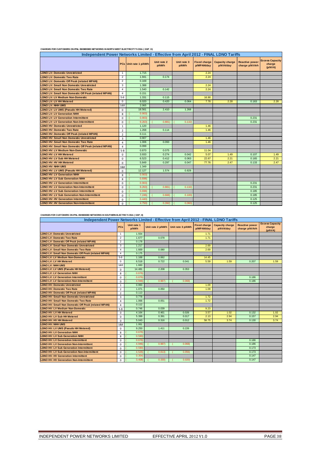| Independent Power Networks Limited - Effective from April 2012 - FINAL LDNO Tariffs |                |                       |                      |                      |                                   |                                     |                                         |                                             |  |  |  |  |
|-------------------------------------------------------------------------------------|----------------|-----------------------|----------------------|----------------------|-----------------------------------|-------------------------------------|-----------------------------------------|---------------------------------------------|--|--|--|--|
|                                                                                     |                | PCs Unit rate 1 p/kWh | Unit rate 2<br>p/kWh | Unit rate 3<br>p/kWh | <b>Fixed charge</b><br>p/MPAN/day | <b>Capacity charge</b><br>p/kVA/day | <b>Reactive power</b><br>charge p/kVArh | <b>Excess Capacity</b><br>charge<br>(p/kVA) |  |  |  |  |
| <b>LDNO LV: Domestic Unrestricted</b>                                               | 1              | 1.715                 |                      |                      | 2.24                              |                                     |                                         |                                             |  |  |  |  |
| <b>LDNO LV: Domestic Two Rate</b>                                                   | $\overline{2}$ | 1.941                 | 0.174                |                      | 2.24                              |                                     |                                         |                                             |  |  |  |  |
| <b>LDNO LV: Domestic Off Peak (related MPAN)</b>                                    | $\overline{2}$ | 0.169                 |                      |                      |                                   |                                     |                                         |                                             |  |  |  |  |
| <b>LDNO LV: Small Non Domestic Unrestricted</b>                                     | 3              | 1.388                 |                      |                      | 2.24                              |                                     |                                         |                                             |  |  |  |  |
| <b>LDNO LV: Small Non Domestic Two Rate</b>                                         | $\overline{4}$ | 1.540                 | 0.142                |                      | 2.24                              |                                     |                                         |                                             |  |  |  |  |
| <b>LDNO LV: Small Non Domestic Off Peak (related MPAN)</b>                          | $\overline{4}$ | 0.151                 |                      |                      |                                   |                                     |                                         |                                             |  |  |  |  |
| <b>LDNO LV: LV Medium Non-Domestic</b>                                              | $5-8$          | 1.331                 | 0.115                |                      | 16.90                             |                                     |                                         |                                             |  |  |  |  |
| <b>LDNO LV: LV HH Metered</b>                                                       | $\mathbf 0$    | 6.020                 | 0.420                | 0.064                | 7.76                              | 2.28                                | 0.163                                   | 2.28                                        |  |  |  |  |
| <b>LDNO LV: NHH UMS</b>                                                             | 1&8            | 2.065                 |                      |                      |                                   |                                     |                                         |                                             |  |  |  |  |
| LDNO LV: LV UMS (Pseudo HH Metered)                                                 | $\mathbf 0$    | 18.561                | 2.410                | 1.268                |                                   |                                     |                                         |                                             |  |  |  |  |
| <b>LDNO LV: LV Generation NHH</b>                                                   | 8              | 0.903                 |                      |                      |                                   |                                     |                                         |                                             |  |  |  |  |
| <b>LDNO LV: LV Generation Intermittent</b>                                          | $\Omega$       | 0.903                 |                      |                      |                                   |                                     | 0.231                                   |                                             |  |  |  |  |
| <b>LDNO LV: LV Generation Non-Intermittent</b>                                      | $\Omega$       | 9,263                 | 0.881                | 0.132                |                                   |                                     | 0.231                                   |                                             |  |  |  |  |
| <b>LDNO HV: Domestic Unrestricted</b>                                               | $\mathbf{1}$   | 1.120                 |                      |                      | 1.46                              |                                     |                                         |                                             |  |  |  |  |
| <b>LDNO HV: Domestic Two Rate</b>                                                   | $\overline{2}$ | 1.268                 | 0.114                |                      | 1.46                              |                                     |                                         |                                             |  |  |  |  |
| <b>LDNO HV: Domestic Off Peak (related MPAN)</b>                                    | $\overline{2}$ | 0.111                 |                      |                      |                                   |                                     |                                         |                                             |  |  |  |  |
| <b>LDNO HV: Small Non Domestic Unrestricted</b>                                     | 3              | 0.907                 |                      |                      | 1.46                              |                                     |                                         |                                             |  |  |  |  |
| <b>LDNO HV: Small Non Domestic Two Rate</b>                                         | 4              | 1.006                 | 0.093                |                      | 1.46                              |                                     |                                         |                                             |  |  |  |  |
| LDNO HV: Small Non Domestic Off Peak (related MPAN)                                 | $\overline{4}$ | 0.099                 |                      |                      |                                   |                                     |                                         |                                             |  |  |  |  |
| <b>LDNO HV: LV Medium Non-Domestic</b>                                              | $5 - 8$        | 0.870                 | 0.075                |                      | 11.04                             |                                     |                                         |                                             |  |  |  |  |
| <b>LDNO HV: LV HH Metered</b>                                                       | $\Omega$       | 3.933                 | 0.274                | 0.042                | 5.07                              | 1.49                                | 0.107                                   | 1.49                                        |  |  |  |  |
| <b>LDNO HV: LV Sub HH Metered</b>                                                   | $\mathbf 0$    | 6.523                 | 0.412                | 0.063                | 22.67                             | 2.21                                | 0.165                                   | 2.21                                        |  |  |  |  |
| <b>LDNO HV: HV HH Metered</b>                                                       | $\mathbf 0$    | 5.849                 | 0.297                | 0.047                | 77.76                             | 2.47                                | 0.133                                   | 2.47                                        |  |  |  |  |
| <b>LDNO HV: NHH UMS</b>                                                             | 1&8            | 1.349                 |                      |                      |                                   |                                     |                                         |                                             |  |  |  |  |
| <b>LDNO HV: LV UMS (Pseudo HH Metered)</b>                                          | $\mathbf 0$    | 12.127                | 1.574                | 0.828                |                                   |                                     |                                         |                                             |  |  |  |  |
| <b>LDNO HV: LV Generation NHH</b>                                                   | 8              | 0.903                 |                      |                      |                                   |                                     |                                         |                                             |  |  |  |  |
| <b>LDNO HV: LV Sub Generation NHH</b>                                               | 8              | 0.698                 |                      |                      |                                   |                                     |                                         |                                             |  |  |  |  |
| <b>LDNO HV: LV Generation Intermittent</b>                                          | $\Omega$       | 0.903                 |                      |                      |                                   |                                     | 0.231                                   |                                             |  |  |  |  |
| <b>LDNO HV: LV Generation Non-Intermittent</b>                                      | $\Omega$       | 9,263                 | 0.881                | 0.132                |                                   |                                     | 0.231                                   |                                             |  |  |  |  |
| <b>LDNO HV: LV Sub Generation Intermittent</b>                                      | $\Omega$       | 0.698                 |                      |                      |                                   |                                     | 0.185                                   |                                             |  |  |  |  |
| <b>LDNO HV: LV Sub Generation Non-Intermittent</b>                                  | $\mathbf 0$    | 7.246                 | 0.666                | 0.100                |                                   |                                     | 0.185                                   |                                             |  |  |  |  |
| <b>LDNO HV: HV Generation Intermittent</b>                                          | $\mathbf 0$    | 0.440                 |                      |                      |                                   |                                     | 0.125                                   |                                             |  |  |  |  |
| <b>LDNO HV: HV Generation Non-Intermittent</b>                                      | $\mathbf 0$    | 4.750)                | 0.392)               | 0.060                |                                   |                                     | 0.125                                   |                                             |  |  |  |  |

#### **CHARGES FOR CUSTOMERS ON IPNL EMBEDDED NETWORKS IN NORTH WEST ELECTRICITY'S DSA ( GSP\_G)**

#### **CHARGES FOR CUSTOMERS ON IPNL EMBEDDED NETWORKS IN SOUTHERN ELECTRIC'S DSA ( GSP\_H)**

| Independent Power Networks Limited - Effective from April 2012 - FINAL LDNO Tariffs |                |                      |                   |                   |                                   |                                     |                                         |                                             |  |  |  |
|-------------------------------------------------------------------------------------|----------------|----------------------|-------------------|-------------------|-----------------------------------|-------------------------------------|-----------------------------------------|---------------------------------------------|--|--|--|
|                                                                                     | <b>PCs</b>     | Unit rate 1<br>p/kWh | Unit rate 2 p/kWh | Unit rate 3 p/kWh | <b>Fixed charge</b><br>p/MPAN/day | <b>Capacity charge</b><br>p/kVA/day | <b>Reactive power</b><br>charge p/kVArh | <b>Excess Capacity</b><br>charge<br>(p/kVA) |  |  |  |
| <b>LDNO LV: Domestic Unrestricted</b>                                               | 1              | 1.554                |                   |                   | 1.71                              |                                     |                                         |                                             |  |  |  |
| <b>LDNO LV: Domestic Two Rate</b>                                                   | $\overline{2}$ | 1.677                | 0.078             |                   | 1.71                              |                                     |                                         |                                             |  |  |  |
| <b>LDNO LV: Domestic Off Peak (related MPAN)</b>                                    | $\overline{2}$ | 0.178                |                   |                   |                                   |                                     |                                         |                                             |  |  |  |
| <b>LDNO LV: Small Non Domestic Unrestricted</b>                                     | 3              | 1.217                |                   |                   | 2.69                              |                                     |                                         |                                             |  |  |  |
| <b>LDNO LV: Small Non Domestic Two Rate</b>                                         | $\overline{4}$ | 1.669                | 0.080             |                   | 2.69                              |                                     |                                         |                                             |  |  |  |
| <b>LDNO LV: Small Non Domestic Off Peak (related MPAN)</b>                          | $\overline{4}$ | 0.175                |                   |                   |                                   |                                     |                                         |                                             |  |  |  |
| <b>LDNO LV: LV Medium Non-Domestic</b>                                              | $5-8$          | 1.168                | 0.062             |                   | 14.45                             |                                     |                                         |                                             |  |  |  |
| <b>LDNO LV: LV HH Metered</b>                                                       | 0              | 6.518                | 0.722             | 0.041             | 5.59                              | 1.59                                | 0.207                                   | 1.59                                        |  |  |  |
| <b>LDNO LV: NHH UMS</b>                                                             | 1&8            | 1.660                |                   |                   |                                   |                                     |                                         |                                             |  |  |  |
| <b>LDNO LV: LV UMS (Pseudo HH Metered)</b>                                          | $\mathbf 0$    | 14.481               | 2.208             | 0.353             |                                   |                                     |                                         |                                             |  |  |  |
| <b>LDNO LV: LV Generation NHH</b>                                                   | 8              | 0.676                |                   |                   |                                   |                                     |                                         |                                             |  |  |  |
| <b>LDNO LV: LV Generation Intermittent</b>                                          | $\Omega$       | 0.676                |                   |                   |                                   |                                     | 0.186                                   |                                             |  |  |  |
| <b>LDNO LV: LV Generation Non-Intermittent</b>                                      | $\mathbf 0$    | 4.946                | 0.987             | 0.068             |                                   |                                     | 0.186                                   |                                             |  |  |  |
| <b>LDNO HV: Domestic Unrestricted</b>                                               | 1              | 0.993                |                   |                   | 1.09                              |                                     |                                         |                                             |  |  |  |
| <b>LDNO HV: Domestic Two Rate</b>                                                   | $\overline{2}$ | 1.071                | 0.050             |                   | 1.09                              |                                     |                                         |                                             |  |  |  |
| <b>LDNO HV: Domestic Off Peak (related MPAN)</b>                                    | $\overline{2}$ | 0.113                |                   |                   |                                   |                                     |                                         |                                             |  |  |  |
| <b>LDNO HV: Small Non Domestic Unrestricted</b>                                     | 3              | 0.778                |                   |                   | 1.72                              |                                     |                                         |                                             |  |  |  |
| <b>LDNO HV: Small Non Domestic Two Rate</b>                                         | 4              | 1.066                | 0.051             |                   | 1.72                              |                                     |                                         |                                             |  |  |  |
| <b>LDNO HV: Small Non Domestic Off Peak (related MPAN)</b>                          | 4              | 0.112                |                   |                   |                                   |                                     |                                         |                                             |  |  |  |
| <b>LDNO HV: LV Medium Non-Domestic</b>                                              | $5 - 8$        | 0.746                | 0.039             |                   | 9.23                              |                                     |                                         |                                             |  |  |  |
| <b>LDNO HV: LV HH Metered</b>                                                       | $\Omega$       | 4.164                | 0.461             | 0.026             | 3.57                              | 1.02                                | 0.132                                   | 1.02                                        |  |  |  |
| <b>LDNO HV: LV Sub HH Metered</b>                                                   | $\Omega$       | 5.399                | 0.391             | 0.017             | 2.13                              | 2.94                                | 0.157                                   | 2.94                                        |  |  |  |
| <b>LDNO HV: HV HH Metered</b>                                                       | $\mathbf 0$    | 5.043                | 0.316             | 0.012             | 58.75                             | 3.74                                | 0.130                                   | 3.74                                        |  |  |  |
| <b>LDNO HV: NHH UMS</b>                                                             | 1&8            | 1.061                |                   |                   |                                   |                                     |                                         |                                             |  |  |  |
| LDNO HV: LV UMS (Pseudo HH Metered)                                                 | $\mathbf 0$    | 9.250                | 1.411             | 0.226             |                                   |                                     |                                         |                                             |  |  |  |
| <b>LDNO HV: LV Generation NHH</b>                                                   | 8              | 0.676                |                   |                   |                                   |                                     |                                         |                                             |  |  |  |
| <b>LDNO HV: LV Sub Generation NHH</b>                                               | 8              | 0.5901               |                   |                   |                                   |                                     |                                         |                                             |  |  |  |
| <b>LDNO HV: LV Generation Intermittent</b>                                          | $\mathbf 0$    | 0.676                |                   |                   |                                   |                                     | 0.186                                   |                                             |  |  |  |
| <b>LDNO HV: LV Generation Non-Intermittent</b>                                      | $\mathbf 0$    | 4.946                | 0.987             | 0.068             |                                   |                                     | 0.186                                   |                                             |  |  |  |
| <b>LDNO HV: LV Sub Generation Intermittent</b>                                      | $\mathbf 0$    | 0.5901               |                   |                   |                                   |                                     | 0.173                                   |                                             |  |  |  |
| <b>LDNO HV: LV Sub Generation Non-Intermittent</b>                                  | $\Omega$       | 4.526)               | 0.813             | 0.056             |                                   |                                     | 0.173                                   |                                             |  |  |  |
| <b>LDNO HV: HV Generation Intermittent</b>                                          | $\Omega$       | 0.354)               |                   |                   |                                   |                                     | 0.147                                   |                                             |  |  |  |
| <b>LDNO HV: HV Generation Non-Intermittent</b>                                      | 0              | 3,408                | 0.3301            | 0.0201            |                                   |                                     | 0.147                                   |                                             |  |  |  |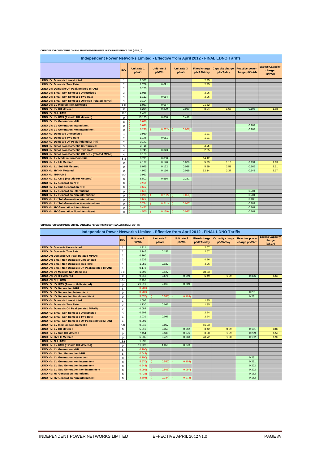#### **CHARGES FOR CUSTOMERS ON IPNL EMBEDDED NETWORKS IN SOUTH EASTERN'S DSA ( GSP\_J)**

| Independent Power Networks Limited - Effective from April 2012 - FINAL LDNO Tariffs |                |                      |                      |                      |            |                                             |                                         |                                             |  |  |  |  |
|-------------------------------------------------------------------------------------|----------------|----------------------|----------------------|----------------------|------------|---------------------------------------------|-----------------------------------------|---------------------------------------------|--|--|--|--|
|                                                                                     | <b>PCs</b>     | Unit rate 1<br>p/kWh | Unit rate 2<br>p/kWh | Unit rate 3<br>p/kWh | p/MPAN/day | Fixed charge   Capacity charge<br>p/kVA/day | <b>Reactive power</b><br>charge p/kVArh | <b>Excess Capacity</b><br>charge<br>(p/kVA) |  |  |  |  |
| <b>LDNO LV: Domestic Unrestricted</b>                                               | 1              | 1.387                |                      |                      | 2.85       |                                             |                                         |                                             |  |  |  |  |
| <b>LDNO LV: Domestic Two Rate</b>                                                   | $\overline{2}$ | 1.759                | 0.091                |                      | 2.85       |                                             |                                         |                                             |  |  |  |  |
| <b>LDNO LV: Domestic Off Peak (related MPAN)</b>                                    | $\overline{2}$ | 0.255                |                      |                      |            |                                             |                                         |                                             |  |  |  |  |
| <b>LDNO LV: Small Non Domestic Unrestricted</b>                                     | 3              | 1.068                |                      |                      | 3.06       |                                             |                                         |                                             |  |  |  |  |
| <b>LDNO LV: Small Non Domestic Two Rate</b>                                         | $\overline{4}$ | 1.112                | 0.064                |                      | 3.06       |                                             |                                         |                                             |  |  |  |  |
| <b>LDNO LV: Small Non Domestic Off Peak (related MPAN)</b>                          | $\overline{4}$ | 0.194                |                      |                      |            |                                             |                                         |                                             |  |  |  |  |
| <b>LDNO LV: LV Medium Non-Domestic</b>                                              | $5 - 8$        | 1.061                | 0.057                |                      | 21.52      |                                             |                                         |                                             |  |  |  |  |
| <b>LDNO LV: LV HH Metered</b>                                                       | $\Omega$       | 6.264                | 0.209                | 0.039                | 8.94       | 1.68                                        | 0.195                                   | 1.68                                        |  |  |  |  |
| <b>LDNO LV: NHH UMS</b>                                                             | 1&8            | 1.437                |                      |                      |            |                                             |                                         |                                             |  |  |  |  |
| <b>LDNO LV: LV UMS (Pseudo HH Metered)</b>                                          | $\Omega$       | 13.135               | 0.830                | 0.419                |            |                                             |                                         |                                             |  |  |  |  |
| <b>LDNO LV: LV Generation NHH</b>                                                   | 8              | 0.696                |                      |                      |            |                                             |                                         |                                             |  |  |  |  |
| <b>LDNO LV: LV Generation Intermittent</b>                                          | $\Omega$       | 0.696                |                      |                      |            |                                             | 0.204                                   |                                             |  |  |  |  |
| <b>LDNO LV: LV Generation Non-Intermittent</b>                                      | $\mathbf 0$    | 6,270                | 0.282                | 0.056                |            |                                             | 0.204                                   |                                             |  |  |  |  |
| <b>LDNO HV: Domestic Unrestricted</b>                                               | $\mathbf{1}$   | 0.930                |                      |                      | 1.91       |                                             |                                         |                                             |  |  |  |  |
| <b>LDNO HV: Domestic Two Rate</b>                                                   | $\overline{2}$ | 1.178                | 0.061                |                      | 1.91       |                                             |                                         |                                             |  |  |  |  |
| <b>LDNO HV: Domestic Off Peak (related MPAN)</b>                                    | $\overline{2}$ | 0.171                |                      |                      |            |                                             |                                         |                                             |  |  |  |  |
| <b>LDNO HV: Small Non Domestic Unrestricted</b>                                     | 3              | 0.716                |                      |                      | 2.05       |                                             |                                         |                                             |  |  |  |  |
| <b>LDNO HV: Small Non Domestic Two Rate</b>                                         | 4              | 0.745                | 0.043                |                      | 2.05       |                                             |                                         |                                             |  |  |  |  |
| <b>LDNO HV: Small Non Domestic Off Peak (related MPAN)</b>                          | 4              | 0.130                |                      |                      |            |                                             |                                         |                                             |  |  |  |  |
| <b>LDNO HV: LV Medium Non-Domestic</b>                                              | $5 - 8$        | 0.711                | 0.038                |                      | 14.42      |                                             |                                         |                                             |  |  |  |  |
| <b>LDNO HV: LV HH Metered</b>                                                       | $\Omega$       | 4.197                | 0.140                | 0.026                | 5.99       | 1.13                                        | 0.131                                   | 1.13                                        |  |  |  |  |
| LDNO HV: LV Sub HH Metered                                                          | $\Omega$       | 6.075                | 0.162                | 0.028                | 5.99       | 2.51                                        | 0.166                                   | 2.51                                        |  |  |  |  |
| <b>LDNO HV: HV HH Metered</b>                                                       | 0              | 4.943                | 0.116                | 0.019                | 52.14      | 2.37                                        | 0.142                                   | 2.37                                        |  |  |  |  |
| <b>LDNO HV: NHH UMS</b>                                                             | 1&8            | 0.963                |                      |                      |            |                                             |                                         |                                             |  |  |  |  |
| LDNO HV: LV UMS (Pseudo HH Metered)                                                 | $\mathbf 0$    | 8.802                | 0.556                | 0.281                |            |                                             |                                         |                                             |  |  |  |  |
| <b>LDNO HV: LV Generation NHH</b>                                                   | 8              | 0.696                |                      |                      |            |                                             |                                         |                                             |  |  |  |  |
| <b>LDNO HV: LV Sub Generation NHH</b>                                               | 8              | 0.632                |                      |                      |            |                                             |                                         |                                             |  |  |  |  |
| <b>LDNO HV: LV Generation Intermittent</b>                                          | $\Omega$       | 0.696)               |                      |                      |            |                                             | 0.204                                   |                                             |  |  |  |  |
| <b>LDNO HV: LV Generation Non-Intermittent</b>                                      | $\Omega$       | 6.270                | 0.282                | 0.056                |            |                                             | 0.204                                   |                                             |  |  |  |  |
| <b>LDNO HV: LV Sub Generation Intermittent</b>                                      | $\Omega$       | 0.632                |                      |                      |            |                                             | 0.189                                   |                                             |  |  |  |  |
| <b>LDNO HV: LV Sub Generation Non-Intermittent</b>                                  | $\Omega$       | 5.774                | 0.241)               | 0.047                |            |                                             | 0.189                                   |                                             |  |  |  |  |
| <b>LDNO HV: HV Generation Intermittent</b>                                          | $\Omega$       | 0.473                |                      |                      |            |                                             | 0.161                                   |                                             |  |  |  |  |
| <b>LDNO HV: HV Generation Non-Intermittent</b>                                      | $\Omega$       | 4.560)               | 0.139                | 0.025                |            |                                             | 0.161                                   |                                             |  |  |  |  |

**CHARGES FOR CUSTOMERS ON IPNL EMBEDDED NETWORKS IN SOUTH WALES'S DSA ( GSP\_K)**

| Independent Power Networks Limited - Effective from April 2012 - FINAL LDNO Tariffs |                |                      |                      |                      |                                   |                                     |                                         |                                             |  |
|-------------------------------------------------------------------------------------|----------------|----------------------|----------------------|----------------------|-----------------------------------|-------------------------------------|-----------------------------------------|---------------------------------------------|--|
|                                                                                     | <b>PCs</b>     | Unit rate 1<br>p/kWh | Unit rate 2<br>p/kWh | Unit rate 3<br>p/kWh | <b>Fixed charge</b><br>p/MPAN/day | <b>Capacity charge</b><br>p/kVA/day | <b>Reactive power</b><br>charge p/kVArh | <b>Excess Capacity</b><br>charge<br>(p/kVA) |  |
| <b>LDNO LV: Domestic Unrestricted</b>                                               | $\overline{1}$ | 1.911                |                      |                      | 2.57                              |                                     |                                         |                                             |  |
| <b>LDNO LV: Domestic Two Rate</b>                                                   | $\overline{2}$ | 2.146                | 0.157                |                      | 2.57                              |                                     |                                         |                                             |  |
| <b>LDNO LV: Domestic Off Peak (related MPAN)</b>                                    | $\overline{2}$ | 0.160                |                      |                      |                                   |                                     |                                         |                                             |  |
| <b>LDNO LV: Small Non Domestic Unrestricted</b>                                     | 3              | 1.536                |                      |                      | 4.26                              |                                     |                                         |                                             |  |
| <b>LDNO LV: Small Non Domestic Two Rate</b>                                         | $\overline{4}$ | 1.959                | 0.182                |                      | 4.26                              |                                     |                                         |                                             |  |
| LDNO LV: Small Non Domestic Off Peak (related MPAN)                                 | $\overline{4}$ | 0.172                |                      |                      |                                   |                                     |                                         |                                             |  |
| <b>LDNO LV: LV Medium Non-Domestic</b>                                              | $5 - 8$        | 1.796                | 0.127                |                      | 30.83                             |                                     |                                         |                                             |  |
| <b>LDNO LV: LV HH Metered</b>                                                       | $\mathbf 0$    | 9.518                | 0.671                | 0.099                | 6.49                              | 1.69                                | 0.306                                   | 1.69                                        |  |
| <b>LDNO LV: NHH UMS</b>                                                             | 1&8            | 2.457                |                      |                      |                                   |                                     |                                         |                                             |  |
| LDNO LV: LV UMS (Pseudo HH Metered)                                                 | $\Omega$       | 21.319               | 2.010                | 0.709                |                                   |                                     |                                         |                                             |  |
| <b>LDNO LV: LV Generation NHH</b>                                                   | 8              | 0.700                |                      |                      |                                   |                                     |                                         |                                             |  |
| <b>LDNO LV: LV Generation Intermittent</b>                                          | $\Omega$       | 0.700                |                      |                      |                                   |                                     | 0.231                                   |                                             |  |
| <b>LDNO LV: LV Generation Non-Intermittent</b>                                      | $\Omega$       | 5.570)               | 0.550                | 0.103                |                                   |                                     | 0.231                                   |                                             |  |
| <b>LDNO HV: Domestic Unrestricted</b>                                               | 1              | 1.006                |                      |                      | 1.35                              |                                     |                                         |                                             |  |
| <b>LDNO HV: Domestic Two Rate</b>                                                   | $\overline{2}$ | 1.130                | 0.082                |                      | 1.35                              |                                     |                                         |                                             |  |
| <b>LDNO HV: Domestic Off Peak (related MPAN)</b>                                    | $\overline{2}$ | 0.084                |                      |                      |                                   |                                     |                                         |                                             |  |
| <b>LDNO HV: Small Non Domestic Unrestricted</b>                                     | 3              | 0.808                |                      |                      | 2.24                              |                                     |                                         |                                             |  |
| <b>LDNO HV: Small Non Domestic Two Rate</b>                                         | $\overline{a}$ | 1.031                | 0.096                |                      | 2.24                              |                                     |                                         |                                             |  |
| LDNO HV: Small Non Domestic Off Peak (related MPAN)                                 | $\overline{4}$ | 0.091                |                      |                      |                                   |                                     |                                         |                                             |  |
| <b>LDNO HV: LV Medium Non-Domestic</b>                                              | $5 - 8$        | 0.946                | 0.067                |                      | 16.23                             |                                     |                                         |                                             |  |
| <b>LDNO HV: LV HH Metered</b>                                                       | $\Omega$       | 5.010                | 0.353                | 0.052                | 3.42                              | 0.89                                | 0.161                                   | 0.89                                        |  |
| <b>LDNO HV: LV Sub HH Metered</b>                                                   | $\mathbf 0$    | 7.454                | 0.505                | 0.076                | 3.68                              | 1.59                                | 0.209                                   | 1.59                                        |  |
| <b>LDNO HV: HV HH Metered</b>                                                       | $\Omega$       | 6.535                | 0.425                | 0.063                | 48.72                             | 1.90                                | 0.192                                   | 1.90                                        |  |
| <b>LDNO HV: NHH UMS</b>                                                             | 1&8            | 1.293                |                      |                      |                                   |                                     |                                         |                                             |  |
| <b>LDNO HV: LV UMS (Pseudo HH Metered)</b>                                          | $\Omega$       | 11.223               | 1.058                | 0.373                |                                   |                                     |                                         |                                             |  |
| <b>LDNO HV: LV Generation NHH</b>                                                   | $\mathbf{8}$   | 0.700                |                      |                      |                                   |                                     |                                         |                                             |  |
| <b>LDNO HV: LV Sub Generation NHH</b>                                               | $\mathbf{8}$   | 0.643                |                      |                      |                                   |                                     |                                         |                                             |  |
| <b>LDNO HV: LV Generation Intermittent</b>                                          | $\Omega$       | 0.700                |                      |                      |                                   |                                     | 0.231                                   |                                             |  |
| <b>LDNO HV: LV Generation Non-Intermittent</b>                                      | $\Omega$       | 5.570)               | 0.550                | 0.103                |                                   |                                     | 0.231                                   |                                             |  |
| <b>LDNO HV: LV Sub Generation Intermittent</b>                                      | $\Omega$       | 0.643                |                      |                      |                                   |                                     | 0.202                                   |                                             |  |
| <b>LDNO HV: LV Sub Generation Non-Intermittent</b>                                  | $\Omega$       | 5.099                | 0.505                | 0.097                |                                   |                                     | 0.202                                   |                                             |  |
| <b>LDNO HV: HV Generation Intermittent</b>                                          | 0              | 0.425                |                      |                      |                                   |                                     | 0.162                                   |                                             |  |
| <b>LDNO HV: HV Generation Non-Intermittent</b>                                      | $\Omega$       | 3.304                | 0.334)               | 0.073                |                                   |                                     | 0.162                                   |                                             |  |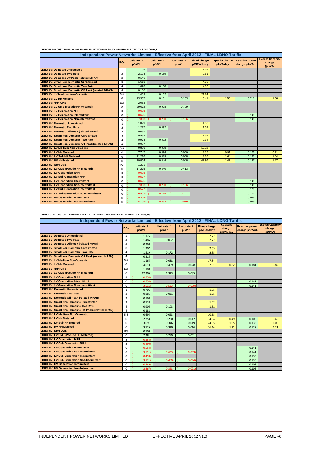| Independent Power Networks Limited - Effective from April 2012 - FINAL LDNO Tariffs |                |                      |                      |                      |                                   |                                     |                                         |                                             |  |
|-------------------------------------------------------------------------------------|----------------|----------------------|----------------------|----------------------|-----------------------------------|-------------------------------------|-----------------------------------------|---------------------------------------------|--|
|                                                                                     | PCs            | Unit rate 1<br>p/kWh | Unit rate 2<br>p/kWh | Unit rate 3<br>p/kWh | <b>Fixed charge</b><br>p/MPAN/day | <b>Capacity charge</b><br>p/kVA/day | <b>Reactive power</b><br>charge p/kVArh | <b>Excess Capacity</b><br>charge<br>(p/kVA) |  |
| <b>LDNO LV: Domestic Unrestricted</b>                                               | $\mathbf{1}$   | 1.768                |                      |                      | 2.61                              |                                     |                                         |                                             |  |
| <b>LDNO LV: Domestic Two Rate</b>                                                   | $\overline{2}$ | 2.194                | 0.159                |                      | 2.61                              |                                     |                                         |                                             |  |
| <b>LDNO LV: Domestic Off Peak (related MPAN)</b>                                    | $\overline{2}$ | 0.146                |                      |                      |                                   |                                     |                                         |                                             |  |
| <b>LDNO LV: Small Non Domestic Unrestricted</b>                                     | 3              | 1.613                |                      |                      | 4.02                              |                                     |                                         |                                             |  |
| <b>LDNO LV: Small Non Domestic Two Rate</b>                                         | $\overline{4}$ | 1.673                | 0.158                |                      | 4.02                              |                                     |                                         |                                             |  |
| <b>LDNO LV: Small Non Domestic Off Peak (related MPAN)</b>                          | $\overline{4}$ | 0.150                |                      |                      |                                   |                                     |                                         |                                             |  |
| <b>LDNO LV: LV Medium Non-Domestic</b>                                              | $5 - 8$        | 1.459                | 0.152                |                      | 21.84                             |                                     |                                         |                                             |  |
| <b>LDNO LV: LV HH Metered</b>                                                       | $\Omega$       | 13.307               | 0.161                | 0.103                | 5.41                              | 1.56                                | 0.211                                   | 1.56                                        |  |
| <b>LDNO LV: NHH UMS</b>                                                             | 1&8            | 2.063                |                      |                      |                                   |                                     |                                         |                                             |  |
| LDNO LV: LV UMS (Pseudo HH Metered)                                                 | $\Omega$       | 29.672               | 0.928                | 0.709                |                                   |                                     |                                         |                                             |  |
| <b>LDNO LV: LV Generation NHH</b>                                                   | 8              | 0.625                |                      |                      |                                   |                                     |                                         |                                             |  |
| <b>LDNO LV: LV Generation Intermittent</b>                                          | $\Omega$       | 0.625                |                      |                      |                                   |                                     | 0.141                                   |                                             |  |
| <b>LDNO LV: LV Generation Non-Intermittent</b>                                      | $\Omega$       | 7.363)               | 0.260                | 0.156                |                                   |                                     | 0.141                                   |                                             |  |
| <b>LDNO HV: Domestic Unrestricted</b>                                               | $\mathbf{1}$   | 1.029                |                      |                      | 1.52                              |                                     |                                         |                                             |  |
| <b>LDNO HV: Domestic Two Rate</b>                                                   | $\overline{2}$ | 1.277                | 0.092                |                      | 1.52                              |                                     |                                         |                                             |  |
| <b>LDNO HV: Domestic Off Peak (related MPAN)</b>                                    | $\overline{2}$ | 0.085                |                      |                      |                                   |                                     |                                         |                                             |  |
| <b>LDNO HV: Small Non Domestic Unrestricted</b>                                     | 3              | 0.939                |                      |                      | 2.34                              |                                     |                                         |                                             |  |
| <b>LDNO HV: Small Non Domestic Two Rate</b>                                         | 4              | 0.974                | 0.092                |                      | 2.34                              |                                     |                                         |                                             |  |
| LDNO HV: Small Non Domestic Off Peak (related MPAN)                                 | 4              | 0.087                |                      |                      |                                   |                                     |                                         |                                             |  |
| <b>LDNO HV: LV Medium Non-Domestic</b>                                              | $5 - 8$        | 0.850                | 0.088                |                      | 12.72                             |                                     |                                         |                                             |  |
| <b>LDNO HV: LV HH Metered</b>                                                       | $\Omega$       | 7.747                | 0.094                | 0.060                | 3.15                              | 0.91                                | 0.123                                   | 0.91                                        |  |
| <b>LDNO HV: LV Sub HH Metered</b>                                                   | $\mathbf 0$    | 11.216               | 0.089                | 0.068                | 3.65                              | 1.64                                | 0.161                                   | 1.64                                        |  |
| <b>LDNO HV: HV HH Metered</b>                                                       | $\Omega$       | 10.864               | 0.044                | 0.048                | 47.96                             | 1.47                                | 0.147                                   | 1.47                                        |  |
| <b>LDNO HV: NHH UMS</b>                                                             | 1&8            | 1.201                |                      |                      |                                   |                                     |                                         |                                             |  |
| LDNO HV: LV UMS (Pseudo HH Metered)                                                 | $\mathbf 0$    | 17.275               | 0.540                | 0.413                |                                   |                                     |                                         |                                             |  |
| <b>LDNO HV: LV Generation NHH</b>                                                   | 8              | 0.625                |                      |                      |                                   |                                     |                                         |                                             |  |
| <b>LDNO HV: LV Sub Generation NHH</b>                                               | 8              | 0.577                |                      |                      |                                   |                                     |                                         |                                             |  |
| <b>LDNO HV: LV Generation Intermittent</b>                                          | $\Omega$       | 0.625                |                      |                      |                                   |                                     | 0.141                                   |                                             |  |
| <b>LDNO HV: LV Generation Non-Intermittent</b>                                      | $\Omega$       | 7.363                | 0.260                | 0.156                |                                   |                                     | 0.141                                   |                                             |  |
| <b>LDNO HV: LV Sub Generation Intermittent</b>                                      | $\Omega$       | 0.577                |                      |                      |                                   |                                     | 0.121                                   |                                             |  |
| <b>LDNO HV: LV Sub Generation Non-Intermittent</b>                                  | $\mathbf 0$    | 6,902                | 0.228                | 0.142                |                                   |                                     | 0.121                                   |                                             |  |
| <b>LDNO HV: HV Generation Intermittent</b>                                          | $\Omega$       | 0.354                |                      |                      |                                   |                                     | 0.088                                   |                                             |  |
| <b>LDNO HV: HV Generation Non-Intermittent</b>                                      | $\Omega$       | 4.708)               | 0.083                | 0.076                |                                   |                                     | 0.088                                   |                                             |  |

#### **CHARGES FOR CUSTOMERS ON IPNL EMBEDDED NETWORKS IN SOUTH WESTERN ELECTRICITY'S DSA ( GSP\_L)**

#### **CHARGES FOR CUSTOMERS ON IPNL EMBEDDED NETWORKS IN YORKSHIRE ELECTRIC'S DSA ( GSP\_M)**

| Independent Power Networks Limited - Effective from April 2012 - FINAL LDNO Tariffs |                |                      |                      |                      |                                   |                                        |                                         |                                             |  |  |
|-------------------------------------------------------------------------------------|----------------|----------------------|----------------------|----------------------|-----------------------------------|----------------------------------------|-----------------------------------------|---------------------------------------------|--|--|
|                                                                                     | PCs            | Unit rate 1<br>p/kWh | Unit rate 2<br>p/kWh | Unit rate 3<br>p/kWh | <b>Fixed charge</b><br>p/MPAN/day | <b>Capacity</b><br>charge<br>p/kVA/day | <b>Reactive power</b><br>charge p/kVArh | <b>Excess Capacity</b><br>charge<br>(p/kVA) |  |  |
| <b>LDNO LV: Domestic Unrestricted</b>                                               | $\overline{1}$ | 1.176                |                      |                      | 2.77                              |                                        |                                         |                                             |  |  |
| <b>LDNO LV: Domestic Two Rate</b>                                                   | $\overline{2}$ | 1.485                | 0.052                |                      | 2.77                              |                                        |                                         |                                             |  |  |
| <b>LDNO LV: Domestic Off Peak (related MPAN)</b>                                    | $\overline{2}$ | 0.268                |                      |                      |                                   |                                        |                                         |                                             |  |  |
| <b>LDNO LV: Small Non Domestic Unrestricted</b>                                     | 3              | 1.207                |                      |                      | 2.55                              |                                        |                                         |                                             |  |  |
| <b>LDNO LV: Small Non Domestic Two Rate</b>                                         | $\overline{4}$ | 1.519                | 0.172                |                      | 2.55                              |                                        |                                         |                                             |  |  |
| <b>LDNO LV: Small Non Domestic Off Peak (related MPAN)</b>                          | $\overline{4}$ | 0.316                |                      |                      |                                   |                                        |                                         |                                             |  |  |
| <b>LDNO LV: LV Medium Non-Domestic</b>                                              | $5 - 8$        | 1.165                | 0.038                |                      | 17.84                             |                                        |                                         |                                             |  |  |
| <b>LDNO LV: LV HH Metered</b>                                                       | $\mathbf 0$    | 4.610                | 0.469                | 0.028                | 7.61                              | 0.82                                   | 0.181                                   | 0.82                                        |  |  |
| <b>LDNO LV: NHH UMS</b>                                                             | 1&8            | 1.189                |                      |                      |                                   |                                        |                                         |                                             |  |  |
| <b>LDNO LV: LV UMS (Pseudo HH Metered)</b>                                          | $\mathbf 0$    | 12.205               | 1.323                | 0.085                |                                   |                                        |                                         |                                             |  |  |
| <b>LDNO LV: LV Generation NHH</b>                                                   | 8              | 0.554                |                      |                      |                                   |                                        |                                         |                                             |  |  |
| <b>LDNO LV: LV Generation Intermittent</b>                                          | $\Omega$       | 0.554)               |                      |                      |                                   |                                        | 0.141                                   |                                             |  |  |
| <b>LDNO LV: LV Generation Non-Intermittent</b>                                      | $\mathbf 0$    | 3.511                | 0.533                | 0.039                |                                   |                                        | 0.141                                   |                                             |  |  |
| <b>LDNO HV: Domestic Unrestricted</b>                                               | 1              | 0.701                |                      |                      | 1.65                              |                                        |                                         |                                             |  |  |
| <b>LDNO HV: Domestic Two Rate</b>                                                   | $\overline{2}$ | 0.886                | 0.031                |                      | 1.65                              |                                        |                                         |                                             |  |  |
| <b>LDNO HV: Domestic Off Peak (related MPAN)</b>                                    | $\overline{2}$ | 0.160                |                      |                      |                                   |                                        |                                         |                                             |  |  |
| <b>LDNO HV: Small Non Domestic Unrestricted</b>                                     | 3              | 0.720                |                      |                      | 1.52                              |                                        |                                         |                                             |  |  |
| <b>LDNO HV: Small Non Domestic Two Rate</b>                                         | $\overline{4}$ | 0.906                | 0.103                |                      | 1.52                              |                                        |                                         |                                             |  |  |
| LDNO HV: Small Non Domestic Off Peak (related MPAN)                                 | $\overline{4}$ | 0.188                |                      |                      |                                   |                                        |                                         |                                             |  |  |
| <b>LDNO HV: LV Medium Non-Domestic</b>                                              | $5 - 8$        | 0.695                | 0.023                |                      | 10.65                             |                                        |                                         |                                             |  |  |
| <b>LDNO HV: LV HH Metered</b>                                                       | $\Omega$       | 2.750                | 0.280                | 0.017                | 4.54                              | 0.49                                   | 0.108                                   | 0.49                                        |  |  |
| LDNO HV: LV Sub HH Metered                                                          | $\mathbf 0$    | 3.691                | 0.346                | 0.019                | 24.35                             | 1.05                                   | 0.133                                   | 1.05                                        |  |  |
| <b>LDNO HV: HV HH Metered</b>                                                       | $\Omega$       | 3.725                | 0.320                | 0.016                | 76.14                             | 1.21                                   | 0.127                                   | 1.21                                        |  |  |
| LDNO HV: NHH UMS                                                                    | 1&8            | 0.709                |                      |                      |                                   |                                        |                                         |                                             |  |  |
| LDNO HV: LV UMS (Pseudo HH Metered)                                                 | 0              | 7.281                | 0.789                | 0.051                |                                   |                                        |                                         |                                             |  |  |
| <b>LDNO HV: LV Generation NHH</b>                                                   | 8              | 0.554)               |                      |                      |                                   |                                        |                                         |                                             |  |  |
| <b>LDNO HV: LV Sub Generation NHH</b>                                               | 8              | 0.490                |                      |                      |                                   |                                        |                                         |                                             |  |  |
| <b>LDNO HV: LV Generation Intermittent</b>                                          | $\Omega$       | 0.554                |                      |                      |                                   |                                        | 0.141                                   |                                             |  |  |
| <b>LDNO HV: LV Generation Non-Intermittent</b>                                      | $\Omega$       | 3.511                | 0.633                | 0.039                |                                   |                                        | 0.141                                   |                                             |  |  |
| <b>LDNO HV: LV Sub Generation Intermittent</b>                                      | $\mathbf 0$    | 0.490                |                      |                      |                                   |                                        | 0.135                                   |                                             |  |  |
| <b>LDNO HV: LV Sub Generation Non-Intermittent</b>                                  | $\Omega$       | 3.121                | 0.469                | 0.034                |                                   |                                        | 0.135                                   |                                             |  |  |
| <b>LDNO HV: HV Generation Intermittent</b>                                          | $\mathbf 0$    | 0.349                |                      |                      |                                   |                                        | 0.105                                   |                                             |  |  |
| <b>LDNO HV: HV Generation Non-Intermittent</b>                                      | $\Omega$       | 2.267                | 0.3231               | 0.021                |                                   |                                        | 0.105                                   |                                             |  |  |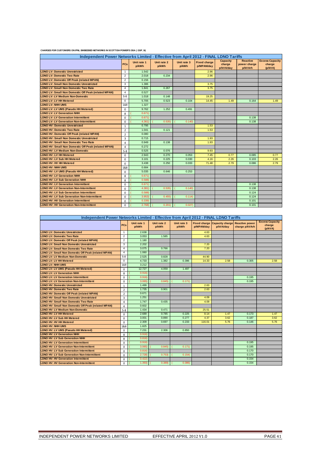|  | CHARGES FOR CUSTOMERS ON IPNL EMBEDDED NETWORKS IN SCOTTISH POWER'S DSA ( GSP_N) |
|--|----------------------------------------------------------------------------------|
|--|----------------------------------------------------------------------------------|

| Independent Power Networks Limited - Effective from April 2012 - FINAL LDNO Tariffs |                |                      |                      |                      |                                   |                                        |                                            |                                             |  |  |
|-------------------------------------------------------------------------------------|----------------|----------------------|----------------------|----------------------|-----------------------------------|----------------------------------------|--------------------------------------------|---------------------------------------------|--|--|
|                                                                                     | <b>PCs</b>     | Unit rate 1<br>p/kWh | Unit rate 2<br>p/kWh | Unit rate 3<br>p/kWh | <b>Fixed charge</b><br>p/MPAN/day | <b>Capacity</b><br>charge<br>p/kVA/day | <b>Reactive</b><br>power charge<br>p/kVArh | <b>Excess Capacity</b><br>charge<br>(p/kVA) |  |  |
| <b>LDNO LV: Domestic Unrestricted</b>                                               | $\mathbf{1}$   | 1.542                |                      |                      | 2.96                              |                                        |                                            |                                             |  |  |
| <b>LDNO LV: Domestic Two Rate</b>                                                   | 2              | 2.018                | 0.234                |                      | 2.96                              |                                        |                                            |                                             |  |  |
| <b>LDNO LV: Domestic Off Peak (related MPAN)</b>                                    | $\overline{2}$ | 0.156                |                      |                      |                                   |                                        |                                            |                                             |  |  |
| <b>LDNO LV: Small Non Domestic Unrestricted</b>                                     | 3              | 1.386                |                      |                      | 3.75                              |                                        |                                            |                                             |  |  |
| <b>LDNO LV: Small Non Domestic Two Rate</b>                                         | $\overline{4}$ | 1.841                | 0.267                |                      | 3.75                              |                                        |                                            |                                             |  |  |
| LDNO LV: Small Non Domestic Off Peak (related MPAN)                                 | $\overline{4}$ | 0.527                |                      |                      |                                   |                                        |                                            |                                             |  |  |
| <b>LDNO LV: LV Medium Non-Domestic</b>                                              | $5-8$          | 1.018                | 0.148                |                      | 19.25                             |                                        |                                            |                                             |  |  |
| <b>LDNO LV: LV HH Metered</b>                                                       | $\mathbf 0$    | 5.705                | 0.523                | 0.104                | 14.45                             | 1.49                                   | 0.164                                      | 1.49                                        |  |  |
| <b>LDNO LV: NHH UMS</b>                                                             | 1&8            | 1.327                |                      |                      |                                   |                                        |                                            |                                             |  |  |
| LDNO LV: LV UMS (Pseudo HH Metered)                                                 | $\Omega$       | 9.762                | 1.252                | 0.491                |                                   |                                        |                                            |                                             |  |  |
| <b>LDNO LV: LV Generation NHH</b>                                                   | 8              | 0.671)               |                      |                      |                                   |                                        |                                            |                                             |  |  |
| <b>LDNO LV: LV Generation Intermittent</b>                                          | $\Omega$       | 0.671)               |                      |                      |                                   |                                        | 0.138                                      |                                             |  |  |
| <b>LDNO LV: LV Generation Non-Intermittent</b>                                      | $\Omega$       | 4.361)               | 0.535                | 0.140                |                                   |                                        | 0.138                                      |                                             |  |  |
| <b>LDNO HV: Domestic Unrestricted</b>                                               | $\mathbf{1}$   | 0.795                |                      |                      | 1.53                              |                                        |                                            |                                             |  |  |
| <b>LDNO HV: Domestic Two Rate</b>                                                   | $\overline{2}$ | 1.041                | 0.121                |                      | 1.53                              |                                        |                                            |                                             |  |  |
| <b>LDNO HV: Domestic Off Peak (related MPAN)</b>                                    | $\overline{2}$ | 0.080                |                      |                      |                                   |                                        |                                            |                                             |  |  |
| <b>LDNO HV: Small Non Domestic Unrestricted</b>                                     | $\overline{3}$ | 0.715                |                      |                      | 1.93                              |                                        |                                            |                                             |  |  |
| <b>LDNO HV: Small Non Domestic Two Rate</b>                                         | $\overline{a}$ | 0.949                | 0.138                |                      | 1.93                              |                                        |                                            |                                             |  |  |
| LDNO HV: Small Non Domestic Off Peak (related MPAN)                                 | $\overline{4}$ | 0.272                |                      |                      |                                   |                                        |                                            |                                             |  |  |
| <b>LDNO HV: LV Medium Non-Domestic</b>                                              | $5 - 8$        | 0.525                | 0.076                |                      | 9.93                              |                                        |                                            |                                             |  |  |
| <b>LDNO HV: LV HH Metered</b>                                                       | 0              | 2.943                | 0.270                | 0.053                | 7.45                              | 0.77                                   | 0.085                                      | 0.77                                        |  |  |
| LDNO HV: LV Sub HH Metered                                                          | $\Omega$       | 3.101                | 0.225                | 0.030                | 4.16                              | 2.26                                   | 0.103                                      | 2.26                                        |  |  |
| <b>LDNO HV: HV HH Metered</b>                                                       | $\Omega$       | 3.438                | 0.250                | 0.033                | 71.48                             | 2.79                                   | 0.086                                      | 2.79                                        |  |  |
| <b>LDNO HV: NHH UMS</b>                                                             | 1&8            | 0.684                |                      |                      |                                   |                                        |                                            |                                             |  |  |
| LDNO HV: LV UMS (Pseudo HH Metered)                                                 | $\Omega$       | 5.035                | 0.646                | 0.253                |                                   |                                        |                                            |                                             |  |  |
| <b>LDNO HV: LV Generation NHH</b>                                                   | 8              | 0.671)               |                      |                      |                                   |                                        |                                            |                                             |  |  |
| <b>LDNO HV: LV Sub Generation NHH</b>                                               | 8              | 0.588                |                      |                      |                                   |                                        |                                            |                                             |  |  |
| <b>LDNO HV: LV Generation Intermittent</b>                                          | $\Omega$       | 0.671                |                      |                      |                                   |                                        | 0.138                                      |                                             |  |  |
| <b>LDNO HV: LV Generation Non-Intermittent</b>                                      | 0              | 4.381                | 0.535                | 0.140                |                                   |                                        | 0.138                                      |                                             |  |  |
| <b>LDNO HV: LV Sub Generation Intermittent</b>                                      | $\Omega$       | 0.588                |                      |                      |                                   |                                        | 0.124                                      |                                             |  |  |
| <b>LDNO HV: LV Sub Generation Non-Intermittent</b>                                  | $\mathbf 0$    | 3.953                | 0.455                | 0.114                |                                   |                                        | 0.124                                      |                                             |  |  |
| <b>LDNO HV: HV Generation Intermittent</b>                                          | $\Omega$       | 0.339                |                      |                      |                                   |                                        | 0.101                                      |                                             |  |  |
| <b>LDNO HV: HV Generation Non-Intermittent</b>                                      | $\Omega$       | 2.768)               | 0.201)               | 0.027                |                                   |                                        | 0.101                                      |                                             |  |  |

| Independent Power Networks Limited - Effective from April 2012 - FINAL LDNO Tariffs |                         |                      |                      |                      |            |                                           |                                         |                                             |  |
|-------------------------------------------------------------------------------------|-------------------------|----------------------|----------------------|----------------------|------------|-------------------------------------------|-----------------------------------------|---------------------------------------------|--|
|                                                                                     | PCs                     | Unit rate 1<br>p/kWh | Unit rate 2<br>p/kWh | Unit rate 3<br>p/kWh | p/MPAN/day | Fixed charge Capacity charge<br>p/kVA/day | <b>Reactive power</b><br>charge p/kVArh | <b>Excess Capacity</b><br>charge<br>(p/kVA) |  |
| <b>LDNO LV: Domestic Unrestricted</b>                                               | $\overline{1}$          | 2.638                |                      |                      | 4.63       |                                           |                                         |                                             |  |
| <b>LDNO LV: Domestic Two Rate</b>                                                   | $\overline{\mathbf{c}}$ | 3.053                | 1.585                |                      | 4.63       |                                           |                                         |                                             |  |
| <b>LDNO LV: Domestic Off Peak (related MPAN)</b>                                    | $\overline{c}$          | 1.180                |                      |                      |            |                                           |                                         |                                             |  |
| <b>LDNO LV: Small Non Domestic Unrestricted</b>                                     | 3                       | 2.202                |                      |                      | 7.20       |                                           |                                         |                                             |  |
| <b>LDNO LV: Small Non Domestic Two Rate</b>                                         | 4                       | 3.075                | 0.766                |                      | 7.20       |                                           |                                         |                                             |  |
| <b>LDNO LV: Small Non Domestic Off Peak (related MPAN)</b>                          | 4                       | 1.060                |                      |                      |            |                                           |                                         |                                             |  |
| <b>LDNO LV: LV Medium Non-Domestic</b>                                              | $5 - 8$                 | 2.525                | 0.828                |                      | 44.90      |                                           |                                         |                                             |  |
| <b>LDNO LV: LV HH Metered</b>                                                       | $\Omega$                | 4.733                | 1.382                | 0.396                | 14.33      | 2.58                                      | 0.305                                   | 2.58                                        |  |
| <b>LDNO LV: NHH UMS</b>                                                             | 1&8                     | 3.212                |                      |                      |            |                                           |                                         |                                             |  |
| LDNO LV: LV UMS (Pseudo HH Metered)                                                 | 0                       | 12.727               | 4.059                | 1.497                |            |                                           |                                         |                                             |  |
| <b>LDNO LV: LV Generation NHH</b>                                                   | 8                       | 0.916                |                      |                      |            |                                           |                                         |                                             |  |
| <b>LDNO LV: LV Generation Intermittent</b>                                          | 0                       | 0.916                |                      |                      |            |                                           | 0.195                                   |                                             |  |
| <b>LDNO LV: LV Generation Non-Intermittent</b>                                      | 0                       | 3.065                | 0.845                | 0.171)               |            |                                           | 0.195                                   |                                             |  |
| <b>LDNO HV: Domestic Unrestricted</b>                                               | $\mathbf{1}$            | 1.499                |                      |                      | 2.63       |                                           |                                         |                                             |  |
| <b>LDNO HV: Domestic Two Rate</b>                                                   | $\overline{2}$          | 1.735                | 0.901                |                      | 2.63       |                                           |                                         |                                             |  |
| <b>LDNO HV: Domestic Off Peak (related MPAN)</b>                                    | $\overline{2}$          | 0.671                |                      |                      |            |                                           |                                         |                                             |  |
| <b>LDNO HV: Small Non Domestic Unrestricted</b>                                     | 3                       | 1.251                |                      |                      | 4.09       |                                           |                                         |                                             |  |
| <b>LDNO HV: Small Non Domestic Two Rate</b>                                         | 4                       | 1.747                | 0.435                |                      | 4.09       |                                           |                                         |                                             |  |
| LDNO HV: Small Non Domestic Off Peak (related MPAN)                                 | 4                       | 0.602                |                      |                      |            |                                           |                                         |                                             |  |
| <b>LDNO HV: LV Medium Non-Domestic</b>                                              | $5 - 8$                 | 1.434                | 0.471                |                      | 25.51      |                                           |                                         |                                             |  |
| <b>LDNO HV: LV HH Metered</b>                                                       | $\Omega$                | 2.689                | 0.785                | 0.225                | 8.14       | 1.47                                      | 0.173                                   | 1.47                                        |  |
| <b>LDNO HV: LV Sub HH Metered</b>                                                   | $\Omega$                | 3.001                | 0.890                | 0.277                | 4.37       | 3.62                                      | 0.187                                   | 3.62                                        |  |
| <b>LDNO HV: HV HH Metered</b>                                                       | $\Omega$                | 2.309                | 0.697                | 0.233                | 116.01     | 5.76                                      | 0.146                                   | 5.76                                        |  |
| LDNO HV: NHH UMS                                                                    | 1&8                     | 1.825                |                      |                      |            |                                           |                                         |                                             |  |
| LDNO HV: LV UMS (Pseudo HH Metered)                                                 | 0                       | 7.231                | 2.306                | 0.850                |            |                                           |                                         |                                             |  |
| <b>LDNO HV: LV Generation NHH</b>                                                   | 8                       | 0.916                |                      |                      |            |                                           |                                         |                                             |  |
| <b>LDNO HV: LV Sub Generation NHH</b>                                               | 8                       | 0.816                |                      |                      |            |                                           |                                         |                                             |  |
| <b>LDNO HV: LV Generation Intermittent</b>                                          | $\Omega$                | 0.916                |                      |                      |            |                                           | 0.195                                   |                                             |  |
| <b>LDNO HV: LV Generation Non-Intermittent</b>                                      | $\Omega$                | 3.065                | 0.845                | 0.171                |            |                                           | 0.195                                   |                                             |  |
| <b>LDNO HV: LV Sub Generation Intermittent</b>                                      | 0                       | 0.816                |                      |                      |            |                                           | 0.170                                   |                                             |  |
| <b>LDNO HV: LV Sub Generation Non-Intermittent</b>                                  | 0                       | 2.728                | 0.753                | 0.154                |            |                                           | 0.170                                   |                                             |  |
| <b>LDNO HV: HV Generation Intermittent</b>                                          | 0                       | 0.422                |                      |                      |            |                                           | 0.154                                   |                                             |  |
| <b>LDNO HV: HV Generation Non-Intermittent</b>                                      | $\Omega$                | 1.393                | 0.389                | 0.086                |            |                                           | 0.154                                   |                                             |  |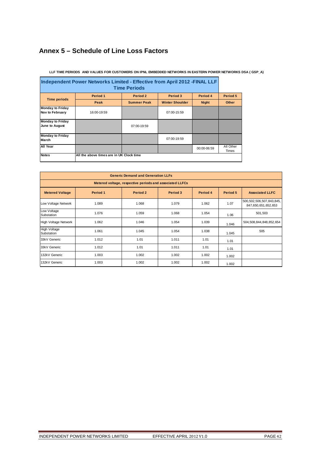# **Annex 5 – Schedule of Line Loss Factors**

| Independent Power Networks Limited - Effective from April 2012 - FINAL LLF<br><b>Time Periods</b> |                                          |                    |                        |              |                           |  |  |  |
|---------------------------------------------------------------------------------------------------|------------------------------------------|--------------------|------------------------|--------------|---------------------------|--|--|--|
| <b>Time periods</b>                                                                               | Period 1                                 | Period 2           | Period 3               | Period 4     | Period 5                  |  |  |  |
|                                                                                                   | Peak                                     | <b>Summer Peak</b> | <b>Winter Shoulder</b> | <b>Night</b> | Other                     |  |  |  |
| <b>Monday to Friday</b><br><b>Nov to February</b>                                                 | 16:00-19:59                              |                    | 07:00-15:59            |              |                           |  |  |  |
| <b>Monday to Friday</b><br>June to August                                                         |                                          | 07:00-19:59        |                        |              |                           |  |  |  |
| <b>Monday to Friday</b><br><b>March</b>                                                           |                                          |                    | 07:00-19:59            |              |                           |  |  |  |
| All Year                                                                                          |                                          |                    |                        | 00:00-06:59  | All Other<br><b>Times</b> |  |  |  |
| <b>Notes</b>                                                                                      | All the above times are in UK Clock time |                    |                        |              |                           |  |  |  |

#### **LLF TIME PERIODS AND VALUES FOR CUSTOMERS ON IPNL EMBEDDED NETWORKS IN EASTERN POWER NETWORKS DSA ( GSP\_A)**

| <b>Generic Demand and Generation LLFs</b>                |          |          |          |          |          |                                                      |  |  |  |  |
|----------------------------------------------------------|----------|----------|----------|----------|----------|------------------------------------------------------|--|--|--|--|
| Metered voltage, respective periods and associated LLFCs |          |          |          |          |          |                                                      |  |  |  |  |
| <b>Metered Voltage</b>                                   | Period 1 | Period 2 | Period 3 | Period 4 | Period 5 | <b>Associated LLFC</b>                               |  |  |  |  |
| Low Voltage Network                                      | 1.089    | 1.068    | 1.079    | 1.062    | 1.07     | 500, 502, 506, 507, 843, 845,<br>847,650,651,652,653 |  |  |  |  |
| Low Voltage<br>Substation                                | 1.076    | 1.059    | 1.068    | 1.054    | 1.06     | 501,503                                              |  |  |  |  |
| <b>High Voltage Network</b>                              | 1.062    | 1.046    | 1.054    | 1.039    | 1.046    | 504,508,844,848,852,654                              |  |  |  |  |
| <b>High Voltage</b><br>Substation                        | 1.061    | 1.045    | 1.054    | 1.038    | 1.045    | 505                                                  |  |  |  |  |
| 33kV Generic                                             | 1.012    | 1.01     | 1.011    | 1.01     | 1.01     |                                                      |  |  |  |  |
| 33kV Generic                                             | 1.012    | 1.01     | 1.011    | 1.01     | 1.01     |                                                      |  |  |  |  |
| 132kV Generic                                            | 1.003    | 1.002    | 1.002    | 1.002    | 1.002    |                                                      |  |  |  |  |
| 132kV Generic                                            | 1.003    | 1.002    | 1.002    | 1.002    | 1.002    |                                                      |  |  |  |  |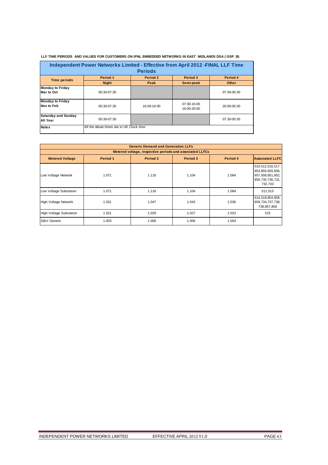| Independent Power Networks Limited - Effective from April 2012 - FINAL LLF Time |                                          |             |                            |             |  |  |  |  |  |
|---------------------------------------------------------------------------------|------------------------------------------|-------------|----------------------------|-------------|--|--|--|--|--|
| <b>Periods</b>                                                                  |                                          |             |                            |             |  |  |  |  |  |
| <b>Time periods</b>                                                             | Period 1                                 | Period 2    | Period 3                   | Period 4    |  |  |  |  |  |
|                                                                                 | <b>Night</b>                             | Peak        | Semi-peak                  | Other       |  |  |  |  |  |
| <b>Monday to Friday</b><br>Mar to Oct                                           | 00:30-07:30                              |             |                            | 07:30-00:30 |  |  |  |  |  |
| <b>Monday to Friday</b><br>Nov to Feb                                           | 00:30-07:30                              | 16:00-19:00 | 07:30-16:00<br>19:00-20:00 | 20:00-00:30 |  |  |  |  |  |
| <b>Saturday and Sunday</b><br>All Year                                          | 00:30-07:30                              |             |                            | 07:30-00:30 |  |  |  |  |  |
| <b>Notes</b>                                                                    | All the above times are in UK Clock time |             |                            |             |  |  |  |  |  |

 **LLF TIME PERIODS AND VALUES FOR CUSTOMERS ON IPNL EMBEDDED NETWORKS IN EAST MIDLANDS DSA ( GSP\_B)**

|                                                          | <b>Generic Demand and Generation LLFs</b> |          |          |          |                                                                                            |  |  |  |  |  |  |
|----------------------------------------------------------|-------------------------------------------|----------|----------|----------|--------------------------------------------------------------------------------------------|--|--|--|--|--|--|
| Metered voltage, respective periods and associated LLFCs |                                           |          |          |          |                                                                                            |  |  |  |  |  |  |
| <b>Metered Voltage</b>                                   | Period 1                                  | Period 2 | Period 3 | Period 4 | <b>Associated LLFC</b>                                                                     |  |  |  |  |  |  |
| Low Voltage Network                                      | 1.071                                     | 1.118    | 1.104    | 1.084    | 510,512,516,517,<br>853, 855, 655, 656,<br>657,658,851,852,<br>859,735,736,731,<br>732,733 |  |  |  |  |  |  |
| Low Voltage Substation                                   | 1.071                                     | 1.118    | 1.104    | 1.084    | 511,513                                                                                    |  |  |  |  |  |  |
| <b>High Voltage Network</b>                              | 1.031                                     | 1.047    | 1.043    | 1.036    | 514,518,854,858,<br>659,734,737,738,<br>739,857,859                                        |  |  |  |  |  |  |
| <b>High Voltage Substation</b>                           | 1.021                                     | 1.029    | 1.027    | 1.023    | 515                                                                                        |  |  |  |  |  |  |
| 33kV Generic                                             | 1.003                                     | 1.006    | 1.006    | 1.004    |                                                                                            |  |  |  |  |  |  |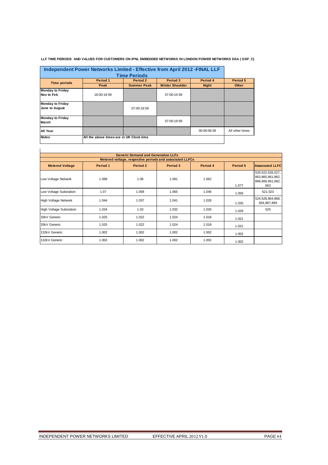|                                           | Independent Power Networks Limited - Effective from April 2012 - FINAL LLF<br><b>Time Periods</b> |                    |                        |              |                 |  |  |  |  |
|-------------------------------------------|---------------------------------------------------------------------------------------------------|--------------------|------------------------|--------------|-----------------|--|--|--|--|
| <b>Time periods</b>                       | Period 1                                                                                          | Period 2           | Period 3               | Period 4     | Period 5        |  |  |  |  |
|                                           | Peak                                                                                              | <b>Summer Peak</b> | <b>Winter Shoulder</b> | <b>Night</b> | Other           |  |  |  |  |
| <b>Monday to Friday</b><br>Nov to Feb     | 16:00-19:59                                                                                       |                    | $07:00-15:59$          |              |                 |  |  |  |  |
| <b>Monday to Friday</b><br>June to August |                                                                                                   | 07:00-19:59        |                        |              |                 |  |  |  |  |
| <b>Monday to Friday</b><br><b>March</b>   |                                                                                                   |                    | 07:00-19:59            |              |                 |  |  |  |  |
| All Year                                  |                                                                                                   |                    |                        | 00:00-06:59  | All other times |  |  |  |  |
| <b>Notes</b>                              | All the above times are in UK Clock time                                                          |                    |                        |              |                 |  |  |  |  |

#### **LLF TIME PERIODS AND VALUES FOR CUSTOMERS ON IPNL EMBEDDED NETWORKS IN LONDON POWER NETWORKS DSA ( GSP\_C)**

| <b>Generic Demand and Generation LLFs</b><br>Metered voltage, respective periods and associated LLFCs |          |          |          |          |          |                                                                    |  |  |  |  |
|-------------------------------------------------------------------------------------------------------|----------|----------|----------|----------|----------|--------------------------------------------------------------------|--|--|--|--|
| <b>Metered Voltage</b>                                                                                | Period 1 | Period 2 | Period 3 | Period 4 | Period 5 | <b>Associated LLFC</b>                                             |  |  |  |  |
| Low Voltage Network                                                                                   | 1.099    | 1.08     | 1.091    | 1.062    | 1.077    | 520, 522, 526, 527,<br>863,865,861,862,<br>866,660,661,662,<br>663 |  |  |  |  |
| Low Voltage Substation                                                                                | 1.07     | 1.058    | 1.065    | 1.046    | 1.056    | 521,523                                                            |  |  |  |  |
| <b>High Voltage Network</b>                                                                           | 1.044    | 1.037    | 1.041    | 1.028    | 1.035    | 524,528,864,868,<br>664,867,869                                    |  |  |  |  |
| <b>High Voltage Substation</b>                                                                        | 1.034    | 1.03     | 1.032    | 1.026    | 1.029    | 525                                                                |  |  |  |  |
| 33kV Generic                                                                                          | 1.025    | 1.022    | 1.024    | 1.018    | 1.021    |                                                                    |  |  |  |  |
| 33kV Generic                                                                                          | 1.025    | 1.022    | 1.024    | 1.018    | 1.021    |                                                                    |  |  |  |  |
| 132kV Generic                                                                                         | 1.002    | 1.002    | 1.002    | 1.002    | 1.002    |                                                                    |  |  |  |  |
| 132kV Generic                                                                                         | 1.002    | 1.002    | 1.002    | 1.002    | 1.002    |                                                                    |  |  |  |  |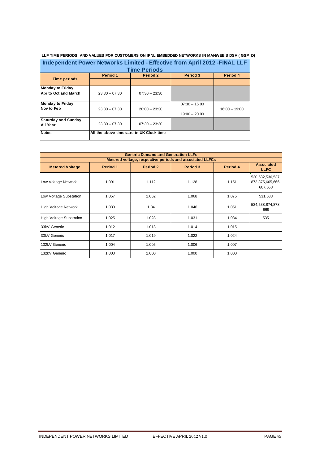| L EMBEDDED NETWORKS IN MANWEB'S DSA ( GSP_D)<br><b>'ALUES FOR CUSTOMERS ON IPNL .</b><br>E PERIODS<br><b>AND VAL</b><br><b>TIML</b> |
|-------------------------------------------------------------------------------------------------------------------------------------|
|                                                                                                                                     |

|                            | Independent Power Networks Limited - Effective from April 2012 - FINAL LLF |                     |                 |                 |
|----------------------------|----------------------------------------------------------------------------|---------------------|-----------------|-----------------|
|                            |                                                                            | <b>Time Periods</b> |                 |                 |
|                            | Period 1                                                                   | Period 2            | Period 3        | Period 4        |
| <b>Time periods</b>        |                                                                            |                     |                 |                 |
| <b>Monday to Friday</b>    |                                                                            |                     |                 |                 |
| Apr to Oct and March       | $23:30 - 07:30$                                                            | $07:30 - 23:30$     |                 |                 |
| <b>Monday to Friday</b>    |                                                                            |                     | $07:30 - 16:00$ |                 |
| Nov to Feb                 | $23:30 - 07:30$                                                            | $20:00 - 23:30$     |                 | $16:00 - 19:00$ |
|                            |                                                                            |                     | $19:00 - 20:00$ |                 |
| <b>Saturday and Sunday</b> | $23:30 - 07:30$                                                            | $07:30 - 23:30$     |                 |                 |
|                            |                                                                            |                     |                 |                 |
| <b>Notes</b>               | All the above times are in UK Clock time                                   |                     |                 |                 |
| All Year                   |                                                                            |                     |                 |                 |

| <b>Generic Demand and Generation LLFs</b> |          |          |                                                          |          |                                                    |
|-------------------------------------------|----------|----------|----------------------------------------------------------|----------|----------------------------------------------------|
|                                           |          |          | Metered voltage, respective periods and associated LLFCs |          |                                                    |
| <b>Metered Voltage</b>                    | Period 1 | Period 2 | Period 3                                                 | Period 4 | <b>Associated</b><br><b>LLFC</b>                   |
| Low Voltage Network                       | 1.091    | 1.112    | 1.128                                                    | 1.151    | 530, 532, 536, 537,<br>873,875,665,666,<br>667,668 |
| Low Voltage Substation                    | 1.057    | 1.062    | 1.068                                                    | 1.075    | 531,533                                            |
| High Voltage Network                      | 1.033    | 1.04     | 1.046                                                    | 1.051    | 534, 538, 874, 878,<br>669                         |
| <b>High Voltage Substation</b>            | 1.025    | 1.028    | 1.031                                                    | 1.034    | 535                                                |
| 33kV Generic                              | 1.012    | 1.013    | 1.014                                                    | 1.015    |                                                    |
| 33kV Generic                              | 1.017    | 1.019    | 1.022                                                    | 1.024    |                                                    |
| 132kV Generic                             | 1.004    | 1.005    | 1.006                                                    | 1.007    |                                                    |
| 132kV Generic                             | 1.000    | 1.000    | 1.000                                                    | 1.000    |                                                    |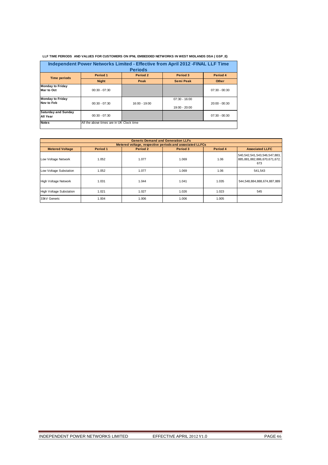|                                              |                                          |                | Independent Power Networks Limited - Effective from April 2012 - FINAL LLF Time |                 |
|----------------------------------------------|------------------------------------------|----------------|---------------------------------------------------------------------------------|-----------------|
|                                              |                                          | <b>Periods</b> |                                                                                 |                 |
| <b>Time periods</b>                          | Period 1                                 | Period 2       | Period 3                                                                        | Period 4        |
|                                              | <b>Night</b>                             | Peak           | <b>Semi Peak</b>                                                                | <b>Other</b>    |
| <b>Monday to Friday</b><br><b>Mar to Oct</b> | $00:30 - 07:30$                          |                |                                                                                 | $07:30 - 00:30$ |
| <b>Monday to Friday</b><br>Nov to Feb        | $00:30 - 07:30$                          | 16:00 - 19:00  | $07:30 - 16:00$<br>19:00 - 20:00                                                | $20:00 - 00:30$ |
| <b>Saturday and Sunday</b><br>All Year       | $00:30 - 07:30$                          |                |                                                                                 | $07:30 - 00:30$ |
| <b>Notes</b>                                 | All the above times are in UK Clock time |                |                                                                                 |                 |

 **LLF TIME PERIODS AND VALUES FOR CUSTOMERS ON IPNL EMBEDDED NETWORKS IN WEST MIDLANDS DSA ( GSP\_E)**

|                                | <b>Generic Demand and Generation LLFs</b> |          |                                                          |          |                                                                           |
|--------------------------------|-------------------------------------------|----------|----------------------------------------------------------|----------|---------------------------------------------------------------------------|
|                                |                                           |          | Metered voltage, respective periods and associated LLFCs |          |                                                                           |
| <b>Metered Voltage</b>         | Period 1                                  | Period 2 | Period 3                                                 | Period 4 | <b>Associated LLFC</b>                                                    |
| Low Voltage Network            | 1.052                                     | 1.077    | 1.069                                                    | 1.06     | 540, 542, 541, 543, 546, 547, 883,<br>885,881,882,886,670,671,672,<br>673 |
| Low Voltage Substation         | 1.052                                     | 1.077    | 1.069                                                    | 1.06     | 541,543                                                                   |
| High Voltage Network           | 1.031                                     | 1.044    | 1.041                                                    | 1.035    | 544,548,884,888,674,887,889                                               |
| <b>High Voltage Substation</b> | 1.021                                     | 1.027    | 1.026                                                    | 1.023    | 545                                                                       |
| 33kV Generic                   | 1.004                                     | 1.006    | 1.006                                                    | 1.005    |                                                                           |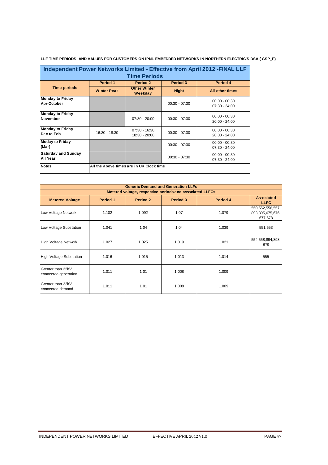| Independent Power Networks Limited - Effective from April 2012 - FINAL LLF<br><b>Time Periods</b> |                    |                                          |                 |                                    |
|---------------------------------------------------------------------------------------------------|--------------------|------------------------------------------|-----------------|------------------------------------|
|                                                                                                   | Period 1           | Period 2                                 | Period 3        | Period 4                           |
| <b>Time periods</b>                                                                               | <b>Winter Peak</b> | <b>Other Winter</b><br>Weekday           | <b>Night</b>    | All other times                    |
| <b>Monday to Friday</b><br>Apr-October                                                            |                    |                                          | $00:30 - 07:30$ | $00:00 - 00:30$<br>$07:30 - 24:00$ |
| <b>Monday to Friday</b><br><b>November</b>                                                        |                    | $07:30 - 20:00$                          | $00:30 - 07:30$ | $00:00 - 00:30$<br>$20:00 - 24:00$ |
| <b>Monday to Friday</b><br>Dec to Feb                                                             | 16:30 - 18:30      | $07:30 - 16:30$<br>18:30 - 20:00         | $00:30 - 07:30$ | $00:00 - 00:30$<br>$20:00 - 24:00$ |
| <b>Moday to Friday</b><br>(Mar)                                                                   |                    |                                          | $00:30 - 07:30$ | $00:00 - 00:30$<br>$07:30 - 24:00$ |
| Saturday and Sunday<br>All Year                                                                   |                    |                                          | $00:30 - 07:30$ | $00:00 - 00:30$<br>$07:30 - 24:00$ |
| <b>Notes</b>                                                                                      |                    | All the above times are in UK Clock time |                 |                                    |

**LLF TIME PERIODS AND VALUES FOR CUSTOMERS ON IPNL EMBEDDED NETWORKS IN NORTHERN ELECTRIC'S DSA ( GSP\_F)**

|                                           | <b>Generic Demand and Generation LLFs</b> |                                                          |          |          |                                                    |
|-------------------------------------------|-------------------------------------------|----------------------------------------------------------|----------|----------|----------------------------------------------------|
|                                           |                                           | Metered voltage, respective periods and associated LLFCs |          |          |                                                    |
| <b>Metered Voltage</b>                    | Period 1                                  | Period 2                                                 | Period 3 | Period 4 | <b>Associated</b><br><b>LLFC</b>                   |
| Low Voltage Network                       | 1.102                                     | 1.092                                                    | 1.07     | 1.079    | 550, 552, 556, 557,<br>893,895,675,676,<br>677,678 |
| Low Voltage Substation                    | 1.041                                     | 1.04                                                     | 1.04     | 1.039    | 551,553                                            |
| <b>High Voltage Network</b>               | 1.027                                     | 1.025                                                    | 1.019    | 1.021    | 554, 558, 894, 898,<br>679                         |
| <b>High Voltage Substation</b>            | 1.016                                     | 1.015                                                    | 1.013    | 1.014    | 555                                                |
| Greater than 22kV<br>connected-generation | 1.011                                     | 1.01                                                     | 1.008    | 1.009    |                                                    |
| Greater than 22kV<br>connected-demand     | 1.011                                     | 1.01                                                     | 1.008    | 1.009    |                                                    |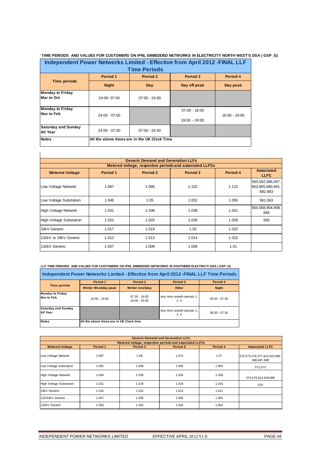#### **TIME PERIODS AND VALUES FOR CUSTOMERS ON IPNL EMBEDDED NETWORKS IN ELECTRICITY NORTH WEST'S DSA ( GSP\_G)**

|                                              | Independent Power Networks Limited - Effective from April 2012 - FINAL LLF<br><b>Time Periods</b> |                                              |                                    |               |
|----------------------------------------------|---------------------------------------------------------------------------------------------------|----------------------------------------------|------------------------------------|---------------|
|                                              | Period 1                                                                                          | Period 2                                     | Period 3                           | Period 4      |
| <b>Time periods</b>                          | <b>Night</b>                                                                                      | Day                                          | Day off peak                       | Day peak      |
| <b>Monday to Friday</b><br>Mar to Oct        | 24:00-07:00                                                                                       | $07:00 - 24:00$                              |                                    |               |
| <b>Monday to Friday</b><br><b>Nov to Feb</b> | $24:00 - 07:00$                                                                                   |                                              | $07:00 - 16:00$<br>$19:00 - 24:00$ | 16:00 - 19:00 |
| <b>Saturday and Sunday</b><br>All Year       | $24:00 - 07:00$                                                                                   | $07:00 - 24:00$                              |                                    |               |
| <b>Notes</b>                                 |                                                                                                   | All the above times are in the UK Clock Time |                                    |               |

| <b>Generic Demand and Generation LLFs</b> |          |          |                                                          |          |                                                    |
|-------------------------------------------|----------|----------|----------------------------------------------------------|----------|----------------------------------------------------|
|                                           |          |          | Metered voltage, respective periods and associated LLFCs |          |                                                    |
| <b>Metered Voltage</b>                    | Period 1 | Period 2 | Period 3                                                 | Period 4 | <b>Associated</b><br><b>LLFC</b>                   |
| Low Voltage Network                       | 1.087    | 1.095    | 1.102                                                    | 1.115    | 560, 562, 566, 567,<br>903,905,680,681,<br>682,683 |
| Low Voltage Substation                    | 1.046    | 1.05     | 1.052                                                    | 1.055    | 561,563                                            |
| <b>High Voltage Network</b>               | 1.031    | 1.036    | 1.038                                                    | 1.041    | 564,568,904,908,<br>684                            |
| <b>High Voltage Substation</b>            | 1.022    | 1.025    | 1.026                                                    | 1.028    | 565                                                |
| 33kV Generic                              | 1.017    | 1.019    | 1.02                                                     | 1.022    |                                                    |
| 132kV to 33kV Generic                     | 1.012    | 1.013    | 1.014                                                    | 1.015    |                                                    |
| 132kV Generic                             | 1.007    | 1.009    | 1.009                                                    | 1.01     |                                                    |

# **LLF TIME PERIODS AND VALUES FOR CUSTOMERS ON IPNL EMBEDDED NETWORKS IN SOUTHERN ELECTRIC'S DSA ( GSP\_H)**

| Independent Power Networks Limited - Effective from April 2012 - FINAL LLF Time Periods |                                          |                                    |                                     |                 |
|-----------------------------------------------------------------------------------------|------------------------------------------|------------------------------------|-------------------------------------|-----------------|
|                                                                                         | Period 1                                 | Period 2                           | Period 3                            | Period 4        |
| <b>Time periods</b>                                                                     | <b>Winter Weekday peak</b>               | <b>Winter weekday</b>              | Other                               | Night           |
| <b>Monday to Friday</b><br>Nov to Feb                                                   | $16:00 - 19:00$                          | $07:30 - 16:00$<br>$19:00 - 20:00$ | Any time outwith periods 1,<br>2.4  | $00:30 - 07:30$ |
| <b>Saturday and Sunday</b><br>All Year                                                  |                                          |                                    | Any time outwith periods 1,<br>2, 4 | $00:30 - 07:30$ |
| <b>Notes</b>                                                                            | All the above times are in UK Clock time |                                    |                                     |                 |

|                                | <b>Generic Demand and Generation LLFs</b> |          |                                                          |          |                                             |
|--------------------------------|-------------------------------------------|----------|----------------------------------------------------------|----------|---------------------------------------------|
|                                |                                           |          | Metered voltage, respective periods and associated LLFCs |          |                                             |
| <b>Metered Voltage</b>         | Period 1                                  | Period 2 | Period 3                                                 | Period 4 | <b>Associated LLFC</b>                      |
| Low Voltage Network            | 1.087                                     | 1.08     | 1.073                                                    | 1.07     | 570,572,576,577,913,915,685,<br>686,687,688 |
| Low Voltage Substation         | 1.062                                     | 1.058    | 1.056                                                    | 1.056    | 571,573                                     |
| <b>High Voltage Network</b>    | 1.044                                     | 1.039    | 1.034                                                    | 1.028    | 574,578,914,918,689                         |
| <b>High Voltage Substation</b> | 1.021                                     | 1.019    | 1.018                                                    | 1.016    | 575                                         |
| 33kV Generic                   | 1.016                                     | 1.015    | 1.013                                                    | 1.011    |                                             |
| 132/33kV Generic               | 1.007                                     | 1.006    | 1.006                                                    | 1.005    |                                             |
| 132kV Generic                  | 1.003                                     | 1.003    | 1.003                                                    | 1.002    |                                             |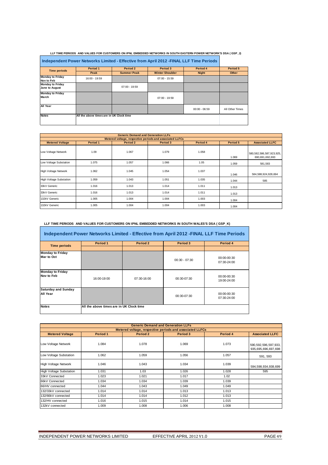| LLF TIME PERIODS AND VALUES FOR CUSTOMERS ON IPNL EMBEDDED NETWORKS IN SOUTH EASTERN POWER NETWORK'S DSA (GSP J) |
|------------------------------------------------------------------------------------------------------------------|
|                                                                                                                  |

| Independent Power Networks Limited - Effective from April 2012 - FINAL LLF Time Periods |                                          |                    |                        |                 |                 |  |
|-----------------------------------------------------------------------------------------|------------------------------------------|--------------------|------------------------|-----------------|-----------------|--|
|                                                                                         | Period 1                                 | Period 2           | Period 3               | Period 4        | Period 5        |  |
| <b>Time periods</b>                                                                     | Peak                                     | <b>Summer Peak</b> | <b>Winter Shoulder</b> | <b>Night</b>    | Other           |  |
| <b>Monday to Friday</b><br>Nov to Feb                                                   | 16:00 - 19:59                            |                    | $07:00 - 15:59$        |                 |                 |  |
| <b>Monday to Friday</b><br>June to August                                               |                                          | $07:00 - 19:59$    |                        |                 |                 |  |
| <b>Monday to Friday</b><br>March                                                        |                                          |                    | $07:00 - 19:59$        |                 |                 |  |
| All Year                                                                                |                                          |                    |                        | $00:00 - 06:59$ | All Other Times |  |
| <b>Notes</b>                                                                            | All the above times are in UK Clock time |                    |                        |                 |                 |  |

| <b>Generic Demand and Generation LLFs</b>                |          |          |          |          |          |                                             |  |  |  |
|----------------------------------------------------------|----------|----------|----------|----------|----------|---------------------------------------------|--|--|--|
| Metered voltage, respective periods and associated LLFCs |          |          |          |          |          |                                             |  |  |  |
| <b>Metered Voltage</b>                                   | Period 1 | Period 2 | Period 3 | Period 4 | Period 5 | <b>Associated LLFC</b>                      |  |  |  |
| Low Voltage Network                                      | 1.09     | 1.067    | 1.079    | 1.058    | 1.069    | 580,582,586,587,923,925,<br>690,691,692,693 |  |  |  |
| Low Voltage Substation                                   | 1.075    | 1.057    | 1.066    | 1.05     | 1.059    | 581,583                                     |  |  |  |
| <b>High Voltage Network</b>                              | 1.062    | 1.045    | 1.054    | 1.037    | 1.046    | 584, 588, 924, 928, 694                     |  |  |  |
| <b>High Voltage Substation</b>                           | 1.059    | 1.043    | 1.051    | 1.035    | 1.044    | 585                                         |  |  |  |
| 33kV Generic                                             | 1.016    | 1.013    | 1.014    | 1.011    | 1.013    |                                             |  |  |  |
| 33kV Generic                                             | 1.016    | 1.013    | 1.014    | 1.011    | 1.013    |                                             |  |  |  |
| 132kV Generic                                            | 1.005    | 1.004    | 1.004    | 1.003    | 1.004    |                                             |  |  |  |
| 132kV Generic                                            | 1.005    | 1.004    | 1.004    | 1.003    | 1.004    |                                             |  |  |  |

LLF TIME PERIODS AND VALUES FOR CUSTOMERS ON IPNL EMBEDDED NETWORKS IN SOUTH WALES'S DSA ( GSP\_K)

| Independent Power Networks Limited - Effective from April 2012 - FINAL LLF Time Periods |                                          |               |                 |                            |  |  |  |
|-----------------------------------------------------------------------------------------|------------------------------------------|---------------|-----------------|----------------------------|--|--|--|
| <b>Time periods</b>                                                                     | Period 1                                 | Period 2      | Period 3        | Period 4                   |  |  |  |
|                                                                                         |                                          |               |                 |                            |  |  |  |
| <b>Monday to Friday</b><br>Mar to Oct                                                   |                                          |               | $00:30 - 07:30$ | 00:00-00:30<br>07:30-24:00 |  |  |  |
| <b>Monday to Friday</b><br>Nov to Feb                                                   | 16:00-19:00                              | $07:30-16:00$ | $00:30-07:30$   | 00:00-00:30<br>19:00-24:00 |  |  |  |
| <b>Saturday and Sunday</b><br>All Year                                                  |                                          |               | 00:30-07:30     | 00:00-00:30<br>07:30-24:00 |  |  |  |
| <b>Notes</b>                                                                            | All the above times are in UK Clock time |               |                 |                            |  |  |  |

|                                                          | <b>Generic Demand and Generation LLFs</b> |          |          |          |                                                 |  |  |  |  |
|----------------------------------------------------------|-------------------------------------------|----------|----------|----------|-------------------------------------------------|--|--|--|--|
| Metered voltage, respective periods and associated LLFCs |                                           |          |          |          |                                                 |  |  |  |  |
| <b>Metered Voltage</b>                                   | Period 1                                  | Period 2 | Period 3 | Period 4 | <b>Associated LLFC</b>                          |  |  |  |  |
| Low Voltage Network                                      | 1.084                                     | 1.078    | 1.069    | 1.073    | 590, 592, 596, 597, 933,<br>935,695,696,697,698 |  |  |  |  |
| Low Voltage Substation                                   | 1.062                                     | 1.059    | 1.056    | 1.057    | 591, 593                                        |  |  |  |  |
| <b>High Voltage Network</b>                              | 1.046                                     | 1.043    | 1.034    | 1.039    | 594,598,934,938,699                             |  |  |  |  |
| <b>High Voltage Substation</b>                           | 1.031                                     | 1.03     | 1.026    | 1.028    | 595                                             |  |  |  |  |
| 33kV Connected                                           | 1.023                                     | 1.021    | 1.017    | 1.02     |                                                 |  |  |  |  |
| 66kV Connected                                           | 1.034                                     | 1.034    | 1.039    | 1.039    |                                                 |  |  |  |  |
| 66/HV connected                                          | 1.044                                     | 1.043    | 1.049    | 1.049    |                                                 |  |  |  |  |
| 132/33kV connected                                       | 1.014                                     | 1.014    | 1.013    | 1.013    |                                                 |  |  |  |  |
| 132/66kV connected                                       | 1.014                                     | 1.014    | 1.012    | 1.013    |                                                 |  |  |  |  |
| 132/HV connected                                         | 1.016                                     | 1.015    | 1.014    | 1.015    |                                                 |  |  |  |  |
| 132kV connected                                          | 1.009                                     | 1.008    | 1.006    | 1.008    |                                                 |  |  |  |  |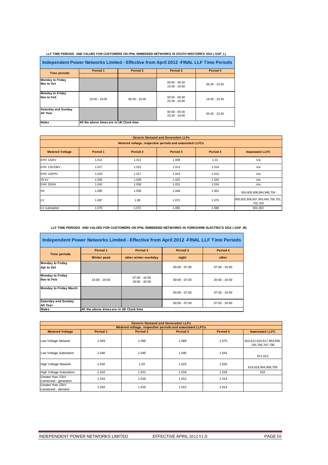| Independent Power Networks Limited - Effective from April 2012 - FINAL LLF Time Periods |                                          |                 |                                  |                 |  |  |  |
|-----------------------------------------------------------------------------------------|------------------------------------------|-----------------|----------------------------------|-----------------|--|--|--|
| <b>Time periods</b>                                                                     | Period 1                                 | Period 2        | Period 3                         | Period 4        |  |  |  |
|                                                                                         |                                          |                 |                                  |                 |  |  |  |
| <b>Monday to Friday</b><br>Mar to Oct                                                   |                                          |                 | $00:00 - 06:30$<br>23:30 - 24:00 | $06:30 - 23:30$ |  |  |  |
| <b>Monday to Friday</b><br>Nov to Feb                                                   | 16:00 - 19:00                            | $06:30 - 16:00$ | $00:00 - 06:30$<br>23:30 - 24:00 | 19:00 - 23:30   |  |  |  |
| <b>Saturday and Sunday</b><br>All Year                                                  |                                          |                 | $00:00 - 06:30$<br>23:30 - 24:00 | $06:30 - 23:30$ |  |  |  |
| <b>Notes</b>                                                                            | All the above times are in UK Clock time |                 |                                  |                 |  |  |  |

 **LLF TIME PERIODS AND VALUES FOR CUSTOMERS ON IPNL EMBEDDED NETWORKS IN SOUTH WESTERN'S DSA ( GSP\_L)**

| <b>Generic Demand and Generation LLFs</b> |                                                          |          |          |          |                                             |  |  |  |  |
|-------------------------------------------|----------------------------------------------------------|----------|----------|----------|---------------------------------------------|--|--|--|--|
|                                           | Metered voltage, respective periods and associated LLFCs |          |          |          |                                             |  |  |  |  |
| <b>Metered Voltage</b>                    | Period 1                                                 | Period 2 | Period 3 | Period 4 | <b>Associated LLFC</b>                      |  |  |  |  |
| EHV 132kV                                 | 1.012                                                    | 1.011    | 1.008    | 1.01     | n/a                                         |  |  |  |  |
| EHV 132/33kV                              | 1.017                                                    | 1.015    | 1.013    | 1.014    | n/a                                         |  |  |  |  |
| EHV 132/HV                                | 1.019                                                    | 1.017    | 1.014    | 1.015    | n/a                                         |  |  |  |  |
| 33 kV                                     | 1.032                                                    | 1.028    | 1.022    | 1.025    | n/a                                         |  |  |  |  |
| EHV 33/HV                                 | 1.042                                                    | 1.038    | 1.031    | 1.034    | n/a                                         |  |  |  |  |
| <b>HV</b>                                 | 1.065                                                    | 1.058    | 1.046    | 1.051    | 604,605,608,894,948,704                     |  |  |  |  |
| LV                                        | 1.087                                                    | 1.08     | 1.072    | 1.075    | 600,602,606,607,943,945,700,701,<br>702,703 |  |  |  |  |
| LV substation                             | 1.078                                                    | 1.072    | 1.065    | 1.068    | 601,603                                     |  |  |  |  |

 **LLF TIME PERIODS AND VALUES FOR CUSTOMERS ON IPNL EMBEDDED NETWORKS IN YORKSHIRE ELECTRIC'S DSA ( GSP\_M)**

| Independent Power Networks Limited - Effective from April 2012 - FINAL LLF Time Periods |                                          |                                  |                 |                 |  |  |  |  |
|-----------------------------------------------------------------------------------------|------------------------------------------|----------------------------------|-----------------|-----------------|--|--|--|--|
|                                                                                         | Period 1                                 | Period 2                         |                 | Period 4        |  |  |  |  |
| <b>Time periods</b>                                                                     | <b>Winter peak</b>                       | other winter weekday             | night           | other           |  |  |  |  |
| <b>Monday to Friday</b><br>Apr to Oct                                                   |                                          |                                  | $00:00 - 07:00$ | $07:00 - 24:00$ |  |  |  |  |
| <b>Monday to Friday</b><br>Nov to Feb                                                   | $16:00 - 19:00$                          | $07:00 - 16:00$<br>19:00 - 20:00 | $00:00 - 07:00$ | $20:00 - 24:00$ |  |  |  |  |
| <b>Monday to Friday March</b>                                                           |                                          |                                  | $00:00 - 07:00$ | $07:00 - 24:00$ |  |  |  |  |
| <b>Saturday and Sunday</b><br>All Year                                                  |                                          |                                  | $00:00 - 07:00$ | $07:00 - 24:00$ |  |  |  |  |
| <b>Notes</b>                                                                            | All the above times are in UK Clock time |                                  |                 |                 |  |  |  |  |

| <b>Generic Demand and Generation LLFs</b>  |                                                          |          |          |          |                                             |  |  |  |  |
|--------------------------------------------|----------------------------------------------------------|----------|----------|----------|---------------------------------------------|--|--|--|--|
|                                            | Metered voltage, respective periods and associated LLFCs |          |          |          |                                             |  |  |  |  |
| <b>Metered Voltage</b>                     | Period 1                                                 | Period 2 | Period 3 | Period 4 | <b>Associated LLFC</b>                      |  |  |  |  |
| Low Voltage Network                        | 1.093                                                    | 1.085    | 1.069    | 1.075    | 610,612,616,617,953,955,<br>705,706,707,708 |  |  |  |  |
| Low Voltage Substation                     | 1.046                                                    | 1.045    | 1.045    | 1.043    | 611,613                                     |  |  |  |  |
| <b>High Voltage Network</b>                | 1.032                                                    | 1.03     | 1.023    | 1.026    | 614,618,954,958,709                         |  |  |  |  |
| <b>High Voltage Substation</b>             | 1.022                                                    | 1.021    | 1.018    | 1.018    | 615                                         |  |  |  |  |
| Greater than 22kV<br>connected - generaion | 1.016                                                    | 1.016    | 1.012    | 1.014    |                                             |  |  |  |  |
| Greater than 22kV<br>connected - demand    | 1.016                                                    | 1.016    | 1.012    | 1.014    |                                             |  |  |  |  |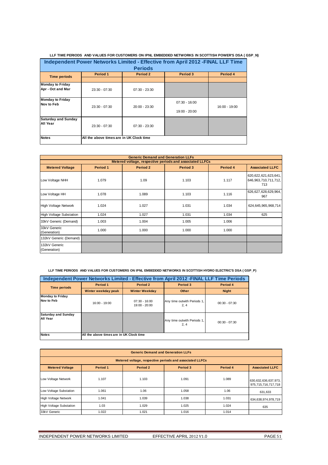|                                              |                                                                                 |                 | LLI TIME FENODO. AND VALULO I UN GOOTUMENO UN IFINE LIMBLIDILD INLTWONNO IN OGUT HOITE UNILINO DOA LOO |               |  |  |  |  |
|----------------------------------------------|---------------------------------------------------------------------------------|-----------------|--------------------------------------------------------------------------------------------------------|---------------|--|--|--|--|
|                                              | Independent Power Networks Limited - Effective from April 2012 - FINAL LLF Time |                 |                                                                                                        |               |  |  |  |  |
|                                              |                                                                                 | <b>Periods</b>  |                                                                                                        |               |  |  |  |  |
| <b>Time periods</b>                          | Period 1                                                                        | Period 2        |                                                                                                        | Period 4      |  |  |  |  |
|                                              |                                                                                 |                 |                                                                                                        |               |  |  |  |  |
| <b>Monday to Friday</b><br>Apr - Oct and Mar | $23:30 - 07:30$                                                                 | $07:30 - 23:30$ |                                                                                                        |               |  |  |  |  |
| <b>Monday to Friday</b><br>Nov to Feb        |                                                                                 |                 | $07:30 - 16:00$                                                                                        |               |  |  |  |  |
|                                              | $23:30 - 07:30$                                                                 | 20:00 - 23:30   | 19:00 - 20:00                                                                                          | 16:00 - 19:00 |  |  |  |  |
| <b>Saturday and Sunday</b><br>All Year       | $23:30 - 07:30$                                                                 | $07:30 - 23:30$ |                                                                                                        |               |  |  |  |  |
| <b>Notes</b>                                 | All the above times are in UK Clock time                                        |                 |                                                                                                        |               |  |  |  |  |

|                                | <b>Generic Demand and Generation LLFs</b>                |          |          |          |                                                         |  |  |  |
|--------------------------------|----------------------------------------------------------|----------|----------|----------|---------------------------------------------------------|--|--|--|
|                                | Metered voltage, respective periods and associated LLFCs |          |          |          |                                                         |  |  |  |
| <b>Metered Voltage</b>         | Period 1                                                 | Period 2 | Period 3 | Period 4 | <b>Associated LLFC</b>                                  |  |  |  |
| Low Voltage NHH                | 1.079                                                    | 1.09     | 1.103    | 1.117    | 620,622,621,623,641,<br>646, 963, 710, 711, 712,<br>713 |  |  |  |
| Low Voltage HH                 | 1.078                                                    | 1.089    | 1.103    | 1.116    | 626,627,628,629,964,<br>967                             |  |  |  |
| <b>High Voltage Network</b>    | 1.024                                                    | 1.027    | 1.031    | 1.034    | 624,645,965,968,714                                     |  |  |  |
| <b>High Voltage Substation</b> | 1.024                                                    | 1.027    | 1.031    | 1.034    | 625                                                     |  |  |  |
| 33kV Generic (Demand)          | 1.003                                                    | 1.004    | 1.005    | 1.006    |                                                         |  |  |  |
| 33kV Generic<br>(Generation)   | 1.000                                                    | 1.000    | 1.000    | 1.000    |                                                         |  |  |  |
| 132kV Generic (Demand)         |                                                          |          |          |          |                                                         |  |  |  |
| 132kV Generic<br>(Generation)  |                                                          |          |          |          |                                                         |  |  |  |

 **LLF TIME PERIODS AND VALUES FOR CUSTOMERS ON IPNL EMBEDDED NETWORKS IN SCOTTISH HYDRO ELECTRIC'S DSA ( GSP\_P)**

|                                        | Independent Power Networks Limited - Effective from April 2012 - FINAL LLF Time Periods |                                    |                                     |                 |  |  |  |
|----------------------------------------|-----------------------------------------------------------------------------------------|------------------------------------|-------------------------------------|-----------------|--|--|--|
| <b>Time periods</b>                    | Period 1                                                                                | Period 2                           | Period 3                            | Period 4        |  |  |  |
|                                        | Winter weekday peak                                                                     | <b>Winter Weekday</b>              | Other                               | <b>Night</b>    |  |  |  |
| <b>Monday to Friday</b><br>Nov to Feb  | 16:00 - 19:00                                                                           | $07:30 - 16:00$<br>$19:00 - 20:00$ | Any time outwith Periods 1,<br>2, 4 | $00:30 - 07:30$ |  |  |  |
| <b>Saturday and Sunday</b><br>All Year |                                                                                         |                                    | Any time outwith Periods 1,<br>2, 4 | $00:30 - 07:30$ |  |  |  |
| <b>Notes</b>                           | All the above times are in UK Clock time                                                |                                    |                                     |                 |  |  |  |

| <b>Generic Demand and Generation LLFs</b>                                                        |                                                          |       |       |       |                                                 |  |  |  |  |
|--------------------------------------------------------------------------------------------------|----------------------------------------------------------|-------|-------|-------|-------------------------------------------------|--|--|--|--|
|                                                                                                  | Metered voltage, respective periods and associated LLFCs |       |       |       |                                                 |  |  |  |  |
| <b>Metered Voltage</b><br>Period 1<br>Period 2<br>Period 3<br>Period 4<br><b>Associated LLFC</b> |                                                          |       |       |       |                                                 |  |  |  |  |
| Low Voltage Network                                                                              | 1.107                                                    | 1.103 | 1.091 | 1.089 | 630, 632, 636, 637, 973,<br>975,715,716,717,718 |  |  |  |  |
| Low Voltage Substation                                                                           | 1.061                                                    | 1.06  | 1.058 | 1.06  | 631,633                                         |  |  |  |  |
| <b>High Voltage Network</b>                                                                      | 1.041                                                    | 1.039 | 1.038 | 1.031 | 634,638,974,978,719                             |  |  |  |  |
| <b>High Voltage Substation</b>                                                                   | 1.03                                                     | 1.029 | 1.025 | 1.024 | 635                                             |  |  |  |  |
| 33kV Generic                                                                                     | 1.022                                                    | 1.021 | 1.016 | 1.014 |                                                 |  |  |  |  |

 **LLF TIME PERIODS AND VALUES FOR CUSTOMERS ON IPNL EMBEDDED NETWORKS IN SCOTTISH POWER'S DSA ( GSP\_N)**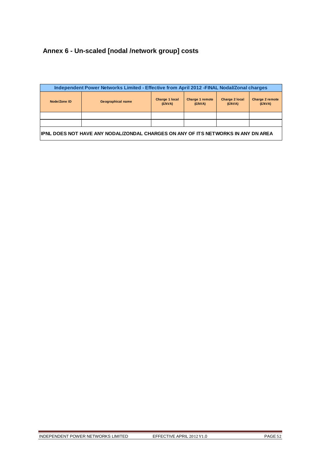# **Annex 6 - Un-scaled [nodal /network group] costs**

| Independent Power Networks Limited - Effective from April 2012 -FINAL Nodal/Zonal charges |                          |                           |                            |                                  |                            |
|-------------------------------------------------------------------------------------------|--------------------------|---------------------------|----------------------------|----------------------------------|----------------------------|
| Node/Zone ID                                                                              | <b>Geographical name</b> | Charge 1 local<br>(E/KVA) | Charge 1 remote<br>(E/KVA) | <b>Charge 2 local</b><br>(E/KVA) | Charge 2 remote<br>(E/KVA) |
|                                                                                           |                          |                           |                            |                                  |                            |
|                                                                                           |                          |                           |                            |                                  |                            |
| IPNL DOES NOT HAVE ANY NODAL/ZONDAL CHARGES ON ANY OF ITS NETWORKS IN ANY DN AREA         |                          |                           |                            |                                  |                            |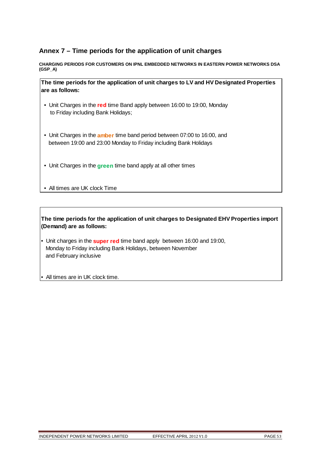# **Annex 7 – Time periods for the application of unit charges**

**CHARGING PERIODS FOR CUSTOMERS ON IPNL EMBEDDED NETWORKS IN EASTERN POWER NETWORKS DSA (GSP\_A)** 

**The time periods for the application of unit charges to LV and HV Designated Properties are as follows:**

- Unit Charges in the **red** time Band apply between 16:00 to 19:00, Monday to Friday including Bank Holidays;
- Unit Charges in the **amber** time band period between 07:00 to 16:00, and between 19:00 and 23:00 Monday to Friday including Bank Holidays
- Unit Charges in the **green** time band apply at all other times
- All times are UK clock Time

- Unit charges in the **super red** time band apply between 16:00 and 19:00, Monday to Friday including Bank Holidays, between November and February inclusive
- All times are in UK clock time.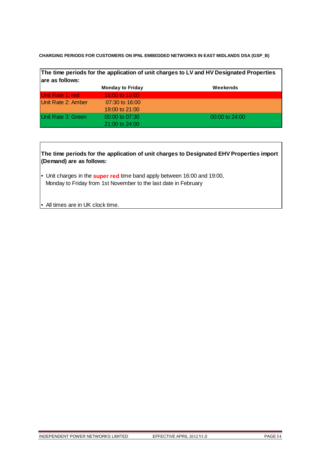**CHARGING PERIODS FOR CUSTOMERS ON IPNL EMBEDDED NETWORKS IN EAST MIDLANDS DSA (GSP\_B)** 

| are as follows:    |                         | The time periods for the application of unit charges to LV and HV Designated Properties |
|--------------------|-------------------------|-----------------------------------------------------------------------------------------|
|                    | <b>Monday to Friday</b> | Weekends                                                                                |
| Unit Rate 1: red   | 16:00 to 19:00          |                                                                                         |
| Unit Rate 2: Amber | 07:30 to 16:00          |                                                                                         |
|                    | 19:00 to 21:00          |                                                                                         |
| Unit Rate 3: Green | $00:00$ to $07:30$      | $00:00$ to $24:00$                                                                      |
|                    | 21:00 to 24:00          |                                                                                         |

- Unit charges in the **super red** time band apply between 16:00 and 19:00, Monday to Friday from 1st November to the last date in February
- All times are in UK clock time.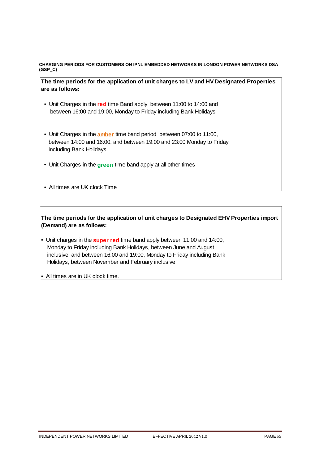**CHARGING PERIODS FOR CUSTOMERS ON IPNL EMBEDDED NETWORKS IN LONDON POWER NETWORKS DSA (GSP\_C)** 

**The time periods for the application of unit charges to LV and HV Designated Properties are as follows:**

- Unit Charges in the **red** time Band apply between 11:00 to 14:00 and between 16:00 and 19:00, Monday to Friday including Bank Holidays
- Unit Charges in the **amber** time band period between 07:00 to 11:00, between 14:00 and 16:00, and between 19:00 and 23:00 Monday to Friday including Bank Holidays
- Unit Charges in the **green** time band apply at all other times

• All times are UK clock Time

- Unit charges in the **super red** time band apply between 11:00 and 14:00, Monday to Friday including Bank Holidays, between June and August inclusive, and between 16:00 and 19:00, Monday to Friday including Bank Holidays, between November and February inclusive
- All times are in UK clock time.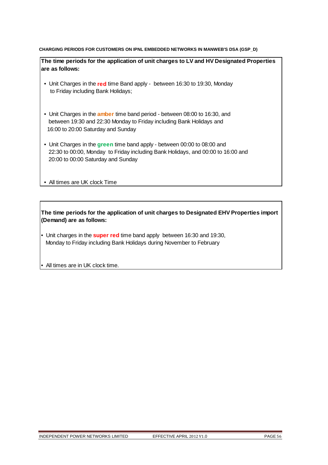### **CHARGING PERIODS FOR CUSTOMERS ON IPNL EMBEDDED NETWORKS IN MANWEB'S DSA (GSP\_D)**

**The time periods for the application of unit charges to LV and HV Designated Properties are as follows:**

- Unit Charges in the **red** time Band apply between 16:30 to 19:30, Monday to Friday including Bank Holidays;
- Unit Charges in the **amber** time band period between 08:00 to 16:30, and between 19:30 and 22:30 Monday to Friday including Bank Holidays and 16:00 to 20:00 Saturday and Sunday
- Unit Charges in the **green** time band apply between 00:00 to 08:00 and 22:30 to 00:00, Monday to Friday including Bank Holidays, and 00:00 to 16:00 and 20:00 to 00:00 Saturday and Sunday
- All times are UK clock Time

**The time periods for the application of unit charges to Designated EHV Properties import (Demand) are as follows:**

• Unit charges in the **super red** time band apply between 16:30 and 19:30, Monday to Friday including Bank Holidays during November to February

• All times are in UK clock time.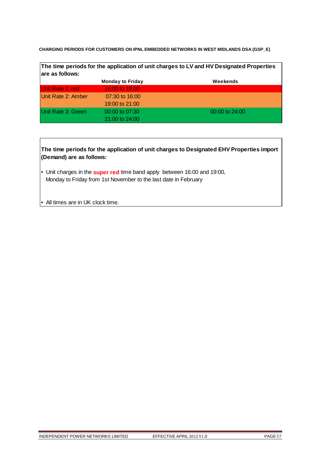**CHARGING PERIODS FOR CUSTOMERS ON IPNL EMBEDDED NETWORKS IN WEST MIDLANDS DSA (GSP\_E)** 

| The time periods for the application of unit charges to LV and HV Designated Properties |                         |                    |
|-----------------------------------------------------------------------------------------|-------------------------|--------------------|
| are as follows:                                                                         |                         |                    |
|                                                                                         | <b>Monday to Friday</b> | Weekends           |
| Unit Rate 1: red                                                                        | 16:00 to 19:00          |                    |
| Unit Rate 2: Amber                                                                      | 07:30 to 16:00          |                    |
|                                                                                         | 19:00 to 21:00          |                    |
| Unit Rate 3: Green                                                                      | $00:00$ to $07:30$      | $00:00$ to $24:00$ |
|                                                                                         | $21:00$ to $24:00$      |                    |

- Unit charges in the **super red** time band apply between 16:00 and 19:00, Monday to Friday from 1st November to the last date in February
- All times are in UK clock time.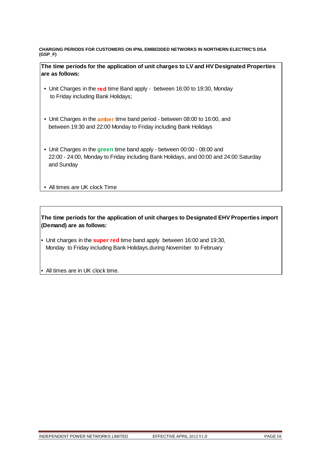**CHARGING PERIODS FOR CUSTOMERS ON IPNL EMBEDDED NETWORKS IN NORTHERN ELECTRIC'S DSA (GSP\_F)** 

**The time periods for the application of unit charges to LV and HV Designated Properties are as follows:**

- Unit Charges in the **red** time Band apply between 16:00 to 19:30, Monday to Friday including Bank Holidays;
- Unit Charges in the **amber** time band period between 08:00 to 16:00, and between 19:30 and 22:00 Monday to Friday including Bank Holidays
- Unit Charges in the **green** time band apply between 00:00 08:00 and 22:00 - 24:00, Monday to Friday including Bank Holidays, and 00:00 and 24:00 Saturday and Sunday
- All times are UK clock Time

- Unit charges in the **super red** time band apply between 16:00 and 19:30, Monday to Friday including Bank Holidays,during November to February
- All times are in UK clock time.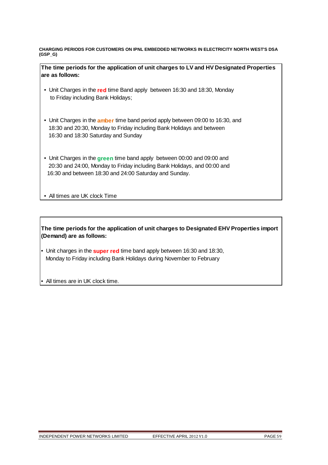**CHARGING PERIODS FOR CUSTOMERS ON IPNL EMBEDDED NETWORKS IN ELECTRICITY NORTH WEST'S DSA (GSP\_G)** 

| The time periods for the application of unit charges to LV and HV Designated Properties |
|-----------------------------------------------------------------------------------------|
| are as follows:                                                                         |

- Unit Charges in the **red** time Band apply between 16:30 and 18:30, Monday to Friday including Bank Holidays;
- Unit Charges in the **amber** time band period apply between 09:00 to 16:30, and 18:30 and 20:30, Monday to Friday including Bank Holidays and between 16:30 and 18:30 Saturday and Sunday
- Unit Charges in the **green** time band apply between 00:00 and 09:00 and 20:30 and 24:00, Monday to Friday including Bank Holidays, and 00:00 and 16:30 and between 18:30 and 24:00 Saturday and Sunday.

• All times are UK clock Time

- Unit charges in the **super red** time band apply between 16:30 and 18:30, Monday to Friday including Bank Holidays during November to February
- All times are in UK clock time.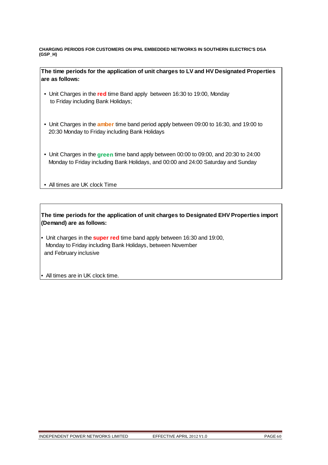**CHARGING PERIODS FOR CUSTOMERS ON IPNL EMBEDDED NETWORKS IN SOUTHERN ELECTRIC'S DSA (GSP\_H)** 

**The time periods for the application of unit charges to LV and HV Designated Properties are as follows:**

- Unit Charges in the **red** time Band apply between 16:30 to 19:00, Monday to Friday including Bank Holidays;
- Unit Charges in the **amber** time band period apply between 09:00 to 16:30, and 19:00 to 20:30 Monday to Friday including Bank Holidays
- Unit Charges in the **green** time band apply between 00:00 to 09:00, and 20:30 to 24:00 Monday to Friday including Bank Holidays, and 00:00 and 24:00 Saturday and Sunday
- All times are UK clock Time

**The time periods for the application of unit charges to Designated EHV Properties import (Demand) are as follows:**

• Unit charges in the **super red** time band apply between 16:30 and 19:00, Monday to Friday including Bank Holidays, between November and February inclusive

• All times are in UK clock time.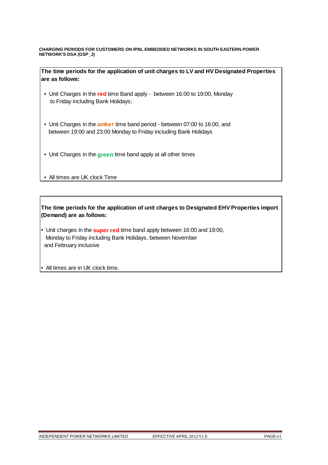**CHARGING PERIODS FOR CUSTOMERS ON IPNL EMBEDDED NETWORKS IN SOUTH EASTERN POWER NETWORK'S DSA (GSP\_J)** 

**The time periods for the application of unit charges to LV and HV Designated Properties are as follows:**

- Unit Charges in the **red** time Band apply between 16:00 to 19:00, Monday to Friday including Bank Holidays;
- Unit Charges in the **amber** time band period between 07:00 to 16:00, and between 19:00 and 23:00 Monday to Friday including Bank Holidays
- Unit Charges in the **green** time band apply at all other times
- All times are UK clock Time

- Unit charges in the **super red** time band apply between 16:00 and 19:00, Monday to Friday including Bank Holidays, between November and February inclusive
- All times are in UK clock time.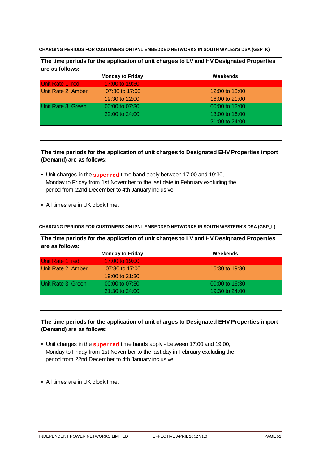**CHARGING PERIODS FOR CUSTOMERS ON IPNL EMBEDDED NETWORKS IN SOUTH WALES'S DSA (GSP\_K)** 

| The time periods for the application of unit charges to LV and HV Designated Properties<br>are as follows: |                         |                |
|------------------------------------------------------------------------------------------------------------|-------------------------|----------------|
|                                                                                                            | <b>Monday to Friday</b> | Weekends       |
| Unit Rate 1: red                                                                                           | 17:00 to 19:30          |                |
| Unit Rate 2: Amber                                                                                         | 07:30 to 17:00          | 12:00 to 13:00 |
|                                                                                                            | 19:30 to 22:00          | 16:00 to 21:00 |
| Unit Rate 3: Green                                                                                         | 00:00 to 07:30          | 00:00 to 12:00 |
|                                                                                                            | 22:00 to 24:00          | 13:00 to 16:00 |
|                                                                                                            |                         | 21:00 to 24:00 |

**The time periods for the application of unit charges to Designated EHV Properties import (Demand) are as follows:**

- Unit charges in the **super red** time band apply between 17:00 and 19:30, Monday to Friday from 1st November to the last date in February excluding the period from 22nd December to 4th January inclusive
- All times are in UK clock time.

# **CHARGING PERIODS FOR CUSTOMERS ON IPNL EMBEDDED NETWORKS IN SOUTH WESTERN'S DSA (GSP\_L)**

**The time periods for the application of unit charges to LV and HV Designated Properties are as follows:**

|                    | <b>Monday to Friday</b> | Weekends       |
|--------------------|-------------------------|----------------|
| Unit Rate 1: red   | 17:00 to 19:00          |                |
| Unit Rate 2: Amber | $07:30$ to 17:00        | 16:30 to 19:30 |
|                    | 19:00 to 21:30          |                |
| Unit Rate 3: Green | $00:00$ to $07:30$      | 00:00 to 16:30 |
|                    | $21:30$ to $24:00$      | 19:30 to 24:00 |

- Unit charges in the **super red** time bands apply between 17:00 and 19:00, Monday to Friday from 1st November to the last day in February excluding the period from 22nd December to 4th January inclusive
- All times are in UK clock time.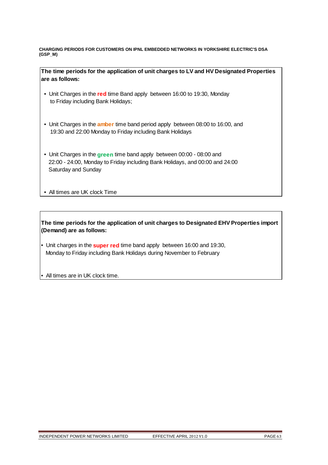**CHARGING PERIODS FOR CUSTOMERS ON IPNL EMBEDDED NETWORKS IN YORKSHIRE ELECTRIC'S DSA (GSP\_M)** 

**The time periods for the application of unit charges to LV and HV Designated Properties are as follows:**

- Unit Charges in the **red** time Band apply between 16:00 to 19:30, Monday to Friday including Bank Holidays;
- Unit Charges in the **amber** time band period apply between 08:00 to 16:00, and 19:30 and 22:00 Monday to Friday including Bank Holidays
- Unit Charges in the **green** time band apply between 00:00 08:00 and 22:00 - 24:00, Monday to Friday including Bank Holidays, and 00:00 and 24:00 Saturday and Sunday
- All times are UK clock Time

- Unit charges in the **super red** time band apply between 16:00 and 19:30, Monday to Friday including Bank Holidays during November to February
- All times are in UK clock time.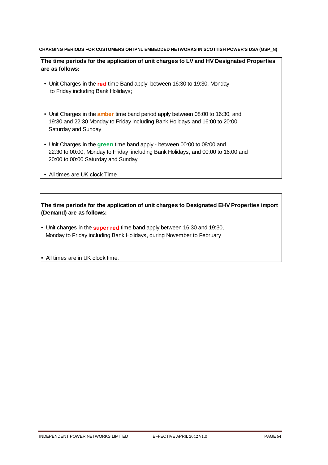### **CHARGING PERIODS FOR CUSTOMERS ON IPNL EMBEDDED NETWORKS IN SCOTTISH POWER'S DSA (GSP\_N)**

**The time periods for the application of unit charges to LV and HV Designated Properties are as follows:**

- Unit Charges in the **red** time Band apply between 16:30 to 19:30, Monday to Friday including Bank Holidays;
- Unit Charges in the **amber** time band period apply between 08:00 to 16:30, and 19:30 and 22:30 Monday to Friday including Bank Holidays and 16:00 to 20:00 Saturday and Sunday
- Unit Charges in the **green** time band apply between 00:00 to 08:00 and 22:30 to 00:00, Monday to Friday including Bank Holidays, and 00:00 to 16:00 and 20:00 to 00:00 Saturday and Sunday
- All times are UK clock Time

- Unit charges in the **super red** time band apply between 16:30 and 19:30, Monday to Friday including Bank Holidays, during November to February
- All times are in UK clock time.